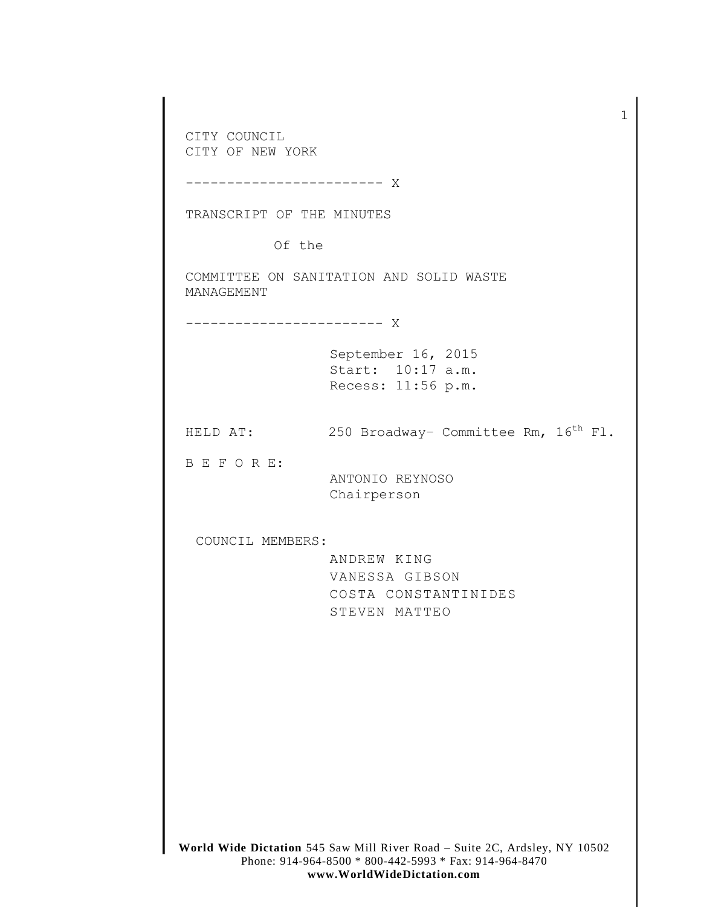**World Wide Dictation** 545 Saw Mill River Road – Suite 2C, Ardsley, NY 10502 Phone: 914-964-8500 \* 800-442-5993 \* Fax: 914-964-8470 CITY COUNCIL CITY OF NEW YORK ------------------------ X TRANSCRIPT OF THE MINUTES Of the COMMITTEE ON SANITATION AND SOLID WASTE MANAGEMENT ------------------------ X September 16, 2015 Start: 10:17 a.m. Recess: 11:56 p.m. HELD AT: 250 Broadway- Committee Rm,  $16<sup>th</sup>$  Fl. B E F O R E: ANTONIO REYNOSO Chairperson COUNCIL MEMBERS: ANDREW KING VANESSA GIBSON COSTA CONSTANTINIDES STEVEN MATTEO

1

**www.WorldWideDictation.com**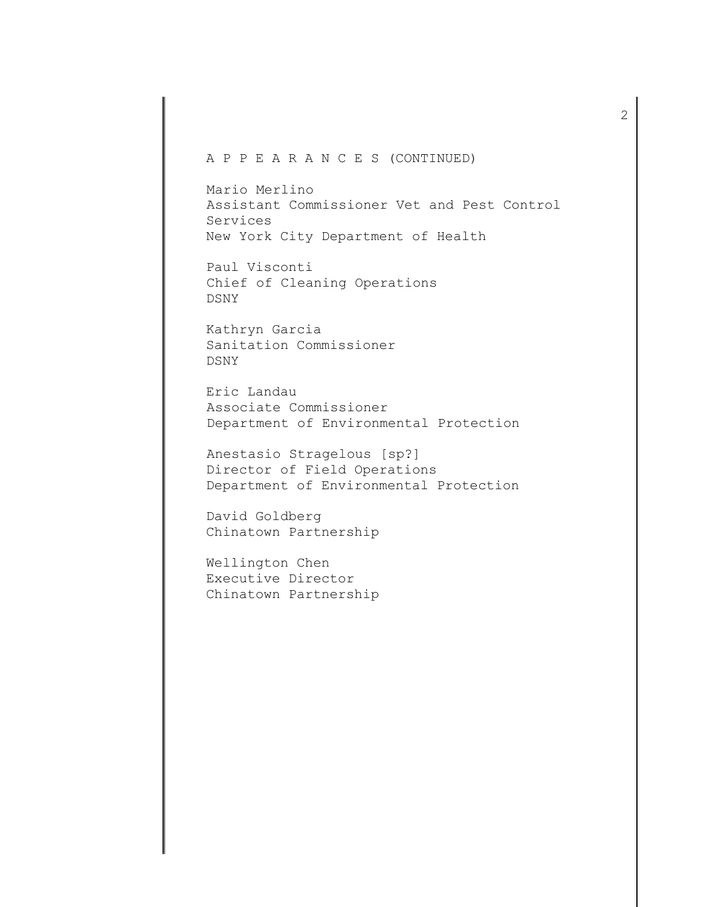## A P P E A R A N C E S (CONTINUED)

Mario Merlino Assistant Commissioner Vet and Pest Control Services New York City Department of Health

Paul Visconti Chief of Cleaning Operations DSNY

Kathryn Garcia Sanitation Commissioner DSNY

Eric Landau Associate Commissioner Department of Environmental Protection

Anestasio Stragelous [sp?] Director of Field Operations Department of Environmental Protection

David Goldberg Chinatown Partnership

Wellington Chen Executive Director Chinatown Partnership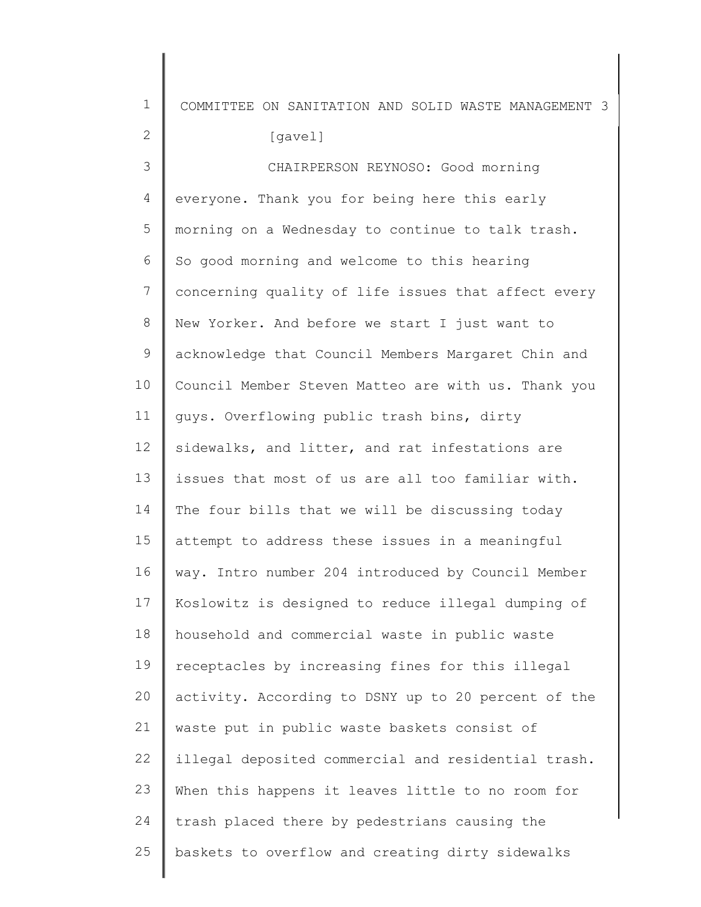| $\mathbf 1$  | COMMITTEE ON SANITATION AND SOLID WASTE MANAGEMENT 3 |
|--------------|------------------------------------------------------|
| $\mathbf{2}$ | [gavel]                                              |
| 3            | CHAIRPERSON REYNOSO: Good morning                    |
| 4            | everyone. Thank you for being here this early        |
| 5            | morning on a Wednesday to continue to talk trash.    |
| 6            | So good morning and welcome to this hearing          |
| 7            | concerning quality of life issues that affect every  |
| 8            | New Yorker. And before we start I just want to       |
| $\mathsf 9$  | acknowledge that Council Members Margaret Chin and   |
| 10           | Council Member Steven Matteo are with us. Thank you  |
| 11           | guys. Overflowing public trash bins, dirty           |
| 12           | sidewalks, and litter, and rat infestations are      |
| 13           | issues that most of us are all too familiar with.    |
| 14           | The four bills that we will be discussing today      |
| 15           | attempt to address these issues in a meaningful      |
| 16           | way. Intro number 204 introduced by Council Member   |
| 17           | Koslowitz is designed to reduce illegal dumping of   |
| 18           | household and commercial waste in public waste       |
| 19           | receptacles by increasing fines for this illegal     |
| 20           | activity. According to DSNY up to 20 percent of the  |
| 21           | waste put in public waste baskets consist of         |
| 22           | illegal deposited commercial and residential trash.  |
| 23           | When this happens it leaves little to no room for    |
| 24           | trash placed there by pedestrians causing the        |
| 25           | baskets to overflow and creating dirty sidewalks     |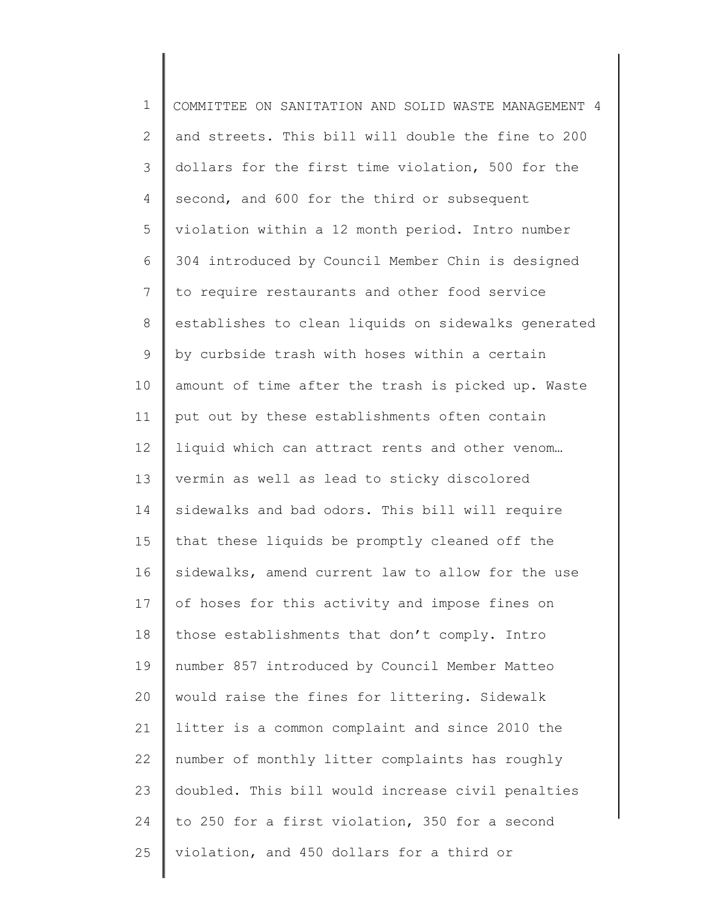1 2 3 4 5 6 7 8 9 10 11 12 13 14 15 16 17 18 19 20 21 22 23 24 25 COMMITTEE ON SANITATION AND SOLID WASTE MANAGEMENT 4 and streets. This bill will double the fine to 200 dollars for the first time violation, 500 for the second, and 600 for the third or subsequent violation within a 12 month period. Intro number 304 introduced by Council Member Chin is designed to require restaurants and other food service establishes to clean liquids on sidewalks generated by curbside trash with hoses within a certain amount of time after the trash is picked up. Waste put out by these establishments often contain liquid which can attract rents and other venom… vermin as well as lead to sticky discolored sidewalks and bad odors. This bill will require that these liquids be promptly cleaned off the sidewalks, amend current law to allow for the use of hoses for this activity and impose fines on those establishments that don't comply. Intro number 857 introduced by Council Member Matteo would raise the fines for littering. Sidewalk litter is a common complaint and since 2010 the number of monthly litter complaints has roughly doubled. This bill would increase civil penalties to 250 for a first violation, 350 for a second violation, and 450 dollars for a third or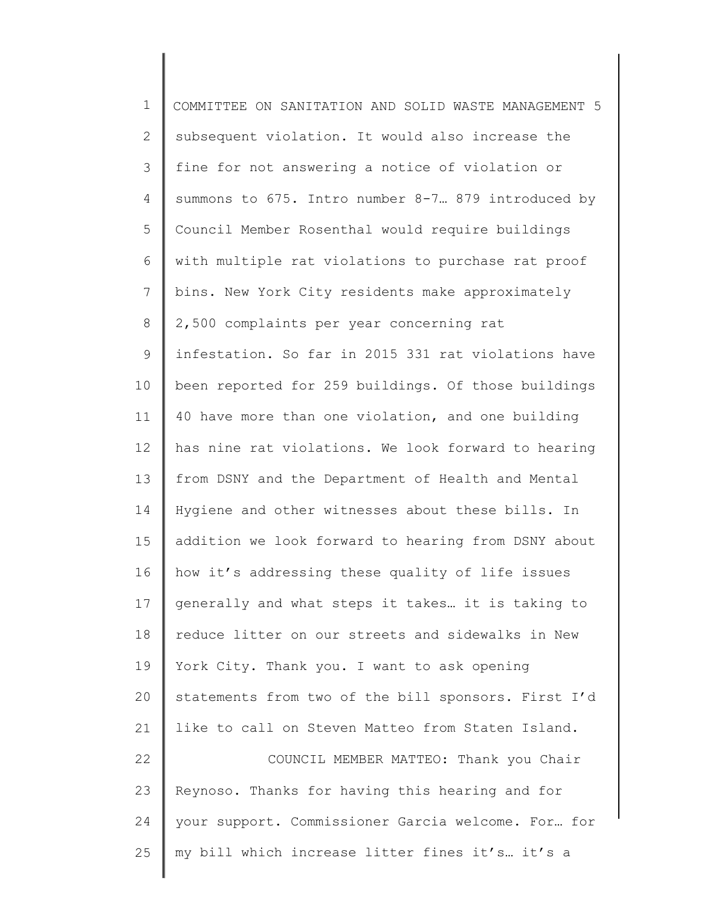| $\mathbf 1$    | COMMITTEE ON SANITATION AND SOLID WASTE MANAGEMENT 5 |
|----------------|------------------------------------------------------|
| $\mathbf{2}$   | subsequent violation. It would also increase the     |
| $\mathcal{S}$  | fine for not answering a notice of violation or      |
| $\overline{4}$ | summons to 675. Intro number 8-7. 879 introduced by  |
| 5              | Council Member Rosenthal would require buildings     |
| 6              | with multiple rat violations to purchase rat proof   |
| $7\phantom{.}$ | bins. New York City residents make approximately     |
| 8              | 2,500 complaints per year concerning rat             |
| 9              | infestation. So far in 2015 331 rat violations have  |
| 10             | been reported for 259 buildings. Of those buildings  |
| 11             | 40 have more than one violation, and one building    |
| 12             | has nine rat violations. We look forward to hearing  |
| 13             | from DSNY and the Department of Health and Mental    |
| 14             | Hygiene and other witnesses about these bills. In    |
| 15             | addition we look forward to hearing from DSNY about  |
| 16             | how it's addressing these quality of life issues     |
| 17             | generally and what steps it takes it is taking to    |
| 18             | reduce litter on our streets and sidewalks in New    |
| 19             | York City. Thank you. I want to ask opening          |
| 20             | statements from two of the bill sponsors. First I'd  |
| 21             | like to call on Steven Matteo from Staten Island.    |
| 22             | COUNCIL MEMBER MATTEO: Thank you Chair               |
| 23             | Reynoso. Thanks for having this hearing and for      |
| 24             | your support. Commissioner Garcia welcome. For for   |
| 25             | my bill which increase litter fines it's it's a      |
|                |                                                      |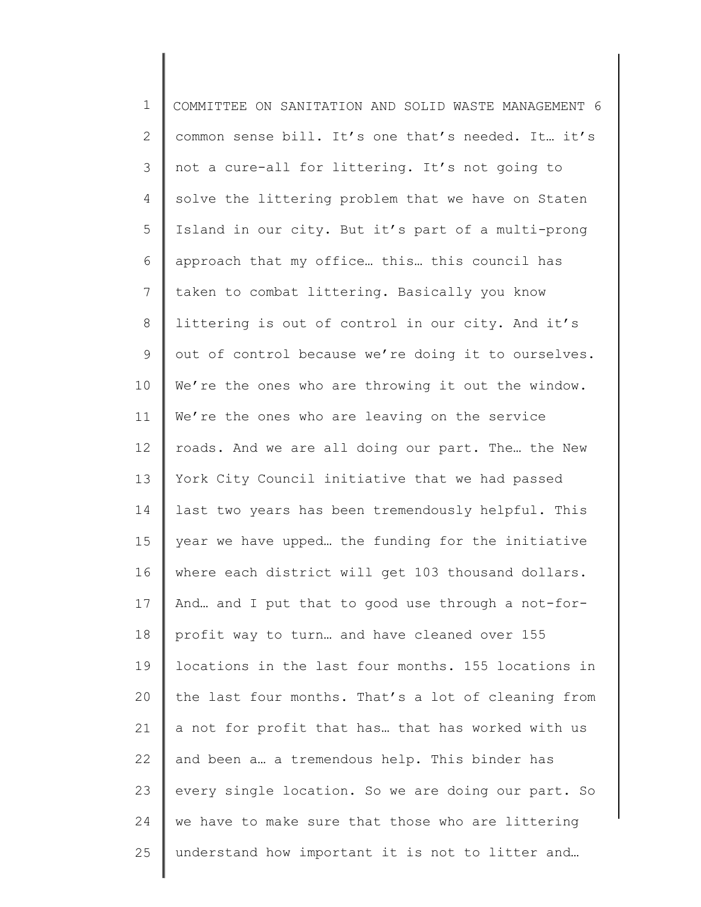| $\mathbf 1$    | COMMITTEE ON SANITATION AND SOLID WASTE MANAGEMENT 6 |
|----------------|------------------------------------------------------|
| $\overline{2}$ | common sense bill. It's one that's needed. It it's   |
| 3              | not a cure-all for littering. It's not going to      |
| 4              | solve the littering problem that we have on Staten   |
| 5              | Island in our city. But it's part of a multi-prong   |
| 6              | approach that my office this this council has        |
| $\overline{7}$ | taken to combat littering. Basically you know        |
| 8              | littering is out of control in our city. And it's    |
| 9              | out of control because we're doing it to ourselves.  |
| 10             | We're the ones who are throwing it out the window.   |
| 11             | We're the ones who are leaving on the service        |
| 12             | roads. And we are all doing our part. The the New    |
| 13             | York City Council initiative that we had passed      |
| 14             | last two years has been tremendously helpful. This   |
| 15             | year we have upped the funding for the initiative    |
| 16             | where each district will get 103 thousand dollars.   |
| 17             | And and I put that to good use through a not-for-    |
| 18             | profit way to turn and have cleaned over 155         |
| 19             | locations in the last four months. 155 locations in  |
| 20             | the last four months. That's a lot of cleaning from  |
| 21             | a not for profit that has that has worked with us    |
| 22             | and been a a tremendous help. This binder has        |
| 23             | every single location. So we are doing our part. So  |
| 24             | we have to make sure that those who are littering    |
| 25             | understand how important it is not to litter and     |
|                |                                                      |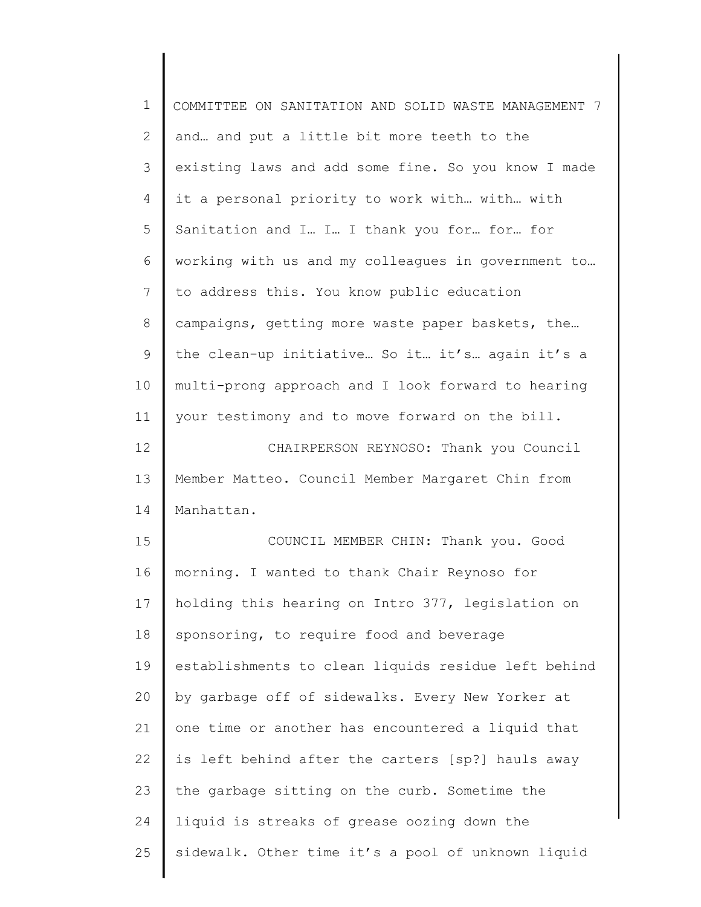| $\mathbf 1$    | COMMITTEE ON SANITATION AND SOLID WASTE MANAGEMENT 7 |
|----------------|------------------------------------------------------|
| $\mathbf{2}$   | and and put a little bit more teeth to the           |
| 3              | existing laws and add some fine. So you know I made  |
| $\overline{4}$ | it a personal priority to work with with with        |
| 5              | Sanitation and I I I thank you for for for           |
| 6              | working with us and my colleagues in government to   |
| 7              | to address this. You know public education           |
| 8              | campaigns, getting more waste paper baskets, the     |
| $\mathsf 9$    | the clean-up initiative So it it's again it's a      |
| 10             | multi-prong approach and I look forward to hearing   |
| 11             | your testimony and to move forward on the bill.      |
| 12             | CHAIRPERSON REYNOSO: Thank you Council               |
| 13             | Member Matteo. Council Member Margaret Chin from     |
| 14             | Manhattan.                                           |
| 15             | COUNCIL MEMBER CHIN: Thank you. Good                 |
| 16             | morning. I wanted to thank Chair Reynoso for         |
| 17             | holding this hearing on Intro 377, legislation on    |
| 18             | sponsoring, to require food and beverage             |
| 19             | establishments to clean liquids residue left behind  |
| 20             | by garbage off of sidewalks. Every New Yorker at     |
| 21             | one time or another has encountered a liquid that    |
| 22             | is left behind after the carters [sp?] hauls away    |
| 23             | the garbage sitting on the curb. Sometime the        |
| 24             | liquid is streaks of grease oozing down the          |
| 25             | sidewalk. Other time it's a pool of unknown liquid   |
|                |                                                      |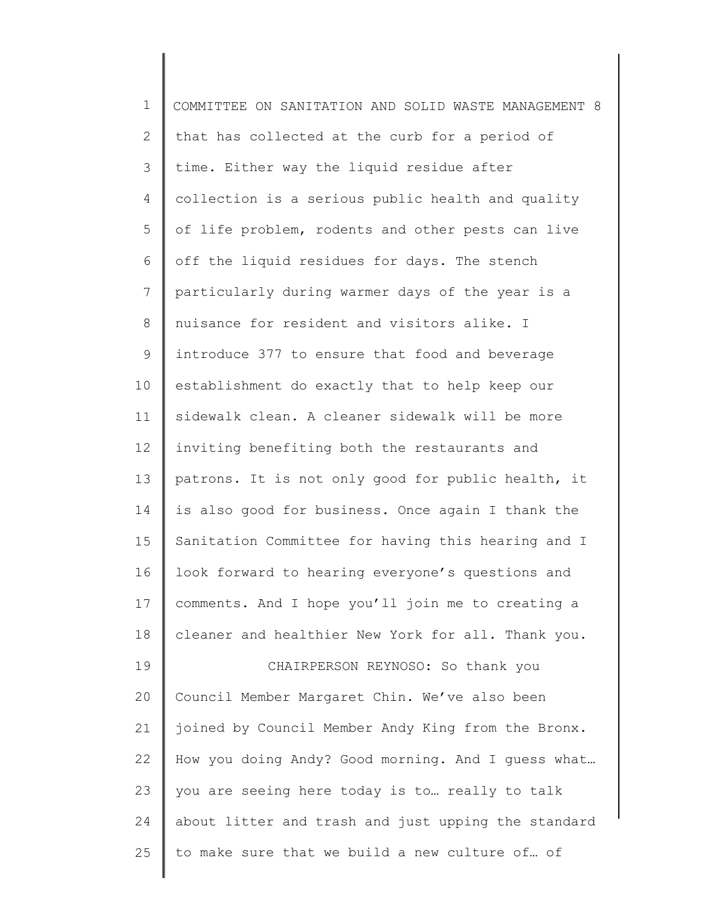| $\mathbf 1$    | COMMITTEE ON SANITATION AND SOLID WASTE MANAGEMENT 8 |
|----------------|------------------------------------------------------|
| $\overline{2}$ | that has collected at the curb for a period of       |
| 3              | time. Either way the liquid residue after            |
| 4              | collection is a serious public health and quality    |
| 5              | of life problem, rodents and other pests can live    |
| 6              | off the liquid residues for days. The stench         |
| 7              | particularly during warmer days of the year is a     |
| $8\,$          | nuisance for resident and visitors alike. I          |
| 9              | introduce 377 to ensure that food and beverage       |
| 10             | establishment do exactly that to help keep our       |
| 11             | sidewalk clean. A cleaner sidewalk will be more      |
| 12             | inviting benefiting both the restaurants and         |
| 13             | patrons. It is not only good for public health, it   |
| 14             | is also good for business. Once again I thank the    |
| 15             | Sanitation Committee for having this hearing and I   |
| 16             | look forward to hearing everyone's questions and     |
| 17             | comments. And I hope you'll join me to creating a    |
| 18             | cleaner and healthier New York for all. Thank you.   |
| 19             | CHAIRPERSON REYNOSO: So thank you                    |
| 20             | Council Member Margaret Chin. We've also been        |
| 21             | joined by Council Member Andy King from the Bronx.   |
| 22             | How you doing Andy? Good morning. And I guess what   |
| 23             | you are seeing here today is to really to talk       |
| 24             | about litter and trash and just upping the standard  |
| 25             | to make sure that we build a new culture of of       |
|                |                                                      |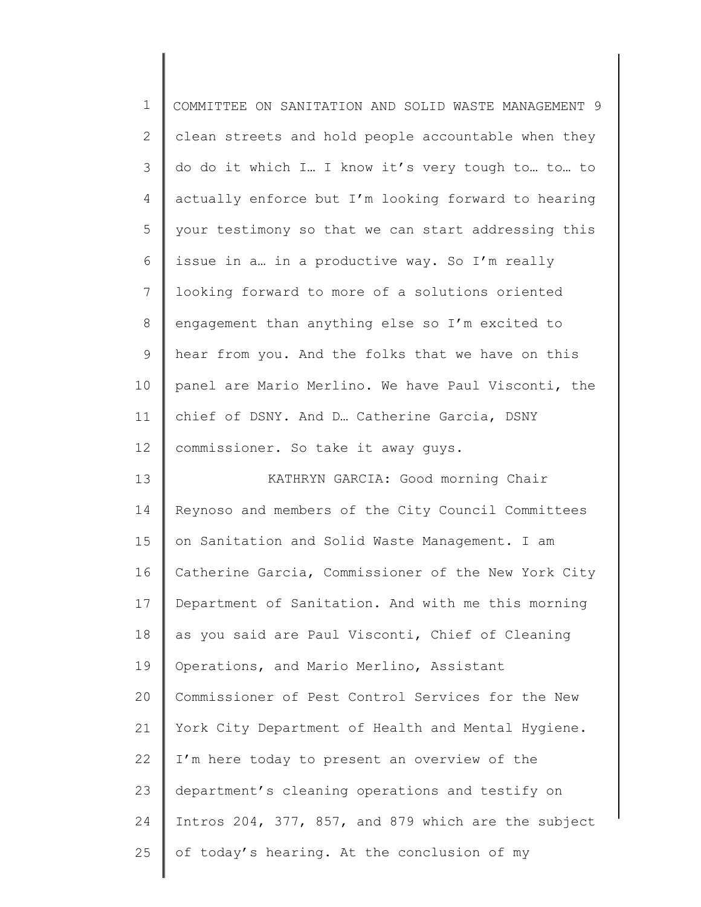| $\mathbf 1$  | COMMITTEE ON SANITATION AND SOLID WASTE MANAGEMENT 9 |
|--------------|------------------------------------------------------|
| $\mathbf{2}$ | clean streets and hold people accountable when they  |
| 3            | do do it which I I know it's very tough to to to     |
| 4            | actually enforce but I'm looking forward to hearing  |
| 5            | your testimony so that we can start addressing this  |
| 6            | issue in a in a productive way. So I'm really        |
| 7            | looking forward to more of a solutions oriented      |
| 8            | engagement than anything else so I'm excited to      |
| 9            | hear from you. And the folks that we have on this    |
| 10           | panel are Mario Merlino. We have Paul Visconti, the  |
| 11           | chief of DSNY. And D. Catherine Garcia, DSNY         |
| 12           | commissioner. So take it away guys.                  |
| 13           | KATHRYN GARCIA: Good morning Chair                   |
| 14           | Reynoso and members of the City Council Committees   |
| 15           | on Sanitation and Solid Waste Management. I am       |
| 16           | Catherine Garcia, Commissioner of the New York City  |
| 17           | Department of Sanitation. And with me this morning   |
| 18           | as you said are Paul Visconti, Chief of Cleaning     |
| 19           | Operations, and Mario Merlino, Assistant             |
| 20           | Commissioner of Pest Control Services for the New    |
| 21           | York City Department of Health and Mental Hygiene.   |
| 22           | I'm here today to present an overview of the         |
| 23           | department's cleaning operations and testify on      |
| 24           | Intros 204, 377, 857, and 879 which are the subject  |
| 25           | of today's hearing. At the conclusion of my          |
|              |                                                      |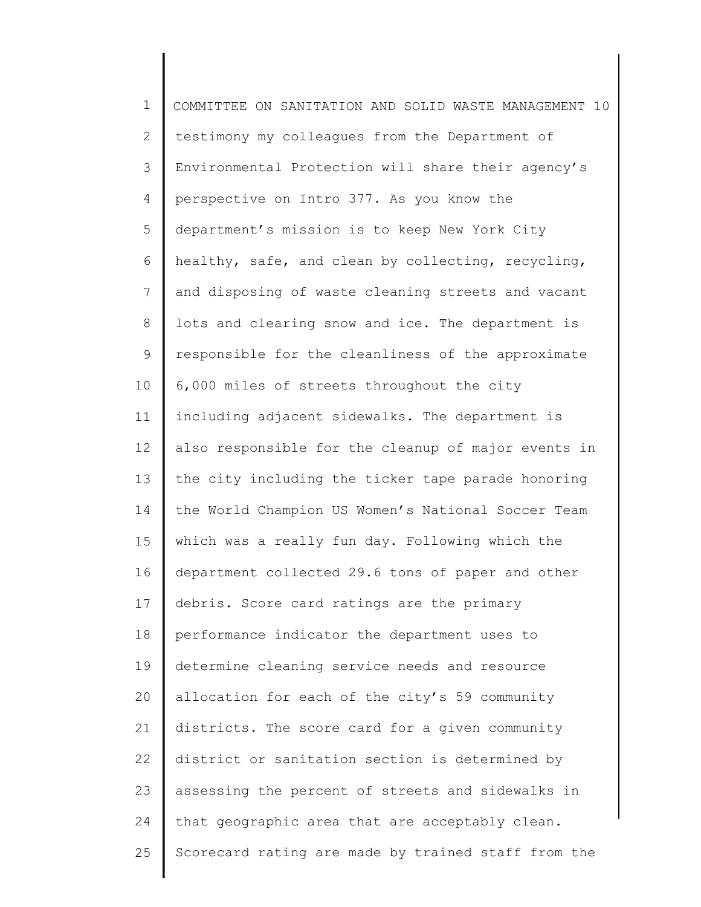1 2 3 4 5 6 7 8 9 10 11 12 13 14 15 16 17 18 19 20 21 22 23 24 25 COMMITTEE ON SANITATION AND SOLID WASTE MANAGEMENT 10 testimony my colleagues from the Department of Environmental Protection will share their agency's perspective on Intro 377. As you know the department's mission is to keep New York City healthy, safe, and clean by collecting, recycling, and disposing of waste cleaning streets and vacant lots and clearing snow and ice. The department is responsible for the cleanliness of the approximate 6,000 miles of streets throughout the city including adjacent sidewalks. The department is also responsible for the cleanup of major events in the city including the ticker tape parade honoring the World Champion US Women's National Soccer Team which was a really fun day. Following which the department collected 29.6 tons of paper and other debris. Score card ratings are the primary performance indicator the department uses to determine cleaning service needs and resource allocation for each of the city's 59 community districts. The score card for a given community district or sanitation section is determined by assessing the percent of streets and sidewalks in that geographic area that are acceptably clean. Scorecard rating are made by trained staff from the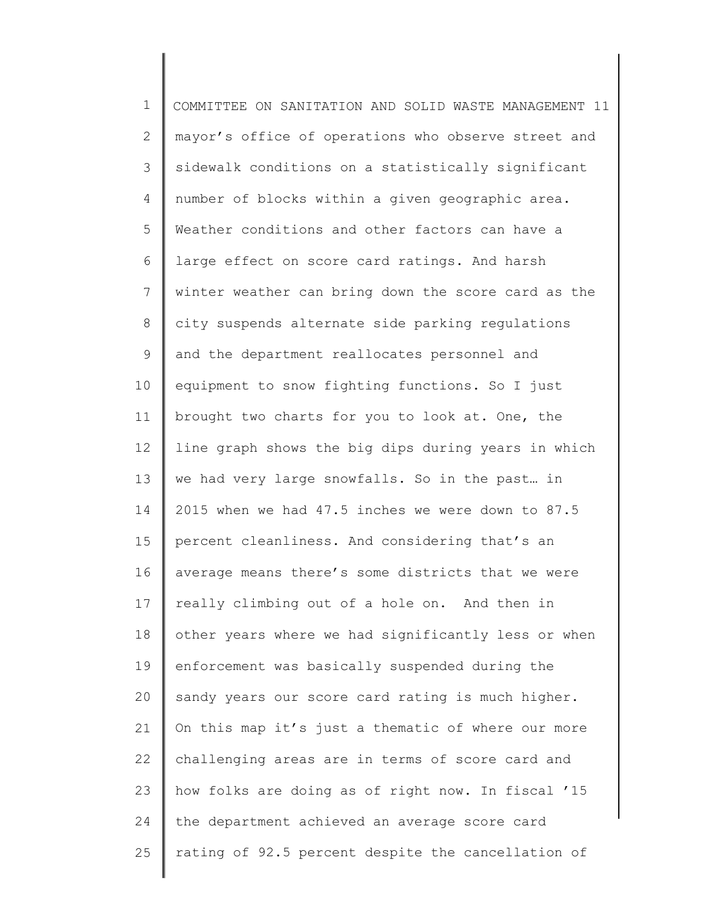1 2 3 4 5 6 7 8 9 10 11 12 13 14 15 16 17 18 19 20 21 22 23 24 25 COMMITTEE ON SANITATION AND SOLID WASTE MANAGEMENT 11 mayor's office of operations who observe street and sidewalk conditions on a statistically significant number of blocks within a given geographic area. Weather conditions and other factors can have a large effect on score card ratings. And harsh winter weather can bring down the score card as the city suspends alternate side parking regulations and the department reallocates personnel and equipment to snow fighting functions. So I just brought two charts for you to look at. One, the line graph shows the big dips during years in which we had very large snowfalls. So in the past… in 2015 when we had 47.5 inches we were down to 87.5 percent cleanliness. And considering that's an average means there's some districts that we were really climbing out of a hole on. And then in other years where we had significantly less or when enforcement was basically suspended during the sandy years our score card rating is much higher. On this map it's just a thematic of where our more challenging areas are in terms of score card and how folks are doing as of right now. In fiscal '15 the department achieved an average score card rating of 92.5 percent despite the cancellation of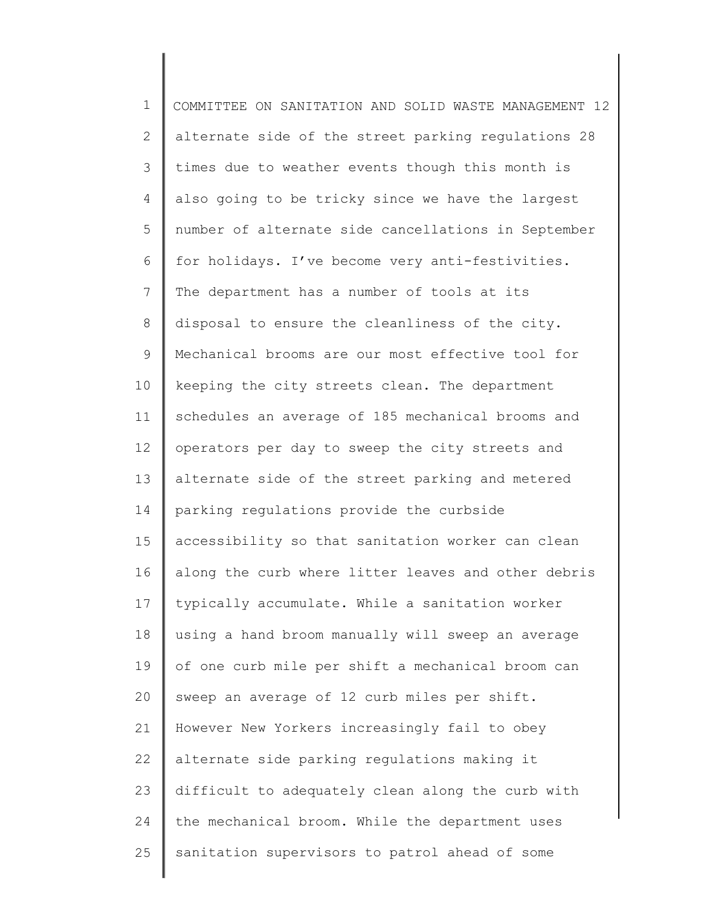1 2 3 4 5 6 7 8 9 10 11 12 13 14 15 16 17 18 19 20 21 22 23 24 25 COMMITTEE ON SANITATION AND SOLID WASTE MANAGEMENT 12 alternate side of the street parking regulations 28 times due to weather events though this month is also going to be tricky since we have the largest number of alternate side cancellations in September for holidays. I've become very anti-festivities. The department has a number of tools at its disposal to ensure the cleanliness of the city. Mechanical brooms are our most effective tool for keeping the city streets clean. The department schedules an average of 185 mechanical brooms and operators per day to sweep the city streets and alternate side of the street parking and metered parking regulations provide the curbside accessibility so that sanitation worker can clean along the curb where litter leaves and other debris typically accumulate. While a sanitation worker using a hand broom manually will sweep an average of one curb mile per shift a mechanical broom can sweep an average of 12 curb miles per shift. However New Yorkers increasingly fail to obey alternate side parking regulations making it difficult to adequately clean along the curb with the mechanical broom. While the department uses sanitation supervisors to patrol ahead of some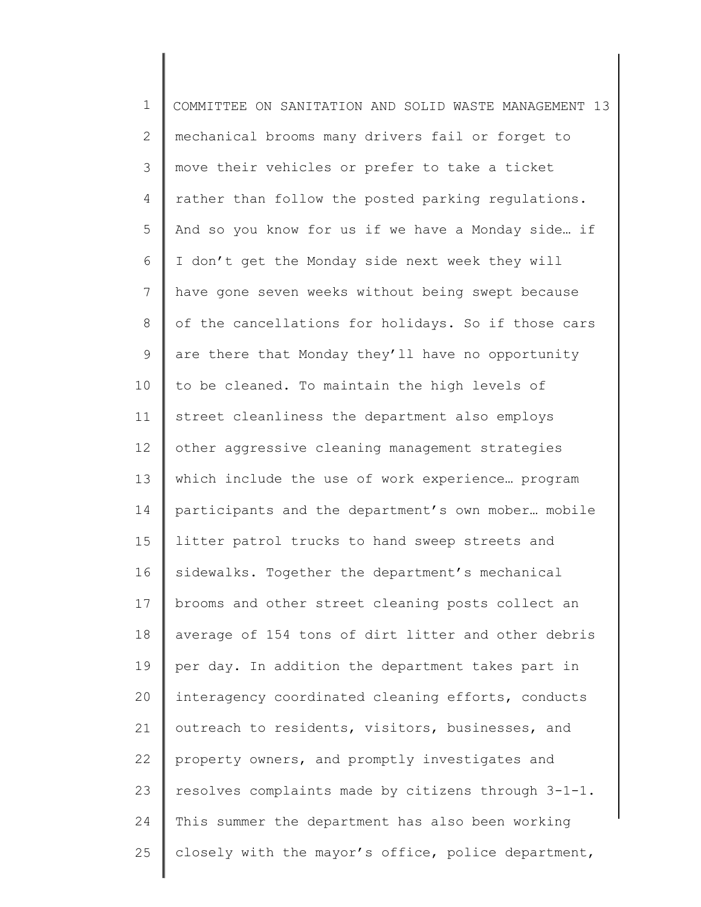| $\mathbf 1$   | COMMITTEE ON SANITATION AND SOLID WASTE MANAGEMENT 13 |
|---------------|-------------------------------------------------------|
| $\mathbf{2}$  | mechanical brooms many drivers fail or forget to      |
| $\mathcal{S}$ | move their vehicles or prefer to take a ticket        |
| 4             | rather than follow the posted parking regulations.    |
| 5             | And so you know for us if we have a Monday side if    |
| 6             | I don't get the Monday side next week they will       |
| 7             | have gone seven weeks without being swept because     |
| 8             | of the cancellations for holidays. So if those cars   |
| $\mathsf 9$   | are there that Monday they'll have no opportunity     |
| 10            | to be cleaned. To maintain the high levels of         |
| 11            | street cleanliness the department also employs        |
| 12            | other aggressive cleaning management strategies       |
| 13            | which include the use of work experience program      |
| 14            | participants and the department's own mober mobile    |
| 15            | litter patrol trucks to hand sweep streets and        |
| 16            | sidewalks. Together the department's mechanical       |
| 17            | brooms and other street cleaning posts collect an     |
| 18            | average of 154 tons of dirt litter and other debris   |
| 19            | per day. In addition the department takes part in     |
| 20            | interagency coordinated cleaning efforts, conducts    |
| 21            | outreach to residents, visitors, businesses, and      |
| 22            | property owners, and promptly investigates and        |
| 23            | resolves complaints made by citizens through 3-1-1.   |
| 24            | This summer the department has also been working      |
| 25            | closely with the mayor's office, police department,   |
|               |                                                       |

∥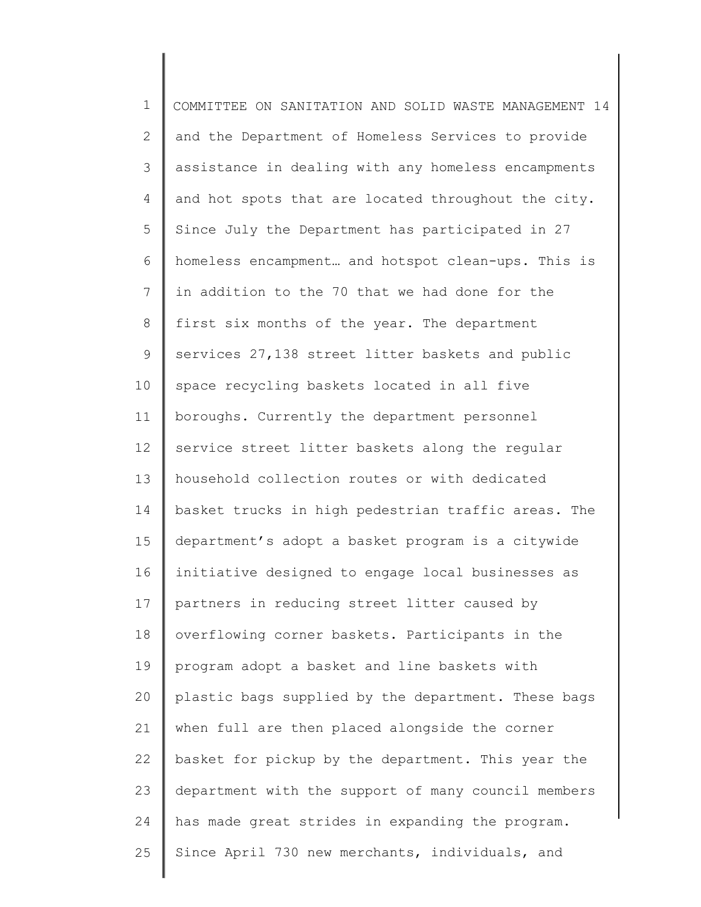1 2 3 4 5 6 7 8 9 10 11 12 13 14 15 16 17 18 19 20 21 22 23 24 25 COMMITTEE ON SANITATION AND SOLID WASTE MANAGEMENT 14 and the Department of Homeless Services to provide assistance in dealing with any homeless encampments and hot spots that are located throughout the city. Since July the Department has participated in 27 homeless encampment… and hotspot clean-ups. This is in addition to the 70 that we had done for the first six months of the year. The department services 27,138 street litter baskets and public space recycling baskets located in all five boroughs. Currently the department personnel service street litter baskets along the regular household collection routes or with dedicated basket trucks in high pedestrian traffic areas. The department's adopt a basket program is a citywide initiative designed to engage local businesses as partners in reducing street litter caused by overflowing corner baskets. Participants in the program adopt a basket and line baskets with plastic bags supplied by the department. These bags when full are then placed alongside the corner basket for pickup by the department. This year the department with the support of many council members has made great strides in expanding the program. Since April 730 new merchants, individuals, and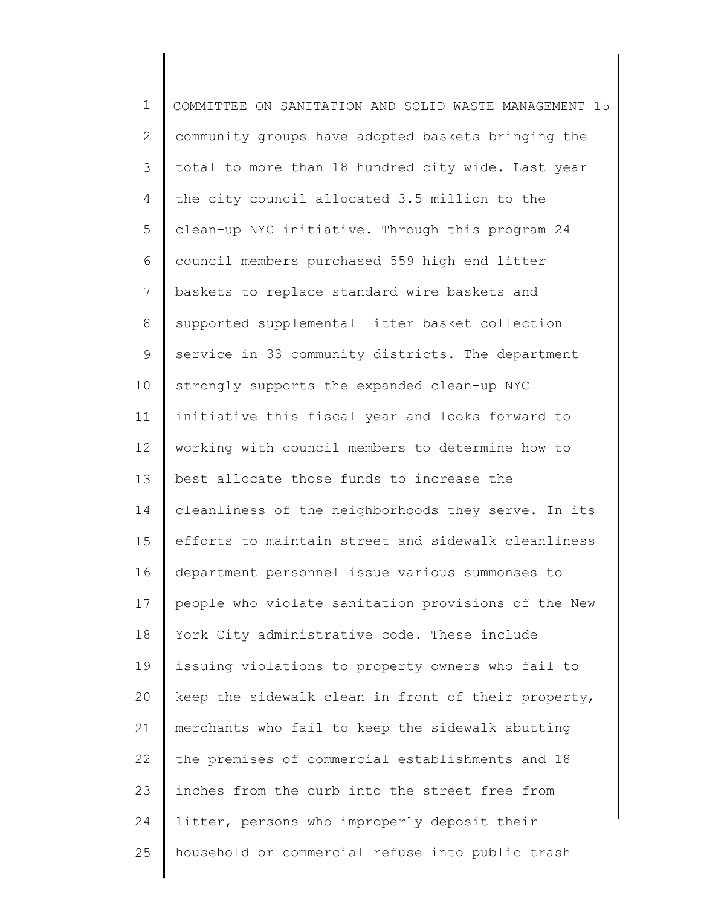| $\mathbf 1$    | COMMITTEE ON SANITATION AND SOLID WASTE MANAGEMENT 15 |
|----------------|-------------------------------------------------------|
| $\overline{2}$ | community groups have adopted baskets bringing the    |
| 3              | total to more than 18 hundred city wide. Last year    |
| 4              | the city council allocated 3.5 million to the         |
| 5              | clean-up NYC initiative. Through this program 24      |
| 6              | council members purchased 559 high end litter         |
| $\overline{7}$ | baskets to replace standard wire baskets and          |
| $\,8\,$        | supported supplemental litter basket collection       |
| $\mathsf 9$    | service in 33 community districts. The department     |
| 10             | strongly supports the expanded clean-up NYC           |
| 11             | initiative this fiscal year and looks forward to      |
| 12             | working with council members to determine how to      |
| 13             | best allocate those funds to increase the             |
| 14             | cleanliness of the neighborhoods they serve. In its   |
| 15             | efforts to maintain street and sidewalk cleanliness   |
| 16             | department personnel issue various summonses to       |
| 17             | people who violate sanitation provisions of the New   |
| 18             | York City administrative code. These include          |
| 19             | issuing violations to property owners who fail to     |
| 20             | keep the sidewalk clean in front of their property,   |
| 21             | merchants who fail to keep the sidewalk abutting      |
| 22             | the premises of commercial establishments and 18      |
| 23             | inches from the curb into the street free from        |
| 24             | litter, persons who improperly deposit their          |
| 25             | household or commercial refuse into public trash      |
|                |                                                       |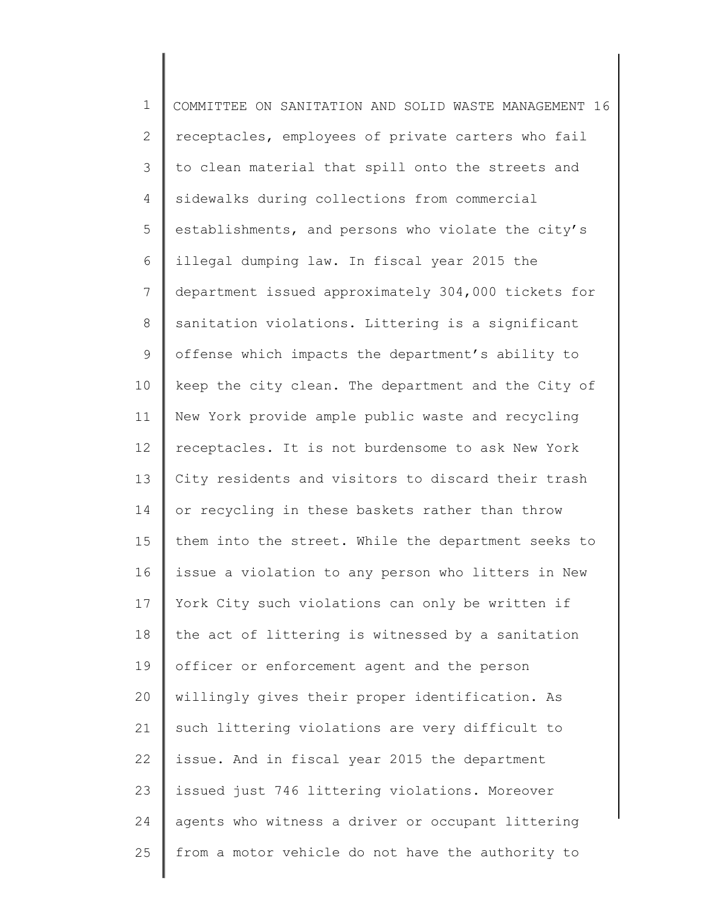| $\mathbf 1$    | COMMITTEE ON SANITATION AND SOLID WASTE MANAGEMENT 16 |
|----------------|-------------------------------------------------------|
| $\mathbf{2}$   | receptacles, employees of private carters who fail    |
| 3              | to clean material that spill onto the streets and     |
| 4              | sidewalks during collections from commercial          |
| 5              | establishments, and persons who violate the city's    |
| 6              | illegal dumping law. In fiscal year 2015 the          |
| $7\phantom{.}$ | department issued approximately 304,000 tickets for   |
| 8              | sanitation violations. Littering is a significant     |
| 9              | offense which impacts the department's ability to     |
| 10             | keep the city clean. The department and the City of   |
| 11             | New York provide ample public waste and recycling     |
| 12             | receptacles. It is not burdensome to ask New York     |
| 13             | City residents and visitors to discard their trash    |
| 14             | or recycling in these baskets rather than throw       |
| 15             | them into the street. While the department seeks to   |
| 16             | issue a violation to any person who litters in New    |
| 17             | York City such violations can only be written if      |
| 18             | the act of littering is witnessed by a sanitation     |
| 19             | officer or enforcement agent and the person           |
| 20             | willingly gives their proper identification. As       |
| 21             | such littering violations are very difficult to       |
| 22             | issue. And in fiscal year 2015 the department         |
| 23             | issued just 746 littering violations. Moreover        |
| 24             | agents who witness a driver or occupant littering     |
| 25             | from a motor vehicle do not have the authority to     |
|                |                                                       |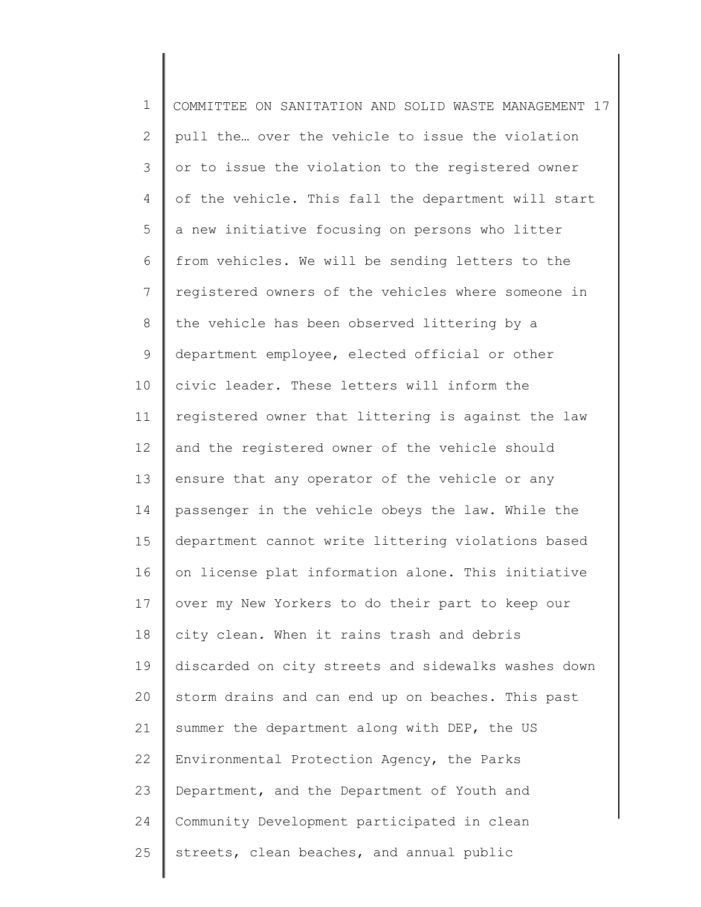1 2 3 4 5 6 7 8 9 10 11 12 13 14 15 16 17 18 19 20 21 22 23 24 25 COMMITTEE ON SANITATION AND SOLID WASTE MANAGEMENT 17 pull the… over the vehicle to issue the violation or to issue the violation to the registered owner of the vehicle. This fall the department will start a new initiative focusing on persons who litter from vehicles. We will be sending letters to the registered owners of the vehicles where someone in the vehicle has been observed littering by a department employee, elected official or other civic leader. These letters will inform the registered owner that littering is against the law and the registered owner of the vehicle should ensure that any operator of the vehicle or any passenger in the vehicle obeys the law. While the department cannot write littering violations based on license plat information alone. This initiative over my New Yorkers to do their part to keep our city clean. When it rains trash and debris discarded on city streets and sidewalks washes down storm drains and can end up on beaches. This past summer the department along with DEP, the US Environmental Protection Agency, the Parks Department, and the Department of Youth and Community Development participated in clean streets, clean beaches, and annual public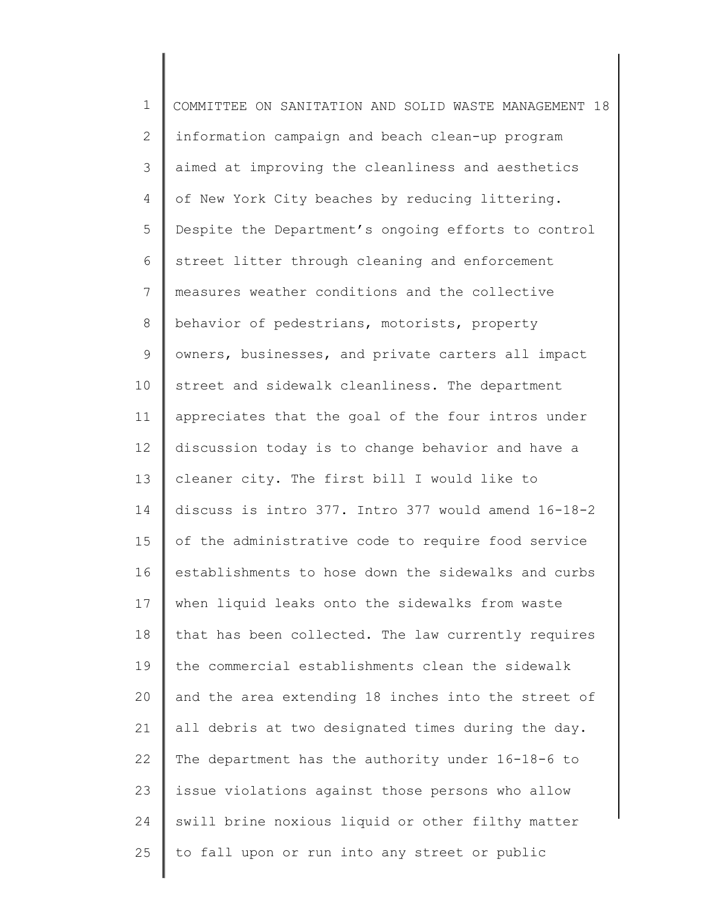| $\mathbf 1$  | COMMITTEE ON SANITATION AND SOLID WASTE MANAGEMENT 18 |
|--------------|-------------------------------------------------------|
| $\mathbf{2}$ | information campaign and beach clean-up program       |
| 3            | aimed at improving the cleanliness and aesthetics     |
| 4            | of New York City beaches by reducing littering.       |
| 5            | Despite the Department's ongoing efforts to control   |
| 6            | street litter through cleaning and enforcement        |
| 7            | measures weather conditions and the collective        |
| 8            | behavior of pedestrians, motorists, property          |
| 9            | owners, businesses, and private carters all impact    |
| 10           | street and sidewalk cleanliness. The department       |
| 11           | appreciates that the goal of the four intros under    |
| 12           | discussion today is to change behavior and have a     |
| 13           | cleaner city. The first bill I would like to          |
| 14           | discuss is intro 377. Intro 377 would amend 16-18-2   |
| 15           | of the administrative code to require food service    |
| 16           | establishments to hose down the sidewalks and curbs   |
| 17           | when liquid leaks onto the sidewalks from waste       |
| 18           | that has been collected. The law currently requires   |
| 19           | the commercial establishments clean the sidewalk      |
| 20           | and the area extending 18 inches into the street of   |
| 21           | all debris at two designated times during the day.    |
| 22           | The department has the authority under 16-18-6 to     |
| 23           | issue violations against those persons who allow      |
| 24           | swill brine noxious liquid or other filthy matter     |
| 25           | to fall upon or run into any street or public         |
|              |                                                       |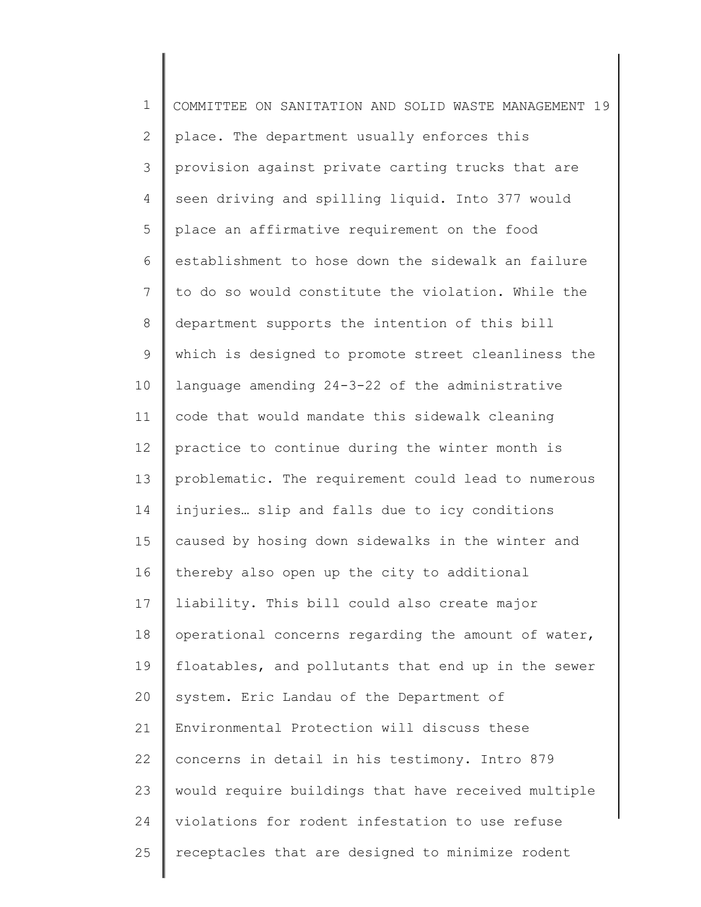| $\mathbf 1$    | COMMITTEE ON SANITATION AND SOLID WASTE MANAGEMENT 19 |
|----------------|-------------------------------------------------------|
| $\mathbf{2}$   | place. The department usually enforces this           |
| 3              | provision against private carting trucks that are     |
| 4              | seen driving and spilling liquid. Into 377 would      |
| 5              | place an affirmative requirement on the food          |
| 6              | establishment to hose down the sidewalk an failure    |
| $7\phantom{.}$ | to do so would constitute the violation. While the    |
| $\,8\,$        | department supports the intention of this bill        |
| $\mathsf 9$    | which is designed to promote street cleanliness the   |
| 10             | language amending 24-3-22 of the administrative       |
| 11             | code that would mandate this sidewalk cleaning        |
| 12             | practice to continue during the winter month is       |
| 13             | problematic. The requirement could lead to numerous   |
| 14             | injuries slip and falls due to icy conditions         |
| 15             | caused by hosing down sidewalks in the winter and     |
| 16             | thereby also open up the city to additional           |
| 17             | liability. This bill could also create major          |
| 18             | operational concerns regarding the amount of water,   |
| 19             | floatables, and pollutants that end up in the sewer   |
| 20             | system. Eric Landau of the Department of              |
| 21             | Environmental Protection will discuss these           |
| 22             | concerns in detail in his testimony. Intro 879        |
| 23             | would require buildings that have received multiple   |
| 24             | violations for rodent infestation to use refuse       |
| 25             | receptacles that are designed to minimize rodent      |
|                |                                                       |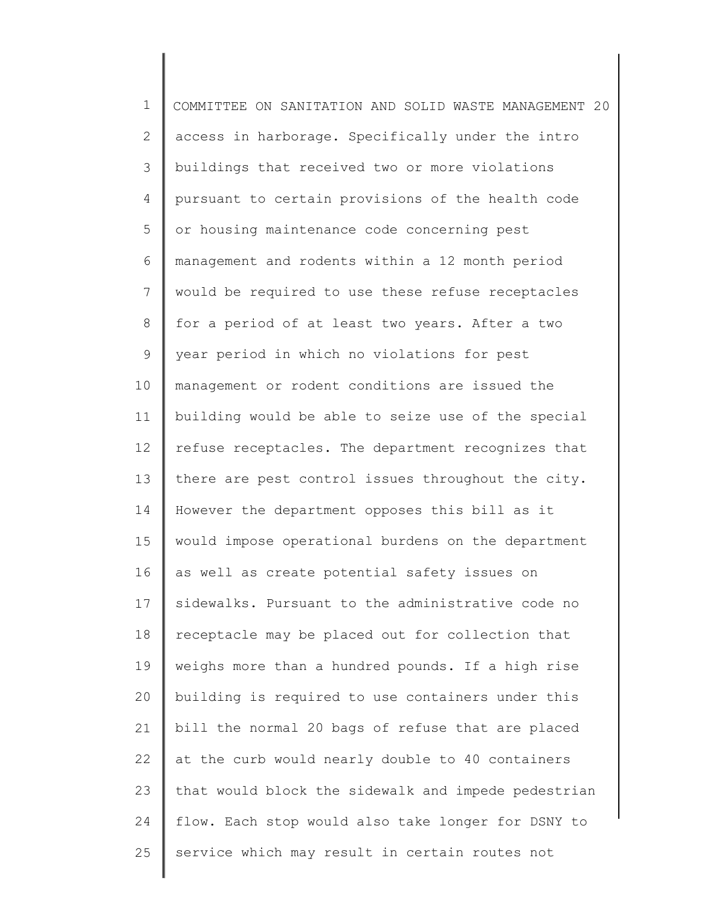1 2 3 4 5 6 7 8 9 10 11 12 13 14 15 16 17 18 19 20 21 22 23 24 25 COMMITTEE ON SANITATION AND SOLID WASTE MANAGEMENT 20 access in harborage. Specifically under the intro buildings that received two or more violations pursuant to certain provisions of the health code or housing maintenance code concerning pest management and rodents within a 12 month period would be required to use these refuse receptacles for a period of at least two years. After a two year period in which no violations for pest management or rodent conditions are issued the building would be able to seize use of the special refuse receptacles. The department recognizes that there are pest control issues throughout the city. However the department opposes this bill as it would impose operational burdens on the department as well as create potential safety issues on sidewalks. Pursuant to the administrative code no receptacle may be placed out for collection that weighs more than a hundred pounds. If a high rise building is required to use containers under this bill the normal 20 bags of refuse that are placed at the curb would nearly double to 40 containers that would block the sidewalk and impede pedestrian flow. Each stop would also take longer for DSNY to service which may result in certain routes not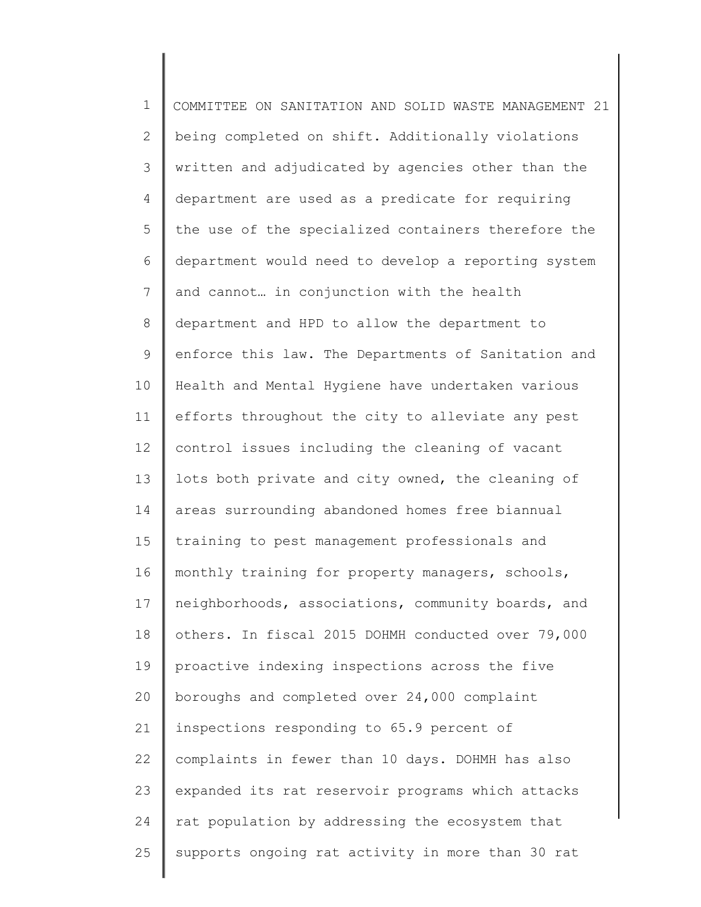1 2 3 4 5 6 7 8 9 10 11 12 13 14 15 16 17 18 19 20 21 22 23 24 25 COMMITTEE ON SANITATION AND SOLID WASTE MANAGEMENT 21 being completed on shift. Additionally violations written and adjudicated by agencies other than the department are used as a predicate for requiring the use of the specialized containers therefore the department would need to develop a reporting system and cannot… in conjunction with the health department and HPD to allow the department to enforce this law. The Departments of Sanitation and Health and Mental Hygiene have undertaken various efforts throughout the city to alleviate any pest control issues including the cleaning of vacant lots both private and city owned, the cleaning of areas surrounding abandoned homes free biannual training to pest management professionals and monthly training for property managers, schools, neighborhoods, associations, community boards, and others. In fiscal 2015 DOHMH conducted over 79,000 proactive indexing inspections across the five boroughs and completed over 24,000 complaint inspections responding to 65.9 percent of complaints in fewer than 10 days. DOHMH has also expanded its rat reservoir programs which attacks rat population by addressing the ecosystem that supports ongoing rat activity in more than 30 rat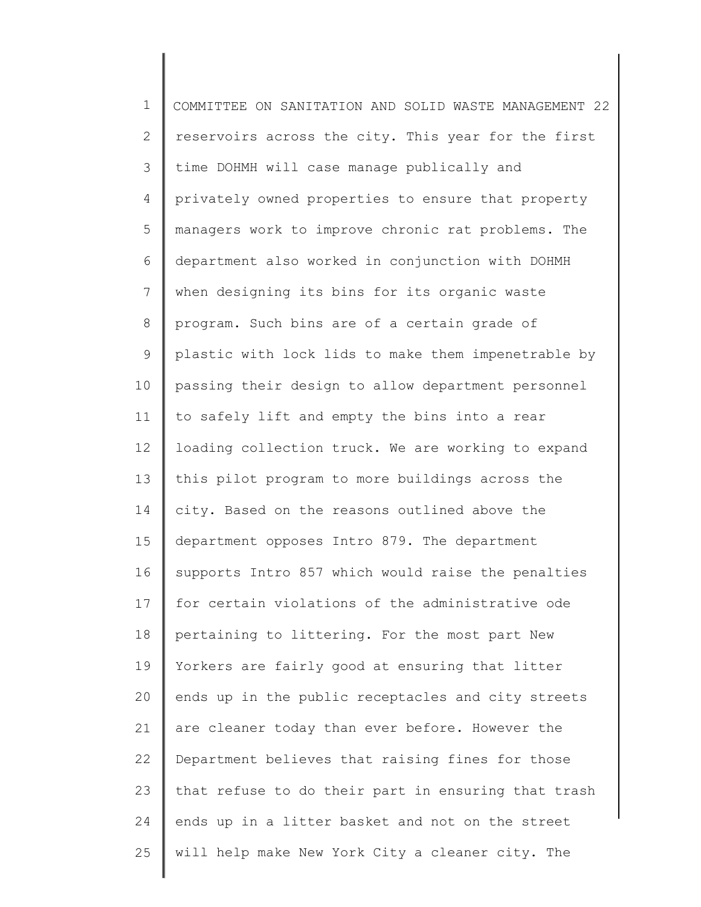1 2 3 4 5 6 7 8 9 10 11 12 13 14 15 16 17 18 19 20 21 22 23 24 25 COMMITTEE ON SANITATION AND SOLID WASTE MANAGEMENT 22 reservoirs across the city. This year for the first time DOHMH will case manage publically and privately owned properties to ensure that property managers work to improve chronic rat problems. The department also worked in conjunction with DOHMH when designing its bins for its organic waste program. Such bins are of a certain grade of plastic with lock lids to make them impenetrable by passing their design to allow department personnel to safely lift and empty the bins into a rear loading collection truck. We are working to expand this pilot program to more buildings across the city. Based on the reasons outlined above the department opposes Intro 879. The department supports Intro 857 which would raise the penalties for certain violations of the administrative ode pertaining to littering. For the most part New Yorkers are fairly good at ensuring that litter ends up in the public receptacles and city streets are cleaner today than ever before. However the Department believes that raising fines for those that refuse to do their part in ensuring that trash ends up in a litter basket and not on the street will help make New York City a cleaner city. The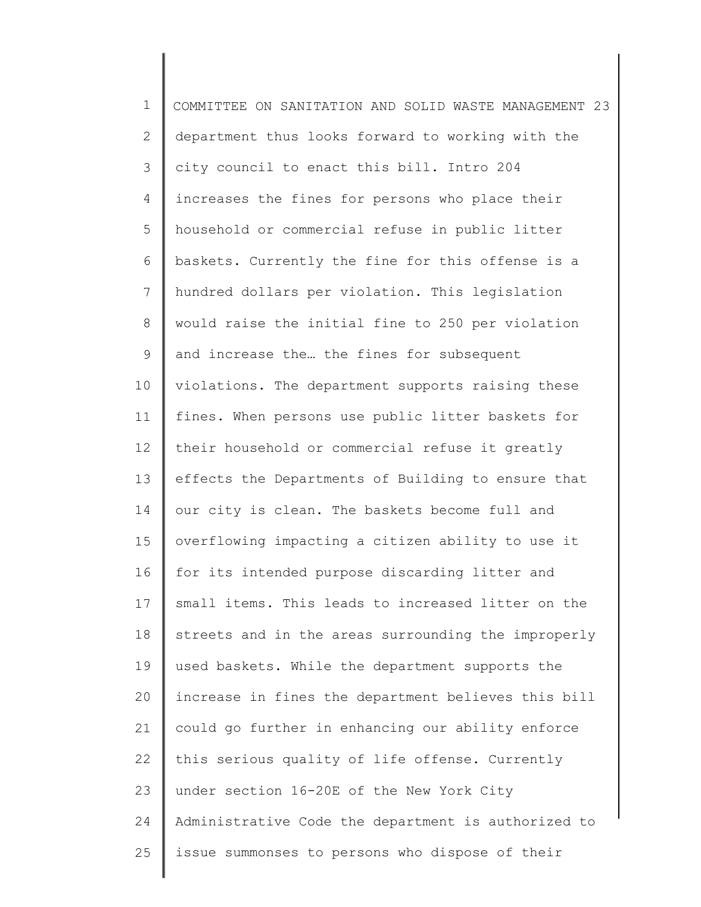1 2 3 4 5 6 7 8 9 10 11 12 13 14 15 16 17 18 19 20 21 22 23 24 25 COMMITTEE ON SANITATION AND SOLID WASTE MANAGEMENT 23 department thus looks forward to working with the city council to enact this bill. Intro 204 increases the fines for persons who place their household or commercial refuse in public litter baskets. Currently the fine for this offense is a hundred dollars per violation. This legislation would raise the initial fine to 250 per violation and increase the… the fines for subsequent violations. The department supports raising these fines. When persons use public litter baskets for their household or commercial refuse it greatly effects the Departments of Building to ensure that our city is clean. The baskets become full and overflowing impacting a citizen ability to use it for its intended purpose discarding litter and small items. This leads to increased litter on the streets and in the areas surrounding the improperly used baskets. While the department supports the increase in fines the department believes this bill could go further in enhancing our ability enforce this serious quality of life offense. Currently under section 16-20E of the New York City Administrative Code the department is authorized to issue summonses to persons who dispose of their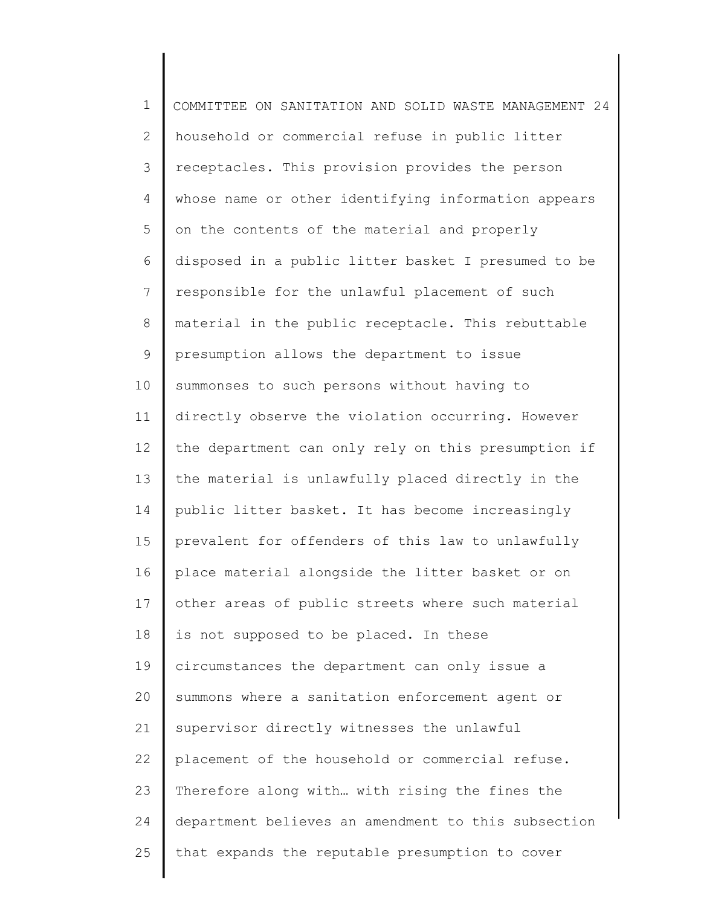1 2 3 4 5 6 7 8 9 10 11 12 13 14 15 16 17 18 19 20 21 22 23 24 25 COMMITTEE ON SANITATION AND SOLID WASTE MANAGEMENT 24 household or commercial refuse in public litter receptacles. This provision provides the person whose name or other identifying information appears on the contents of the material and properly disposed in a public litter basket I presumed to be responsible for the unlawful placement of such material in the public receptacle. This rebuttable presumption allows the department to issue summonses to such persons without having to directly observe the violation occurring. However the department can only rely on this presumption if the material is unlawfully placed directly in the public litter basket. It has become increasingly prevalent for offenders of this law to unlawfully place material alongside the litter basket or on other areas of public streets where such material is not supposed to be placed. In these circumstances the department can only issue a summons where a sanitation enforcement agent or supervisor directly witnesses the unlawful placement of the household or commercial refuse. Therefore along with… with rising the fines the department believes an amendment to this subsection that expands the reputable presumption to cover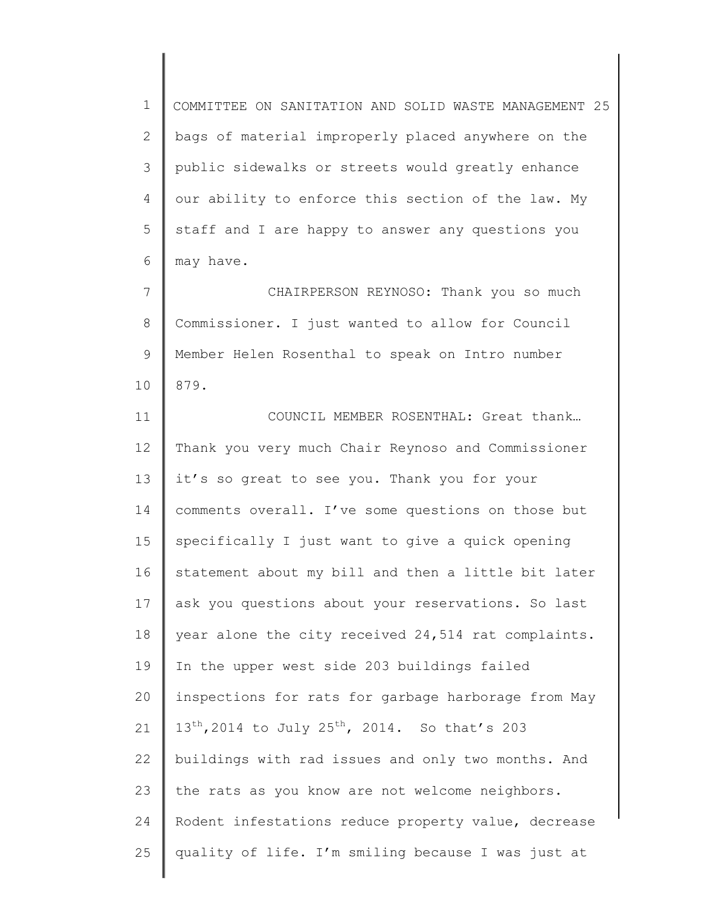1 2 3 4 5 6 COMMITTEE ON SANITATION AND SOLID WASTE MANAGEMENT 25 bags of material improperly placed anywhere on the public sidewalks or streets would greatly enhance our ability to enforce this section of the law. My staff and I are happy to answer any questions you may have.

7 8 9 10 CHAIRPERSON REYNOSO: Thank you so much Commissioner. I just wanted to allow for Council Member Helen Rosenthal to speak on Intro number 879.

11 12 13 14 15 16 17 18 19 20 21 22 23 24 25 COUNCIL MEMBER ROSENTHAL: Great thank… Thank you very much Chair Reynoso and Commissioner it's so great to see you. Thank you for your comments overall. I've some questions on those but specifically I just want to give a quick opening statement about my bill and then a little bit later ask you questions about your reservations. So last year alone the city received 24,514 rat complaints. In the upper west side 203 buildings failed inspections for rats for garbage harborage from May  $13^{th}$ , 2014 to July 25<sup>th</sup>, 2014. So that's 203 buildings with rad issues and only two months. And the rats as you know are not welcome neighbors. Rodent infestations reduce property value, decrease quality of life. I'm smiling because I was just at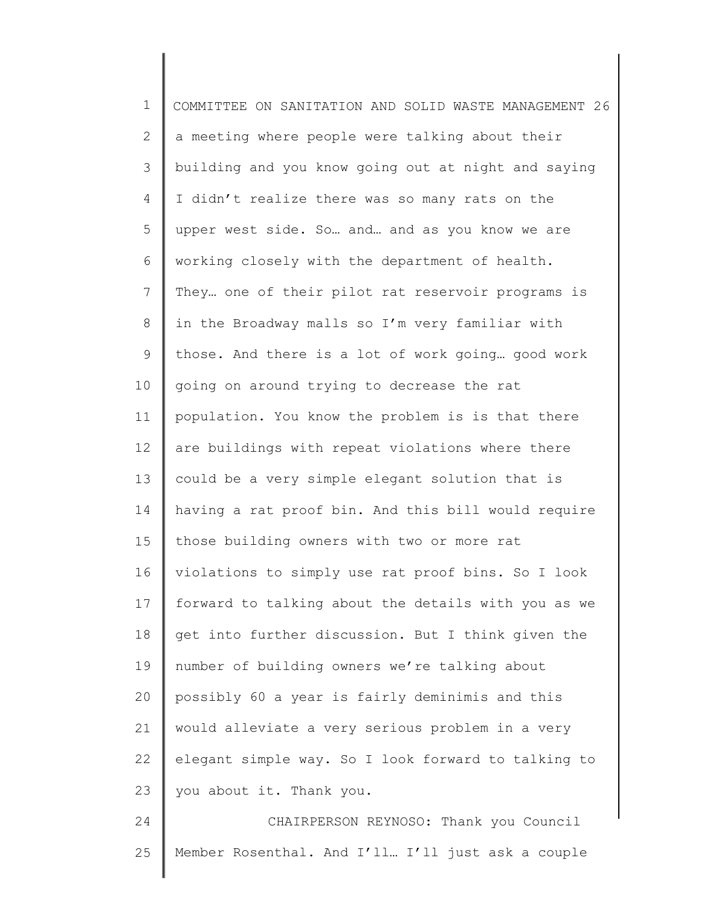| $\mathbf 1$   | COMMITTEE ON SANITATION AND SOLID WASTE MANAGEMENT 26 |
|---------------|-------------------------------------------------------|
| $\mathbf{2}$  | a meeting where people were talking about their       |
| $\mathcal{S}$ | building and you know going out at night and saying   |
| 4             | I didn't realize there was so many rats on the        |
| 5             | upper west side. So and and as you know we are        |
| 6             | working closely with the department of health.        |
| 7             | They one of their pilot rat reservoir programs is     |
| $8\,$         | in the Broadway malls so I'm very familiar with       |
| $\mathsf 9$   | those. And there is a lot of work going good work     |
| 10            | going on around trying to decrease the rat            |
| 11            | population. You know the problem is is that there     |
| 12            | are buildings with repeat violations where there      |
| 13            | could be a very simple elegant solution that is       |
| 14            | having a rat proof bin. And this bill would require   |
| 15            | those building owners with two or more rat            |
| 16            | violations to simply use rat proof bins. So I look    |
| 17            | forward to talking about the details with you as we   |
| 18            | get into further discussion. But I think given the    |
| 19            | number of building owners we're talking about         |
| 20            | possibly 60 a year is fairly deminimis and this       |
| 21            | would alleviate a very serious problem in a very      |
| 22            | elegant simple way. So I look forward to talking to   |
| 23            | you about it. Thank you.                              |
| 24            | CHAIRPERSON REYNOSO: Thank you Council                |
| 25            | Member Rosenthal. And I'll I'll just ask a couple     |

 $\mathsf I$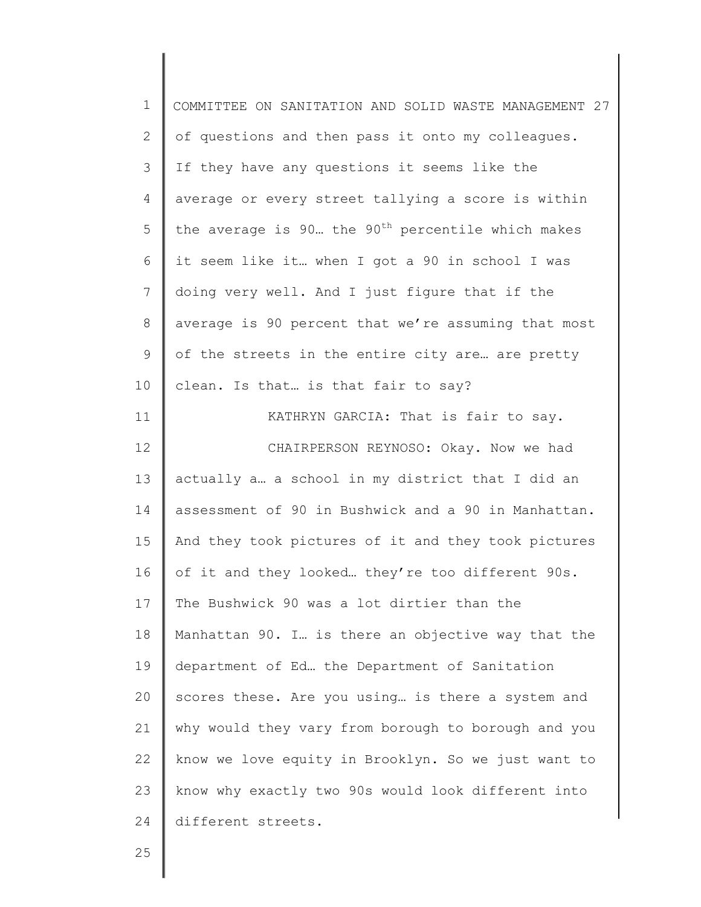| $\mathbf 1$  | COMMITTEE ON SANITATION AND SOLID WASTE MANAGEMENT 27          |
|--------------|----------------------------------------------------------------|
| $\mathbf{2}$ | of questions and then pass it onto my colleagues.              |
| 3            | If they have any questions it seems like the                   |
| 4            | average or every street tallying a score is within             |
| 5            | the average is 90. the 90 <sup>th</sup> percentile which makes |
| 6            | it seem like it when I got a 90 in school I was                |
| 7            | doing very well. And I just figure that if the                 |
| 8            | average is 90 percent that we're assuming that most            |
| 9            | of the streets in the entire city are are pretty               |
| 10           | clean. Is that is that fair to say?                            |
| 11           | KATHRYN GARCIA: That is fair to say.                           |
| 12           | CHAIRPERSON REYNOSO: Okay. Now we had                          |
| 13           | actually a a school in my district that I did an               |
| 14           | assessment of 90 in Bushwick and a 90 in Manhattan.            |
| 15           | And they took pictures of it and they took pictures            |
| 16           | of it and they looked they're too different 90s.               |
| 17           | The Bushwick 90 was a lot dirtier than the                     |
| 18           | Manhattan 90. I. is there an objective way that the            |
| 19           | department of Ed the Department of Sanitation                  |
| 20           | scores these. Are you using is there a system and              |
| 21           | why would they vary from borough to borough and you            |
| 22           | know we love equity in Brooklyn. So we just want to            |
| 23           | know why exactly two 90s would look different into             |
| 24           | different streets.                                             |
|              |                                                                |

25

Ι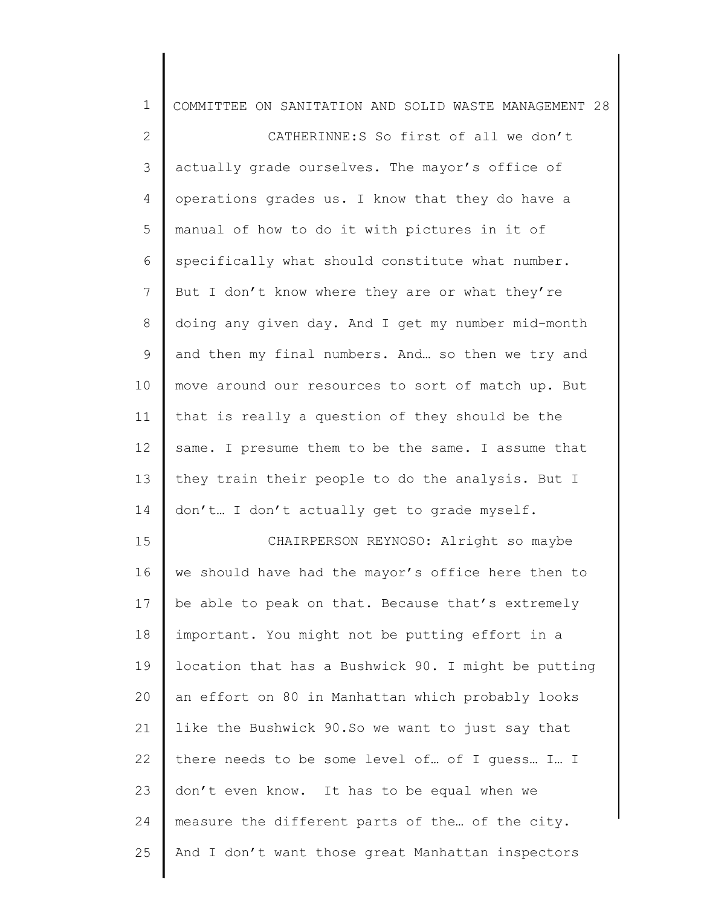| $\mathbf 1$    | COMMITTEE ON SANITATION AND SOLID WASTE MANAGEMENT 28 |
|----------------|-------------------------------------------------------|
| $\mathbf{2}$   | CATHERINNE:S So first of all we don't                 |
| 3              | actually grade ourselves. The mayor's office of       |
| 4              | operations grades us. I know that they do have a      |
| 5              | manual of how to do it with pictures in it of         |
| 6              | specifically what should constitute what number.      |
| $\overline{7}$ | But I don't know where they are or what they're       |
| $\,8\,$        | doing any given day. And I get my number mid-month    |
| $\mathsf 9$    | and then my final numbers. And so then we try and     |
| 10             | move around our resources to sort of match up. But    |
| 11             | that is really a question of they should be the       |
| 12             | same. I presume them to be the same. I assume that    |
| 13             | they train their people to do the analysis. But I     |
| 14             | don't I don't actually get to grade myself.           |
| 15             | CHAIRPERSON REYNOSO: Alright so maybe                 |
| 16             | we should have had the mayor's office here then to    |
| 17             | be able to peak on that. Because that's extremely     |
| 18             | important. You might not be putting effort in a       |
| 19             | location that has a Bushwick 90. I might be putting   |
| 20             | an effort on 80 in Manhattan which probably looks     |
| 21             | like the Bushwick 90. So we want to just say that     |
| 22             | there needs to be some level of  of I guess I I       |
| 23             | don't even know. It has to be equal when we           |
| 24             | measure the different parts of the of the city.       |
| 25             | And I don't want those great Manhattan inspectors     |
|                |                                                       |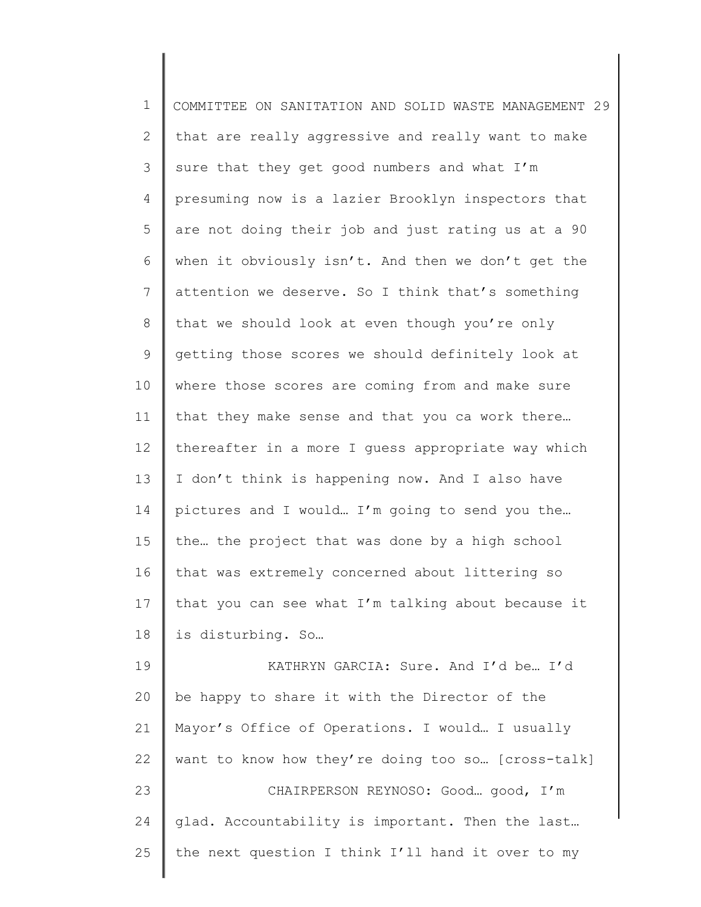1 2 3 4 5 6 7 8 9 10 11 12 13 14 15 16 17 18 19 20 21 22 23 24 25 COMMITTEE ON SANITATION AND SOLID WASTE MANAGEMENT 29 that are really aggressive and really want to make sure that they get good numbers and what I'm presuming now is a lazier Brooklyn inspectors that are not doing their job and just rating us at a 90 when it obviously isn't. And then we don't get the attention we deserve. So I think that's something that we should look at even though you're only getting those scores we should definitely look at where those scores are coming from and make sure that they make sense and that you ca work there… thereafter in a more I guess appropriate way which I don't think is happening now. And I also have pictures and I would… I'm going to send you the… the… the project that was done by a high school that was extremely concerned about littering so that you can see what I'm talking about because it is disturbing. So… KATHRYN GARCIA: Sure. And I'd be… I'd be happy to share it with the Director of the Mayor's Office of Operations. I would… I usually want to know how they're doing too so… [cross-talk] CHAIRPERSON REYNOSO: Good… good, I'm glad. Accountability is important. Then the last… the next question I think I'll hand it over to my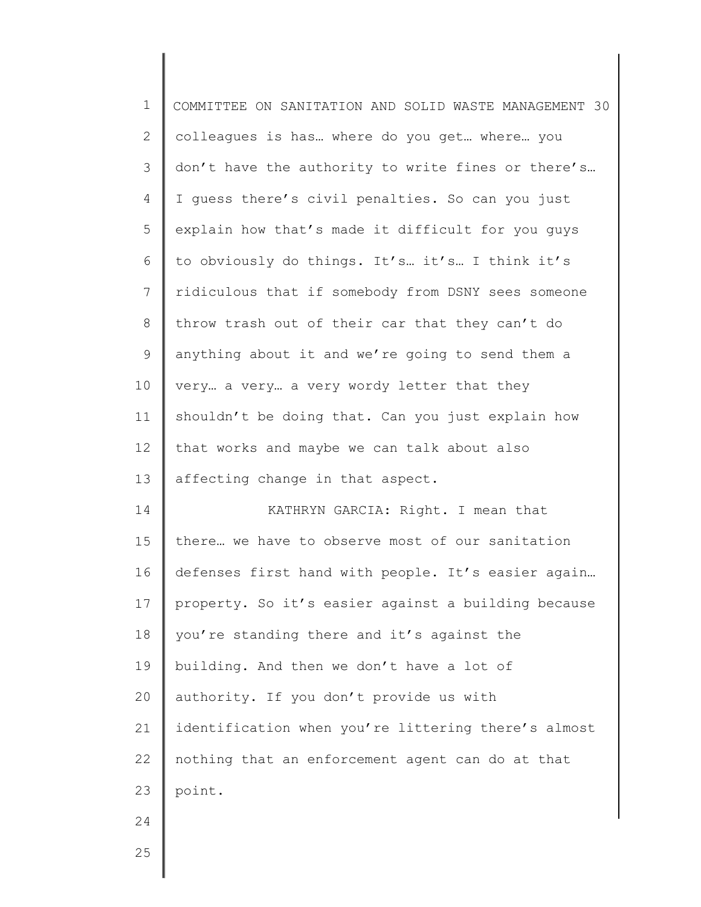| $\mathbf 1$  | COMMITTEE ON SANITATION AND SOLID WASTE MANAGEMENT 30 |
|--------------|-------------------------------------------------------|
| $\mathbf{2}$ | colleagues is has where do you get where you          |
| 3            | don't have the authority to write fines or there's    |
| 4            | I guess there's civil penalties. So can you just      |
| 5            | explain how that's made it difficult for you guys     |
| 6            | to obviously do things. It's it's I think it's        |
| 7            | ridiculous that if somebody from DSNY sees someone    |
| $8\,$        | throw trash out of their car that they can't do       |
| $\mathsf 9$  | anything about it and we're going to send them a      |
| 10           | very a very a very wordy letter that they             |
| 11           | shouldn't be doing that. Can you just explain how     |
| 12           | that works and maybe we can talk about also           |
| 13           | affecting change in that aspect.                      |
| 14           | KATHRYN GARCIA: Right. I mean that                    |
| 15           | there we have to observe most of our sanitation       |
| 16           | defenses first hand with people. It's easier again    |
| 17           | property. So it's easier against a building because   |
| 18           | you're standing there and it's against the            |
| 19           | building. And then we don't have a lot of             |
| 20           | authority. If you don't provide us with               |
| 21           | identification when you're littering there's almost   |
| 22           | nothing that an enforcement agent can do at that      |
| 23           | point.                                                |
| 24           |                                                       |
| 25           |                                                       |
|              |                                                       |

∥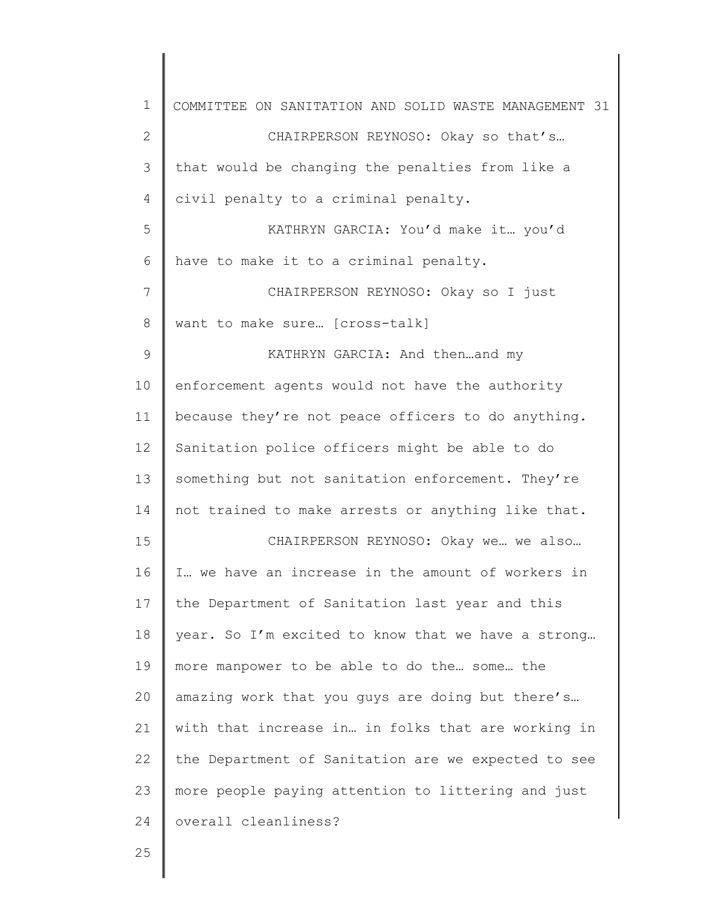| $\mathbf 1$    | COMMITTEE ON SANITATION AND SOLID WASTE MANAGEMENT 31 |
|----------------|-------------------------------------------------------|
| $\mathbf{2}$   | CHAIRPERSON REYNOSO: Okay so that's                   |
| 3              | that would be changing the penalties from like a      |
| 4              | civil penalty to a criminal penalty.                  |
| 5              | KATHRYN GARCIA: You'd make it you'd                   |
| 6              | have to make it to a criminal penalty.                |
| $\overline{7}$ | CHAIRPERSON REYNOSO: Okay so I just                   |
| 8              | want to make sure [cross-talk]                        |
| $\mathsf 9$    | KATHRYN GARCIA: And thenand my                        |
| 10             | enforcement agents would not have the authority       |
| 11             | because they're not peace officers to do anything.    |
| 12             | Sanitation police officers might be able to do        |
| 13             | something but not sanitation enforcement. They're     |
| 14             | not trained to make arrests or anything like that.    |
| 15             | CHAIRPERSON REYNOSO: Okay we we also                  |
| 16             | I we have an increase in the amount of workers in     |
| 17             | the Department of Sanitation last year and this       |
| 18             | year. So I'm excited to know that we have a strong    |
| 19             | more manpower to be able to do the some the           |
| 20             | amazing work that you guys are doing but there's      |
| 21             | with that increase in in folks that are working in    |
| 22             | the Department of Sanitation are we expected to see   |
| 23             | more people paying attention to littering and just    |
| 24             | overall cleanliness?                                  |
| 25             |                                                       |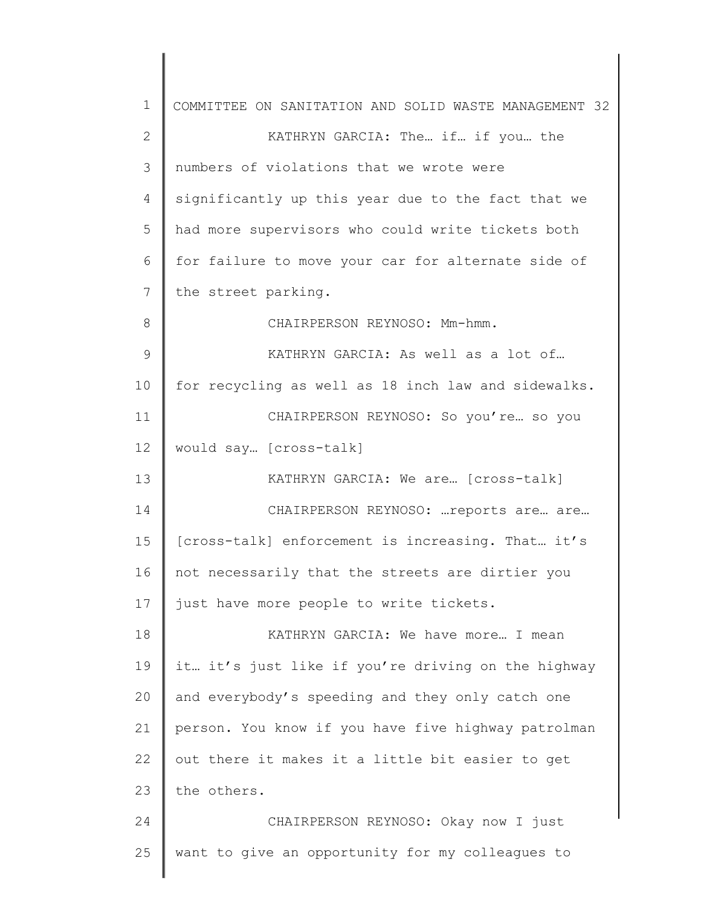| 1  | COMMITTEE ON SANITATION AND SOLID WASTE MANAGEMENT 32 |
|----|-------------------------------------------------------|
| 2  | KATHRYN GARCIA: The if if you the                     |
| 3  | numbers of violations that we wrote were              |
| 4  | significantly up this year due to the fact that we    |
| 5  | had more supervisors who could write tickets both     |
| 6  | for failure to move your car for alternate side of    |
| 7  | the street parking.                                   |
| 8  | CHAIRPERSON REYNOSO: Mm-hmm.                          |
| 9  | KATHRYN GARCIA: As well as a lot of                   |
| 10 | for recycling as well as 18 inch law and sidewalks.   |
| 11 | CHAIRPERSON REYNOSO: So you're so you                 |
| 12 | would say [cross-talk]                                |
| 13 | KATHRYN GARCIA: We are [cross-talk]                   |
| 14 | CHAIRPERSON REYNOSO:  reports are are                 |
| 15 | [cross-talk] enforcement is increasing. That it's     |
| 16 | not necessarily that the streets are dirtier you      |
| 17 | just have more people to write tickets.               |
| 18 | KATHRYN GARCIA: We have more I mean                   |
| 19 | it it's just like if you're driving on the highway    |
| 20 | and everybody's speeding and they only catch one      |
| 21 | person. You know if you have five highway patrolman   |
| 22 | out there it makes it a little bit easier to get      |
| 23 | the others.                                           |
| 24 | CHAIRPERSON REYNOSO: Okay now I just                  |
| 25 | want to give an opportunity for my colleagues to      |
|    |                                                       |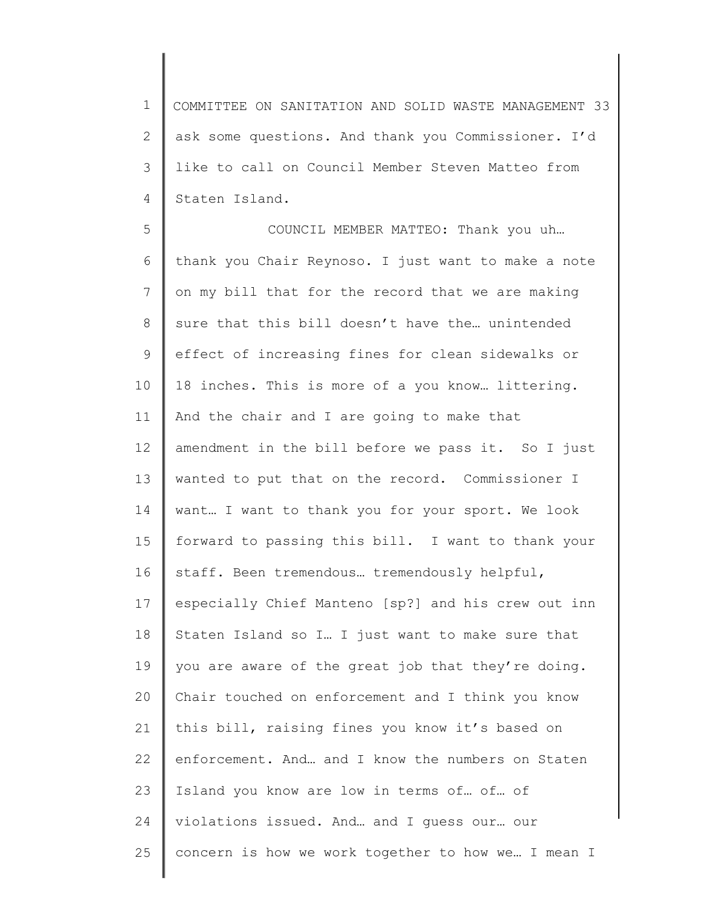1 2 3 4 COMMITTEE ON SANITATION AND SOLID WASTE MANAGEMENT 33 ask some questions. And thank you Commissioner. I'd like to call on Council Member Steven Matteo from Staten Island.

5 6 7 8 9 10 11 12 13 14 15 16 17 18 19 20 21 22 23 24 25 COUNCIL MEMBER MATTEO: Thank you uh… thank you Chair Reynoso. I just want to make a note on my bill that for the record that we are making sure that this bill doesn't have the… unintended effect of increasing fines for clean sidewalks or 18 inches. This is more of a you know… littering. And the chair and I are going to make that amendment in the bill before we pass it. So I just wanted to put that on the record. Commissioner I want… I want to thank you for your sport. We look forward to passing this bill. I want to thank your staff. Been tremendous… tremendously helpful, especially Chief Manteno [sp?] and his crew out inn Staten Island so I… I just want to make sure that you are aware of the great job that they're doing. Chair touched on enforcement and I think you know this bill, raising fines you know it's based on enforcement. And… and I know the numbers on Staten Island you know are low in terms of… of… of violations issued. And… and I guess our… our concern is how we work together to how we… I mean I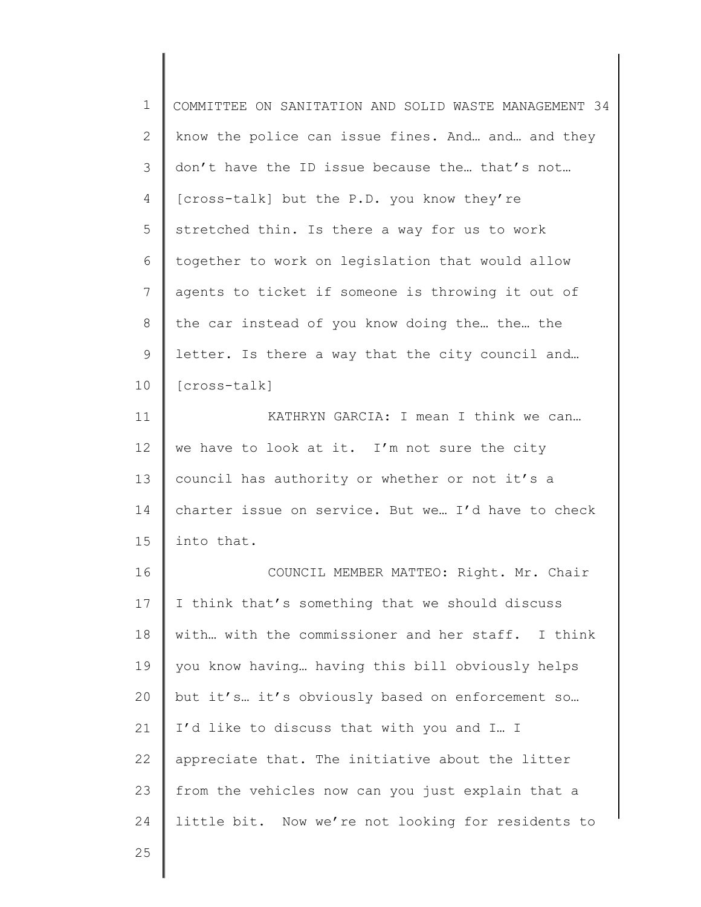1 2 3 4 5 6 7 8 9 10 11 12 13 14 15 COMMITTEE ON SANITATION AND SOLID WASTE MANAGEMENT 34 know the police can issue fines. And… and… and they don't have the ID issue because the… that's not… [cross-talk] but the P.D. you know they're stretched thin. Is there a way for us to work together to work on legislation that would allow agents to ticket if someone is throwing it out of the car instead of you know doing the… the… the letter. Is there a way that the city council and… [cross-talk] KATHRYN GARCIA: I mean I think we can… we have to look at it. I'm not sure the city council has authority or whether or not it's a charter issue on service. But we… I'd have to check into that.

16 17 18 19 20 21 22 23 24 COUNCIL MEMBER MATTEO: Right. Mr. Chair I think that's something that we should discuss with… with the commissioner and her staff. I think you know having… having this bill obviously helps but it's… it's obviously based on enforcement so… I'd like to discuss that with you and I… I appreciate that. The initiative about the litter from the vehicles now can you just explain that a little bit. Now we're not looking for residents to

25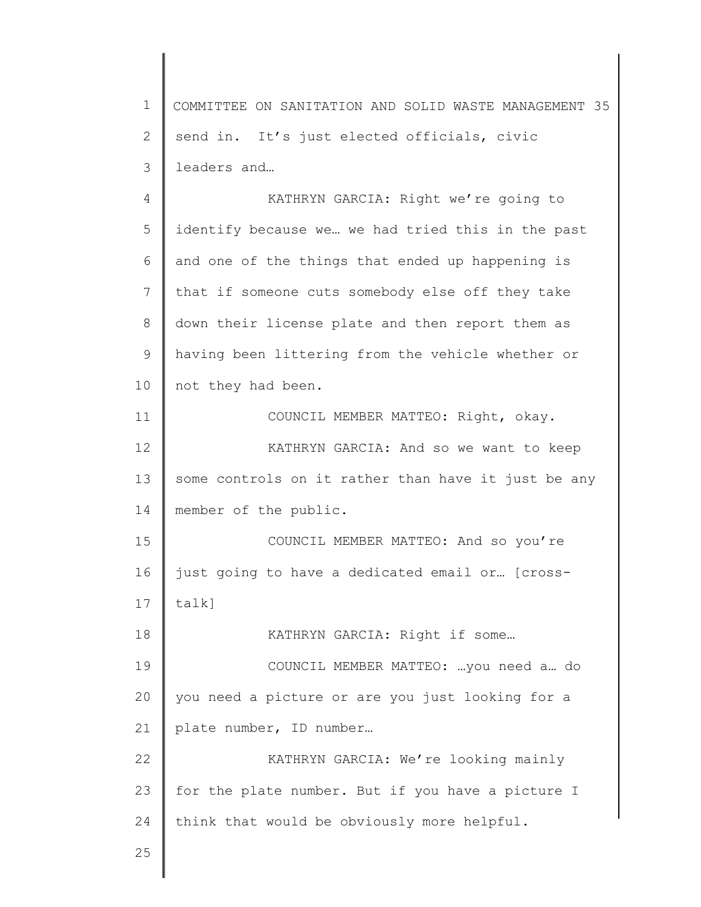1 2 3 4 5 6 7 8 9 10 11 12 13 14 15 16 17 18 19 20 21 22 23 24 25 COMMITTEE ON SANITATION AND SOLID WASTE MANAGEMENT 35 send in. It's just elected officials, civic leaders and… KATHRYN GARCIA: Right we're going to identify because we… we had tried this in the past and one of the things that ended up happening is that if someone cuts somebody else off they take down their license plate and then report them as having been littering from the vehicle whether or not they had been. COUNCIL MEMBER MATTEO: Right, okay. KATHRYN GARCIA: And so we want to keep some controls on it rather than have it just be any member of the public. COUNCIL MEMBER MATTEO: And so you're just going to have a dedicated email or… [crosstalk] KATHRYN GARCIA: Right if some… COUNCIL MEMBER MATTEO: …you need a… do you need a picture or are you just looking for a plate number, ID number… KATHRYN GARCIA: We're looking mainly for the plate number. But if you have a picture I think that would be obviously more helpful.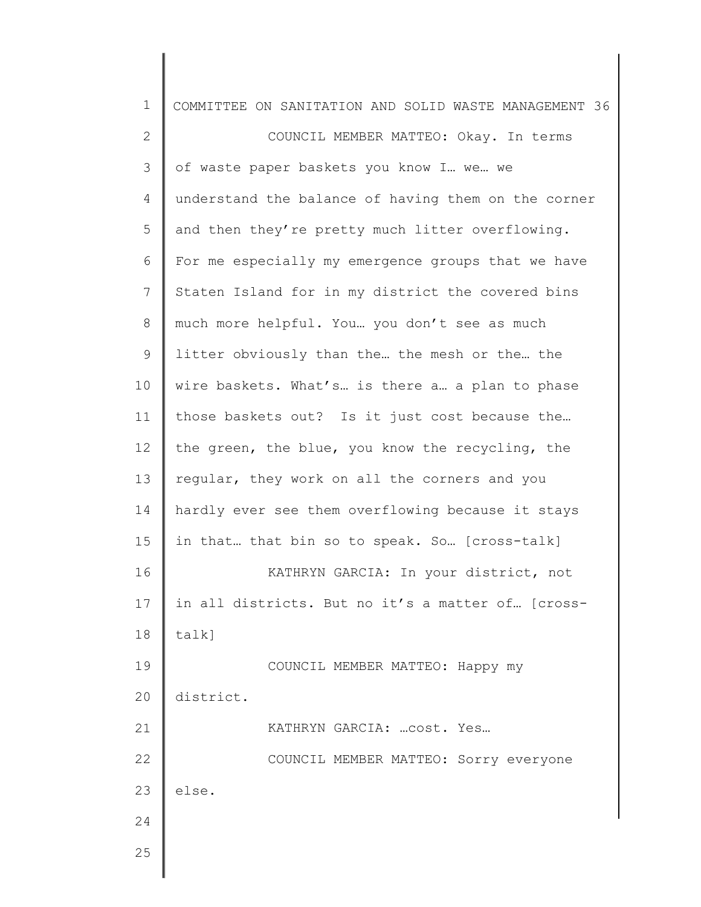| $\mathbf 1$    | COMMITTEE ON SANITATION AND SOLID WASTE MANAGEMENT 36 |
|----------------|-------------------------------------------------------|
| $\mathbf 2$    | COUNCIL MEMBER MATTEO: Okay. In terms                 |
| $\mathfrak{Z}$ | of waste paper baskets you know I we we               |
| 4              | understand the balance of having them on the corner   |
| 5              | and then they're pretty much litter overflowing.      |
| 6              | For me especially my emergence groups that we have    |
| $7\phantom{.}$ | Staten Island for in my district the covered bins     |
| 8              | much more helpful. You you don't see as much          |
| $\mathsf 9$    | litter obviously than the the mesh or the the         |
| 10             | wire baskets. What's is there a a plan to phase       |
| 11             | those baskets out? Is it just cost because the        |
| 12             | the green, the blue, you know the recycling, the      |
| 13             | regular, they work on all the corners and you         |
| 14             | hardly ever see them overflowing because it stays     |
| 15             | in that that bin so to speak. So [cross-talk]         |
| 16             | KATHRYN GARCIA: In your district, not                 |
| 17             | in all districts. But no it's a matter of [cross-     |
| 18             | talk]                                                 |
| 19             | COUNCIL MEMBER MATTEO: Happy my                       |
| 20             | district.                                             |
| 21             | KATHRYN GARCIA:  cost. Yes                            |
| 22             | COUNCIL MEMBER MATTEO: Sorry everyone                 |
| 23             | else.                                                 |
| 24             |                                                       |
| 25             |                                                       |
|                |                                                       |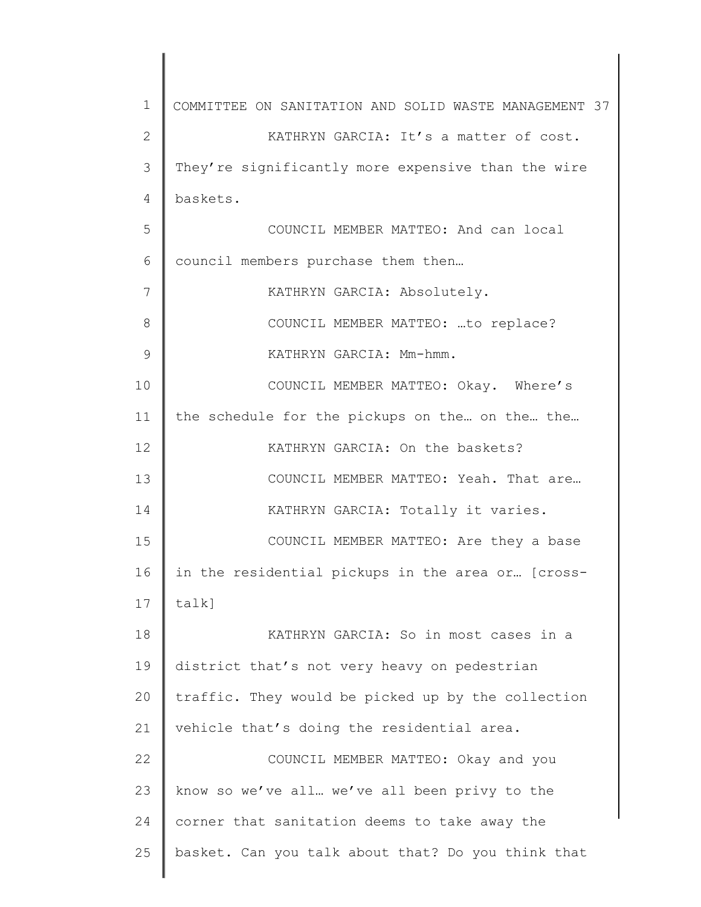1 2 3 4 5 6 7 8 9 10 11 12 13 14 15 16 17 18 19 20 21 22 23 24 25 COMMITTEE ON SANITATION AND SOLID WASTE MANAGEMENT 37 KATHRYN GARCIA: It's a matter of cost. They're significantly more expensive than the wire baskets. COUNCIL MEMBER MATTEO: And can local council members purchase them then… KATHRYN GARCIA: Absolutely. COUNCIL MEMBER MATTEO: …to replace? KATHRYN GARCIA: Mm-hmm. COUNCIL MEMBER MATTEO: Okay. Where's the schedule for the pickups on the… on the… the… KATHRYN GARCIA: On the baskets? COUNCIL MEMBER MATTEO: Yeah. That are… KATHRYN GARCIA: Totally it varies. COUNCIL MEMBER MATTEO: Are they a base in the residential pickups in the area or… [crosstalk] KATHRYN GARCIA: So in most cases in a district that's not very heavy on pedestrian traffic. They would be picked up by the collection vehicle that's doing the residential area. COUNCIL MEMBER MATTEO: Okay and you know so we've all… we've all been privy to the corner that sanitation deems to take away the basket. Can you talk about that? Do you think that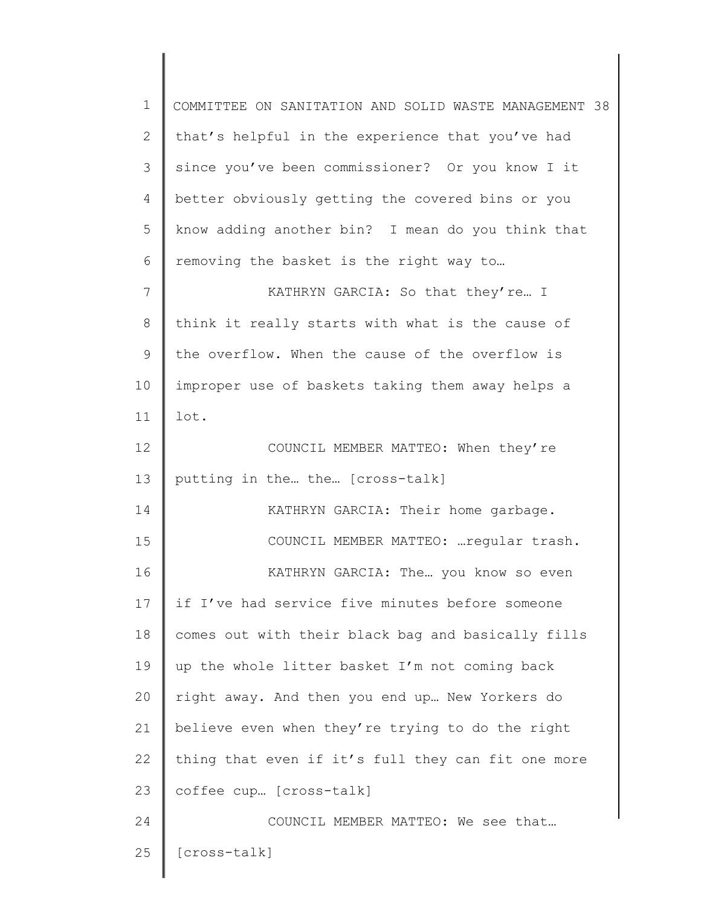| $\mathbf 1$  | COMMITTEE ON SANITATION AND SOLID WASTE MANAGEMENT 38 |
|--------------|-------------------------------------------------------|
| $\mathbf{2}$ | that's helpful in the experience that you've had      |
| 3            | since you've been commissioner? Or you know I it      |
| 4            | better obviously getting the covered bins or you      |
| 5            | know adding another bin? I mean do you think that     |
| 6            | removing the basket is the right way to               |
| 7            | KATHRYN GARCIA: So that they're I                     |
| $8\,$        | think it really starts with what is the cause of      |
| 9            | the overflow. When the cause of the overflow is       |
| 10           | improper use of baskets taking them away helps a      |
| 11           | lot.                                                  |
| 12           | COUNCIL MEMBER MATTEO: When they're                   |
| 13           | putting in the the [cross-talk]                       |
| 14           | KATHRYN GARCIA: Their home garbage.                   |
| 15           | COUNCIL MEMBER MATTEO:  regular trash.                |
| 16           | KATHRYN GARCIA: The you know so even                  |
| 17           | if I've had service five minutes before someone       |
| 18           | comes out with their black bag and basically fills    |
| 19           | up the whole litter basket I'm not coming back        |
| 20           | right away. And then you end up New Yorkers do        |
| 21           | believe even when they're trying to do the right      |
| 22           | thing that even if it's full they can fit one more    |
| 23           | coffee cup [cross-talk]                               |
| 24           | COUNCIL MEMBER MATTEO: We see that                    |
| 25           | [cross-talk]                                          |
|              |                                                       |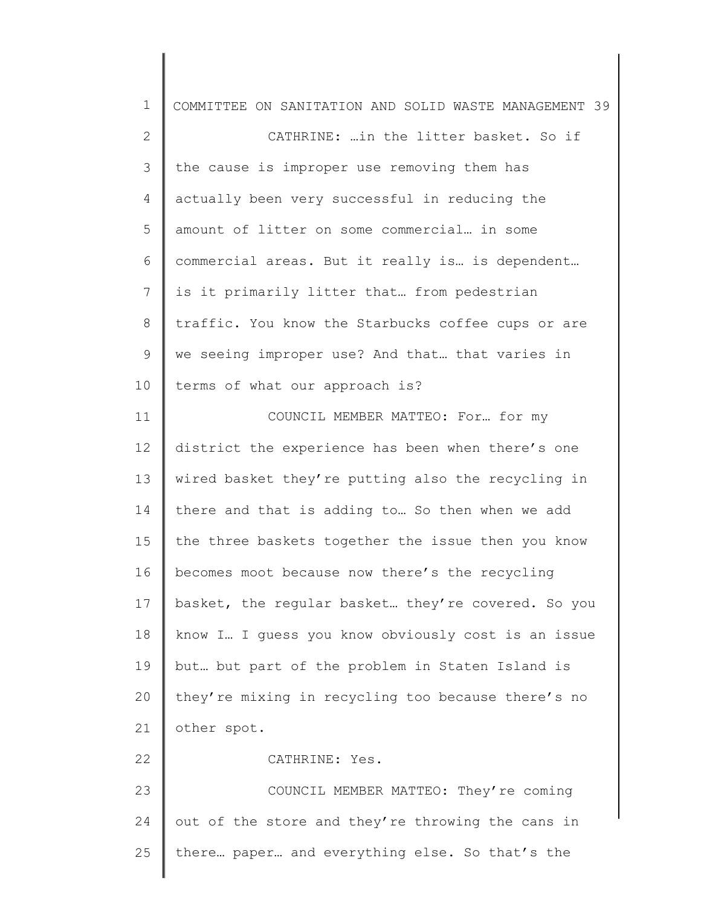| $\mathbf 1$    | COMMITTEE ON SANITATION AND SOLID WASTE MANAGEMENT 39 |
|----------------|-------------------------------------------------------|
| $\mathbf{2}$   | CATHRINE:  in the litter basket. So if                |
| 3              | the cause is improper use removing them has           |
| $\overline{4}$ | actually been very successful in reducing the         |
| 5              | amount of litter on some commercial in some           |
| 6              | commercial areas. But it really is is dependent       |
| 7              | is it primarily litter that from pedestrian           |
| 8              | traffic. You know the Starbucks coffee cups or are    |
| 9              | we seeing improper use? And that that varies in       |
| 10             | terms of what our approach is?                        |
| 11             | COUNCIL MEMBER MATTEO: For for my                     |
| 12             | district the experience has been when there's one     |
| 13             | wired basket they're putting also the recycling in    |
| 14             | there and that is adding to So then when we add       |
| 15             | the three baskets together the issue then you know    |
| 16             | becomes moot because now there's the recycling        |
| 17             | basket, the regular basket they're covered. So you    |
| 18             | know I I guess you know obviously cost is an issue    |
| 19             | but but part of the problem in Staten Island is       |
| 20             | they're mixing in recycling too because there's no    |
| 21             | other spot.                                           |
| 22             | CATHRINE: Yes.                                        |
| 23             | COUNCIL MEMBER MATTEO: They're coming                 |
| 24             | out of the store and they're throwing the cans in     |
| 25             | there paper and everything else. So that's the        |
|                |                                                       |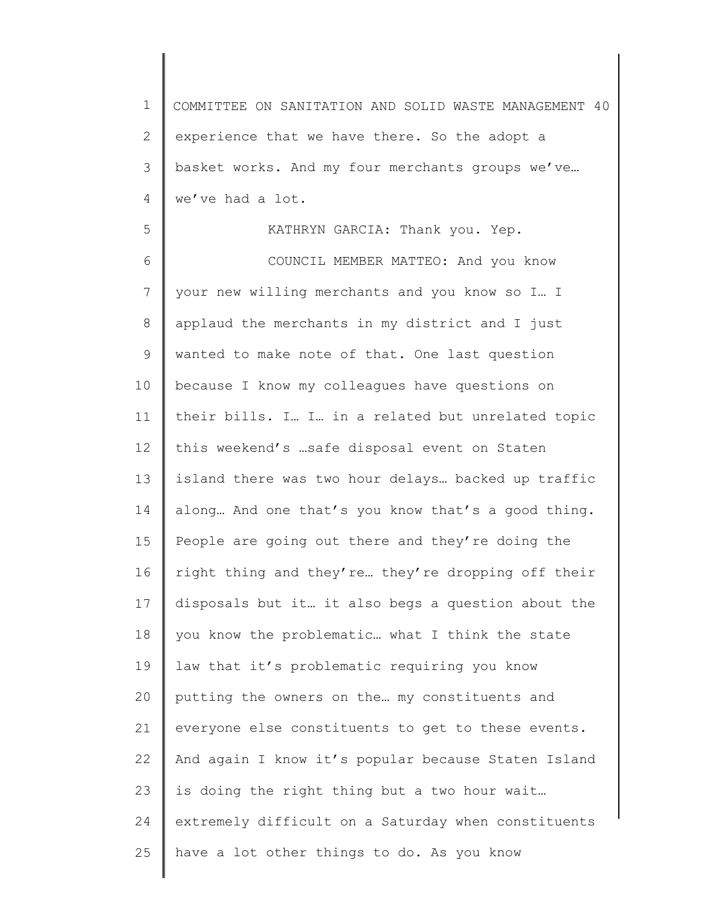1 2 3 4 COMMITTEE ON SANITATION AND SOLID WASTE MANAGEMENT 40 experience that we have there. So the adopt a basket works. And my four merchants groups we've… we've had a lot.

5 6 7 8 9 10 11 12 13 14 15 16 17 18 19 20 21 22 23 24 25 KATHRYN GARCIA: Thank you. Yep. COUNCIL MEMBER MATTEO: And you know your new willing merchants and you know so I… I applaud the merchants in my district and I just wanted to make note of that. One last question because I know my colleagues have questions on their bills. I… I… in a related but unrelated topic this weekend's …safe disposal event on Staten island there was two hour delays… backed up traffic along… And one that's you know that's a good thing. People are going out there and they're doing the right thing and they're… they're dropping off their disposals but it… it also begs a question about the you know the problematic… what I think the state law that it's problematic requiring you know putting the owners on the… my constituents and everyone else constituents to get to these events. And again I know it's popular because Staten Island is doing the right thing but a two hour wait… extremely difficult on a Saturday when constituents have a lot other things to do. As you know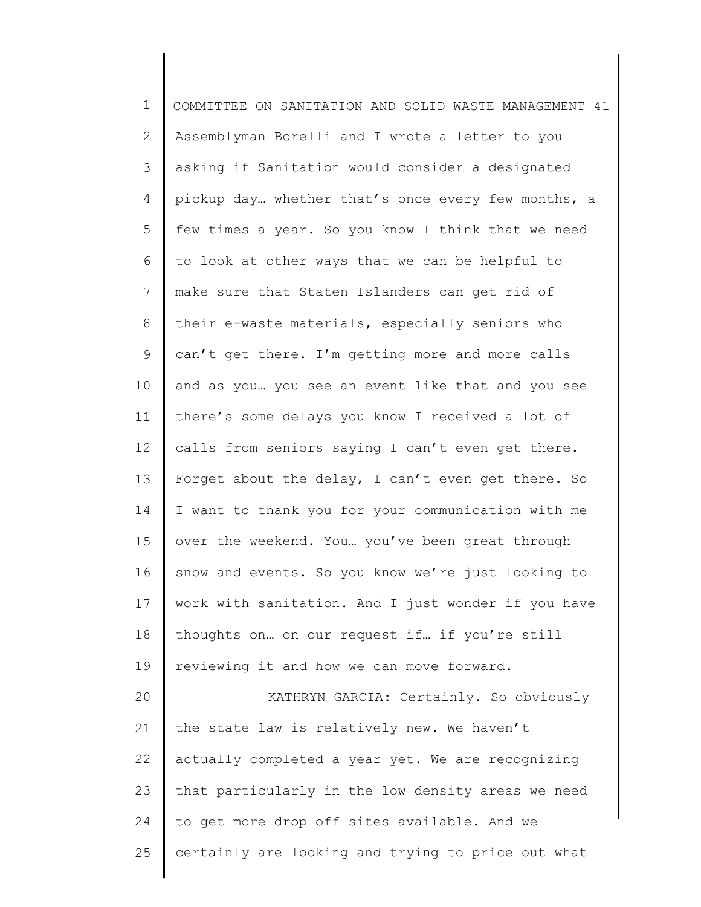| $\mathbf 1$ | COMMITTEE ON SANITATION AND SOLID WASTE MANAGEMENT 41 |
|-------------|-------------------------------------------------------|
| 2           | Assemblyman Borelli and I wrote a letter to you       |
| 3           | asking if Sanitation would consider a designated      |
| 4           | pickup day whether that's once every few months, a    |
| 5           | few times a year. So you know I think that we need    |
| 6           | to look at other ways that we can be helpful to       |
| 7           | make sure that Staten Islanders can get rid of        |
| 8           | their e-waste materials, especially seniors who       |
| 9           | can't get there. I'm getting more and more calls      |
| 10          | and as you you see an event like that and you see     |
| 11          | there's some delays you know I received a lot of      |
| 12          | calls from seniors saying I can't even get there.     |
| 13          | Forget about the delay, I can't even get there. So    |
| 14          | I want to thank you for your communication with me    |
| 15          | over the weekend. You you've been great through       |
| 16          | snow and events. So you know we're just looking to    |
| 17          | work with sanitation. And I just wonder if you have   |
| 18          | thoughts on on our request if if you're still         |
| 19          | reviewing it and how we can move forward.             |
| 20          | KATHRYN GARCIA: Certainly. So obviously               |
| 21          | the state law is relatively new. We haven't           |
| 22          | actually completed a year yet. We are recognizing     |
| 23          | that particularly in the low density areas we need    |
| 24          | to get more drop off sites available. And we          |
| 25          | certainly are looking and trying to price out what    |
|             |                                                       |

║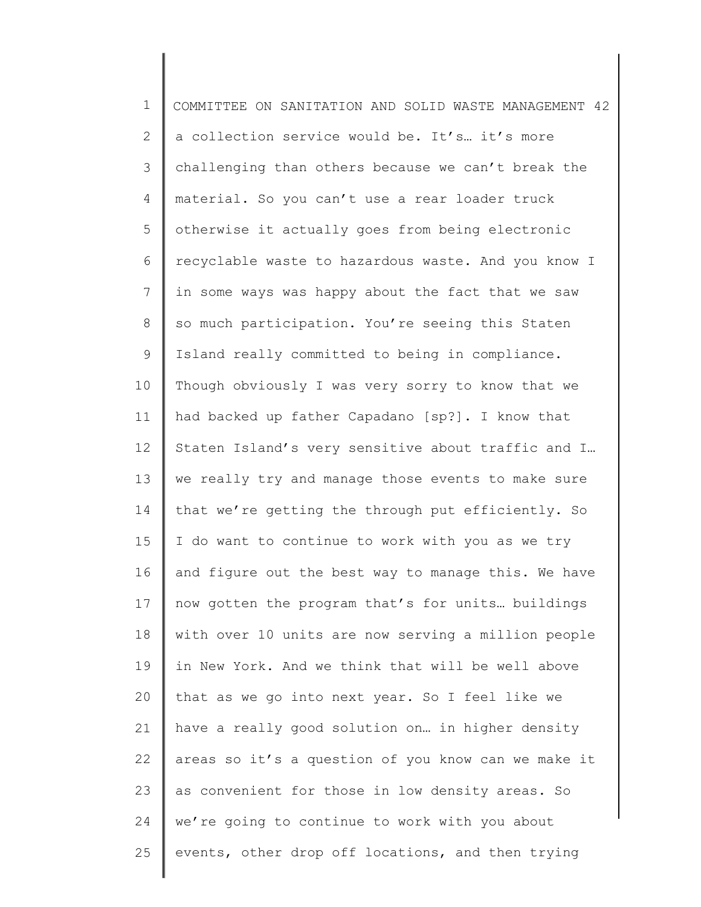1 2 3 4 5 6 7 8 9 10 11 12 13 14 15 16 17 18 19 20 21 22 23 24 25 COMMITTEE ON SANITATION AND SOLID WASTE MANAGEMENT 42 a collection service would be. It's… it's more challenging than others because we can't break the material. So you can't use a rear loader truck otherwise it actually goes from being electronic recyclable waste to hazardous waste. And you know I in some ways was happy about the fact that we saw so much participation. You're seeing this Staten Island really committed to being in compliance. Though obviously I was very sorry to know that we had backed up father Capadano [sp?]. I know that Staten Island's very sensitive about traffic and I… we really try and manage those events to make sure that we're getting the through put efficiently. So I do want to continue to work with you as we try and figure out the best way to manage this. We have now gotten the program that's for units… buildings with over 10 units are now serving a million people in New York. And we think that will be well above that as we go into next year. So I feel like we have a really good solution on… in higher density areas so it's a question of you know can we make it as convenient for those in low density areas. So we're going to continue to work with you about events, other drop off locations, and then trying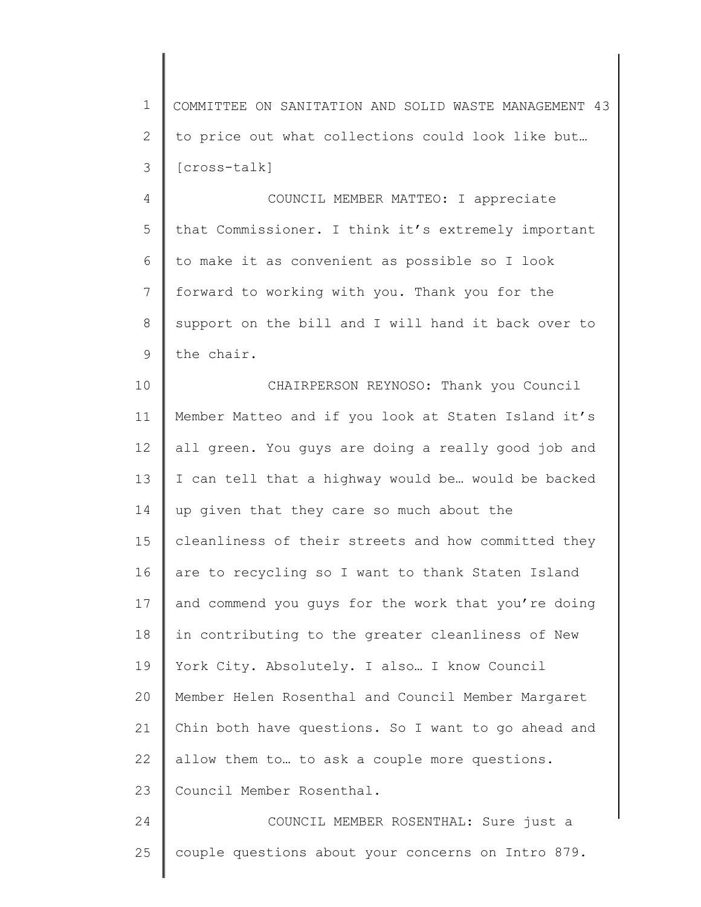1 2 3 COMMITTEE ON SANITATION AND SOLID WASTE MANAGEMENT 43 to price out what collections could look like but… [cross-talk]

4 5 6 7 8 9 COUNCIL MEMBER MATTEO: I appreciate that Commissioner. I think it's extremely important to make it as convenient as possible so I look forward to working with you. Thank you for the support on the bill and I will hand it back over to the chair.

10 11 12 13 14 15 16 17 18 19 20 21 22 23 24 CHAIRPERSON REYNOSO: Thank you Council Member Matteo and if you look at Staten Island it's all green. You guys are doing a really good job and I can tell that a highway would be… would be backed up given that they care so much about the cleanliness of their streets and how committed they are to recycling so I want to thank Staten Island and commend you guys for the work that you're doing in contributing to the greater cleanliness of New York City. Absolutely. I also… I know Council Member Helen Rosenthal and Council Member Margaret Chin both have questions. So I want to go ahead and allow them to… to ask a couple more questions. Council Member Rosenthal. COUNCIL MEMBER ROSENTHAL: Sure just a

25 couple questions about your concerns on Intro 879.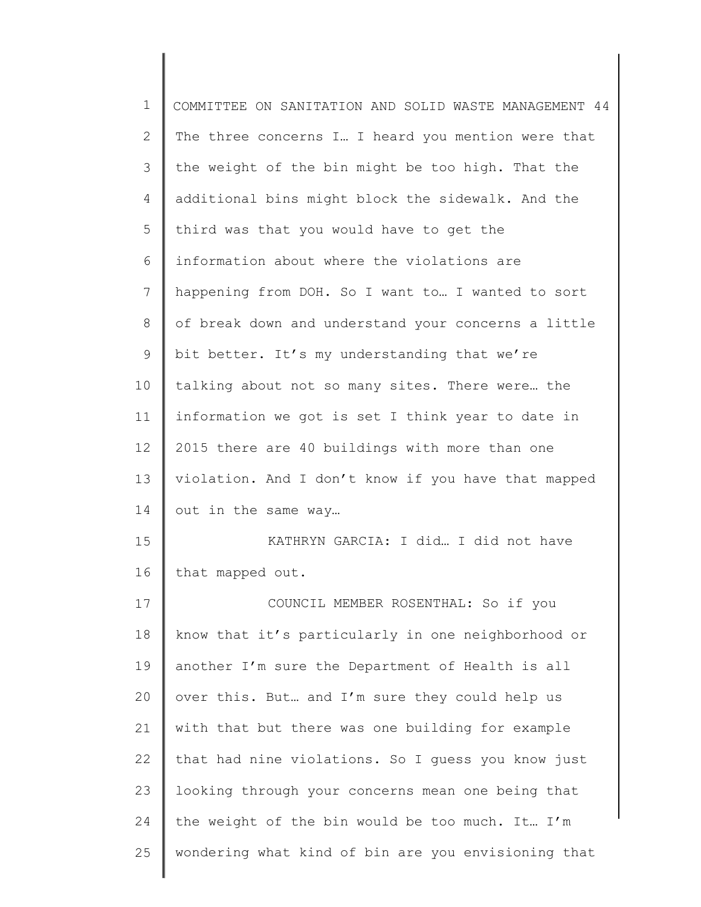| $\mathbf 1$    | COMMITTEE ON SANITATION AND SOLID WASTE MANAGEMENT 44 |
|----------------|-------------------------------------------------------|
| $\mathbf{2}$   | The three concerns I I heard you mention were that    |
| 3              | the weight of the bin might be too high. That the     |
| 4              | additional bins might block the sidewalk. And the     |
| 5              | third was that you would have to get the              |
| 6              | information about where the violations are            |
| $7\phantom{.}$ | happening from DOH. So I want to I wanted to sort     |
| 8              | of break down and understand your concerns a little   |
| $\mathsf 9$    | bit better. It's my understanding that we're          |
| 10             | talking about not so many sites. There were the       |
| 11             | information we got is set I think year to date in     |
| 12             | 2015 there are 40 buildings with more than one        |
| 13             | violation. And I don't know if you have that mapped   |
| 14             | out in the same way                                   |
| 15             | KATHRYN GARCIA: I did I did not have                  |
| 16             | that mapped out.                                      |
| 17             | COUNCIL MEMBER ROSENTHAL: So if you                   |
| 18             | know that it's particularly in one neighborhood or    |
| 19             | another I'm sure the Department of Health is all      |
| 20             | over this. But and I'm sure they could help us        |
| 21             | with that but there was one building for example      |
| 22             | that had nine violations. So I guess you know just    |
| 23             | looking through your concerns mean one being that     |
| 24             | the weight of the bin would be too much. It I'm       |
| 25             | wondering what kind of bin are you envisioning that   |
|                |                                                       |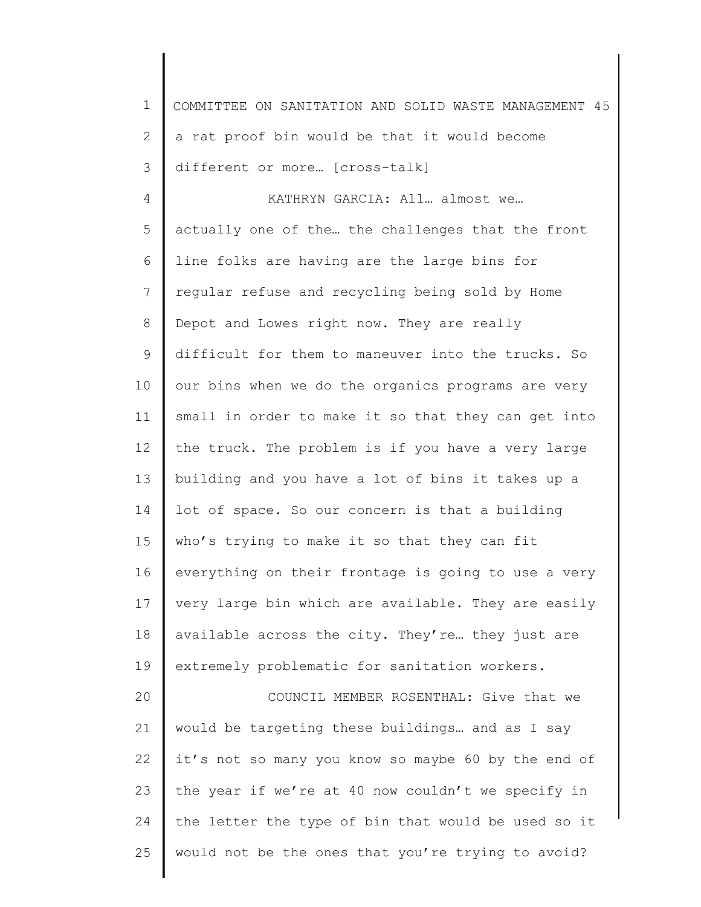1 2 3 4 5 6 7 8 9 10 11 12 13 14 15 16 17 18 19 20 21 22 23 24 25 COMMITTEE ON SANITATION AND SOLID WASTE MANAGEMENT 45 a rat proof bin would be that it would become different or more… [cross-talk] KATHRYN GARCIA: All… almost we… actually one of the… the challenges that the front line folks are having are the large bins for regular refuse and recycling being sold by Home Depot and Lowes right now. They are really difficult for them to maneuver into the trucks. So our bins when we do the organics programs are very small in order to make it so that they can get into the truck. The problem is if you have a very large building and you have a lot of bins it takes up a lot of space. So our concern is that a building who's trying to make it so that they can fit everything on their frontage is going to use a very very large bin which are available. They are easily available across the city. They're… they just are extremely problematic for sanitation workers. COUNCIL MEMBER ROSENTHAL: Give that we would be targeting these buildings… and as I say it's not so many you know so maybe 60 by the end of the year if we're at 40 now couldn't we specify in the letter the type of bin that would be used so it would not be the ones that you're trying to avoid?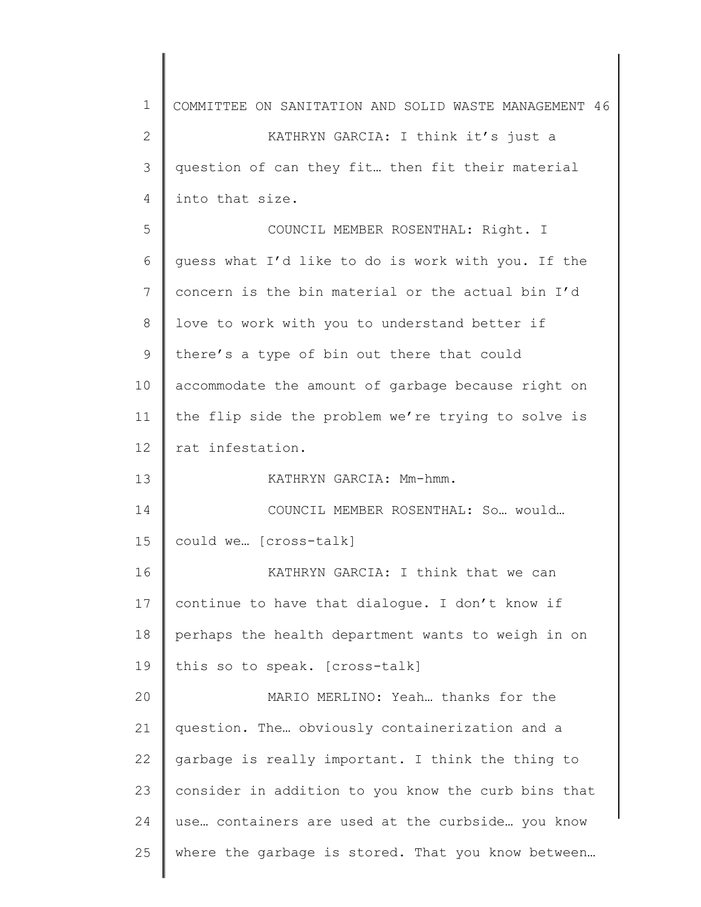| 1            | COMMITTEE ON SANITATION AND SOLID WASTE MANAGEMENT 46 |
|--------------|-------------------------------------------------------|
| $\mathbf{2}$ | KATHRYN GARCIA: I think it's just a                   |
| 3            | question of can they fit then fit their material      |
| 4            | into that size.                                       |
| 5            | COUNCIL MEMBER ROSENTHAL: Right. I                    |
| 6            | guess what I'd like to do is work with you. If the    |
| 7            | concern is the bin material or the actual bin I'd     |
| 8            | love to work with you to understand better if         |
| 9            | there's a type of bin out there that could            |
| 10           | accommodate the amount of garbage because right on    |
| 11           | the flip side the problem we're trying to solve is    |
| 12           | rat infestation.                                      |
| 13           | KATHRYN GARCIA: Mm-hmm.                               |
| 14           | COUNCIL MEMBER ROSENTHAL: So would                    |
| 15           | could we [cross-talk]                                 |
| 16           | KATHRYN GARCIA: I think that we can                   |
| 17           | continue to have that dialogue. I don't know if       |
| 18           | perhaps the health department wants to weigh in on    |
| 19           | this so to speak. [cross-talk]                        |
| 20           | MARIO MERLINO: Yeah thanks for the                    |
| 21           | question. The obviously containerization and a        |
| 22           | garbage is really important. I think the thing to     |
| 23           | consider in addition to you know the curb bins that   |
| 24           | use containers are used at the curbside you know      |
| 25           | where the garbage is stored. That you know between    |
|              |                                                       |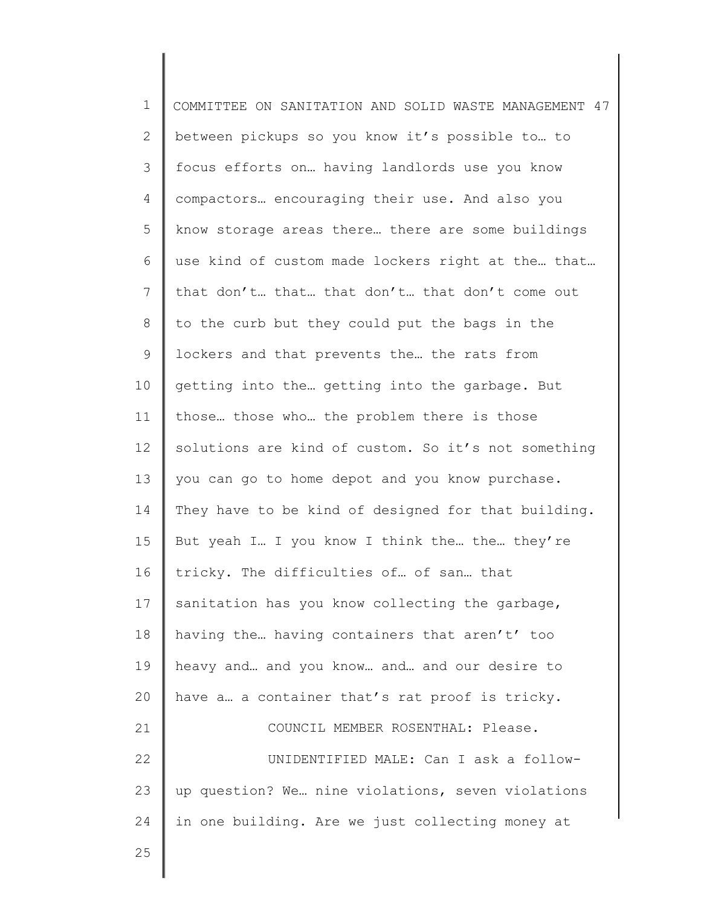1 2 3 4 5 6 7 8 9 10 11 12 13 14 15 16 17 18 19 20 21 22 23 24 COMMITTEE ON SANITATION AND SOLID WASTE MANAGEMENT 47 between pickups so you know it's possible to… to focus efforts on… having landlords use you know compactors… encouraging their use. And also you know storage areas there… there are some buildings use kind of custom made lockers right at the… that… that don't… that… that don't… that don't come out to the curb but they could put the bags in the lockers and that prevents the… the rats from getting into the… getting into the garbage. But those… those who… the problem there is those solutions are kind of custom. So it's not something you can go to home depot and you know purchase. They have to be kind of designed for that building. But yeah I… I you know I think the… the… they're tricky. The difficulties of… of san… that sanitation has you know collecting the garbage, having the… having containers that aren't' too heavy and… and you know… and… and our desire to have a… a container that's rat proof is tricky. COUNCIL MEMBER ROSENTHAL: Please. UNIDENTIFIED MALE: Can I ask a followup question? We… nine violations, seven violations in one building. Are we just collecting money at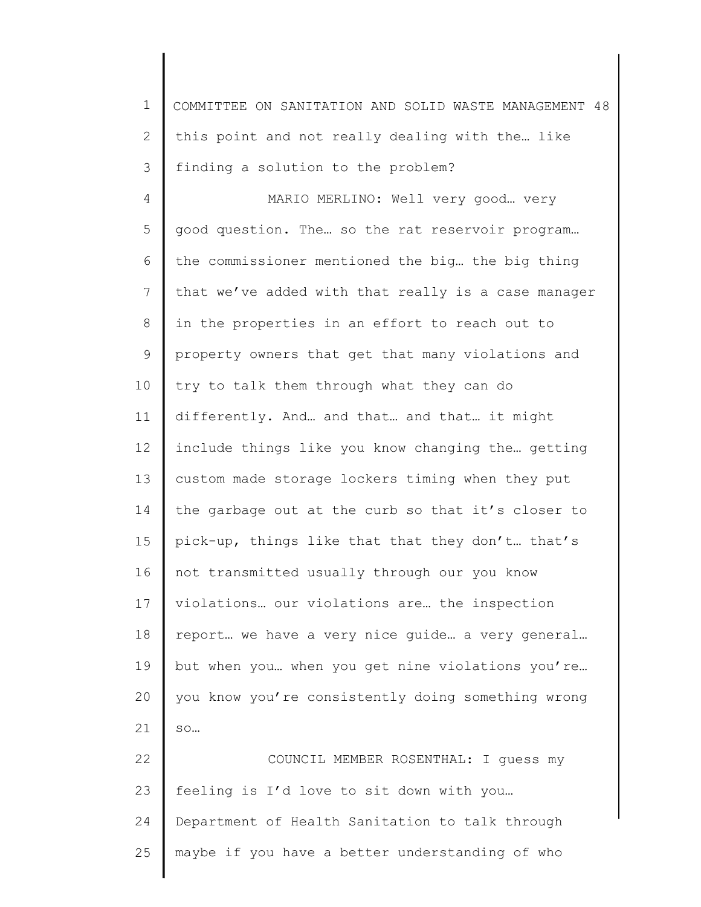1 2 3 COMMITTEE ON SANITATION AND SOLID WASTE MANAGEMENT 48 this point and not really dealing with the… like finding a solution to the problem?

4 5 6 7 8 9 10 11 12 13 14 15 16 17 18 19 20 21 22 23 24 MARIO MERLINO: Well very good… very good question. The… so the rat reservoir program… the commissioner mentioned the big… the big thing that we've added with that really is a case manager in the properties in an effort to reach out to property owners that get that many violations and try to talk them through what they can do differently. And… and that… and that… it might include things like you know changing the… getting custom made storage lockers timing when they put the garbage out at the curb so that it's closer to pick-up, things like that that they don't… that's not transmitted usually through our you know violations… our violations are… the inspection report… we have a very nice guide… a very general… but when you… when you get nine violations you're… you know you're consistently doing something wrong so… COUNCIL MEMBER ROSENTHAL: I guess my feeling is I'd love to sit down with you… Department of Health Sanitation to talk through

25 maybe if you have a better understanding of who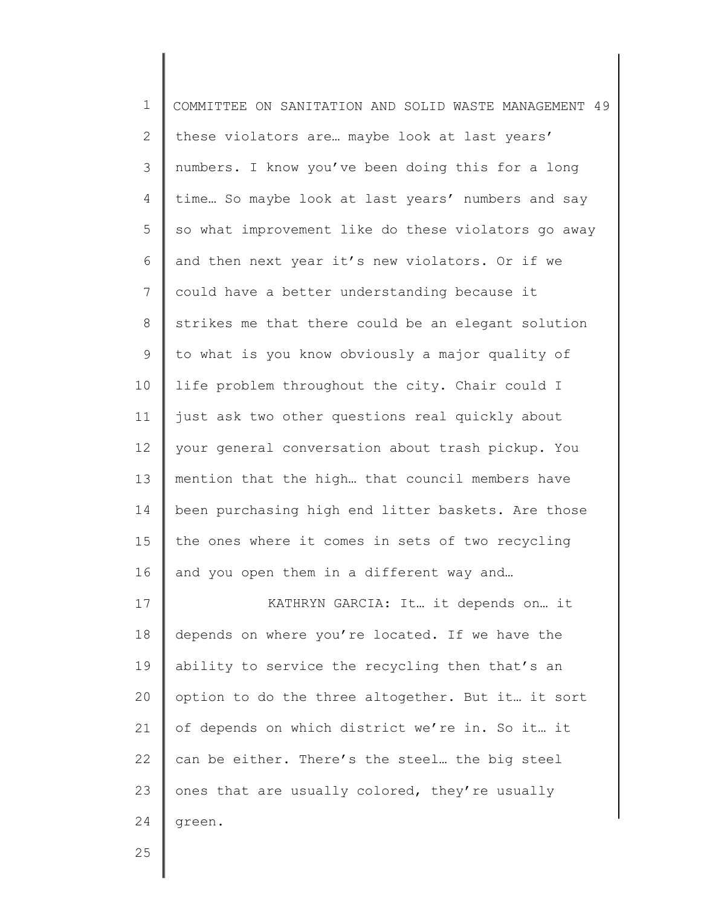| $\mathbf 1$  | COMMITTEE ON SANITATION AND SOLID WASTE MANAGEMENT 49 |
|--------------|-------------------------------------------------------|
| $\mathbf{2}$ | these violators are maybe look at last years'         |
| 3            | numbers. I know you've been doing this for a long     |
| 4            | time So maybe look at last years' numbers and say     |
| 5            | so what improvement like do these violators go away   |
| 6            | and then next year it's new violators. Or if we       |
| 7            | could have a better understanding because it          |
| 8            | strikes me that there could be an elegant solution    |
| 9            | to what is you know obviously a major quality of      |
| 10           | life problem throughout the city. Chair could I       |
| 11           | just ask two other questions real quickly about       |
| 12           | your general conversation about trash pickup. You     |
| 13           | mention that the high that council members have       |
| 14           | been purchasing high end litter baskets. Are those    |
| 15           | the ones where it comes in sets of two recycling      |
| 16           | and you open them in a different way and              |
| 17           | KATHRYN GARCIA: It it depends on it                   |
| 18           | depends on where you're located. If we have the       |
| 19           | ability to service the recycling then that's an       |
| 20           | option to do the three altogether. But it it sort     |
| 21           | of depends on which district we're in. So it it       |
| 22           | can be either. There's the steel the big steel        |
| 23           | ones that are usually colored, they're usually        |
| 24           | green.                                                |
|              |                                                       |

∥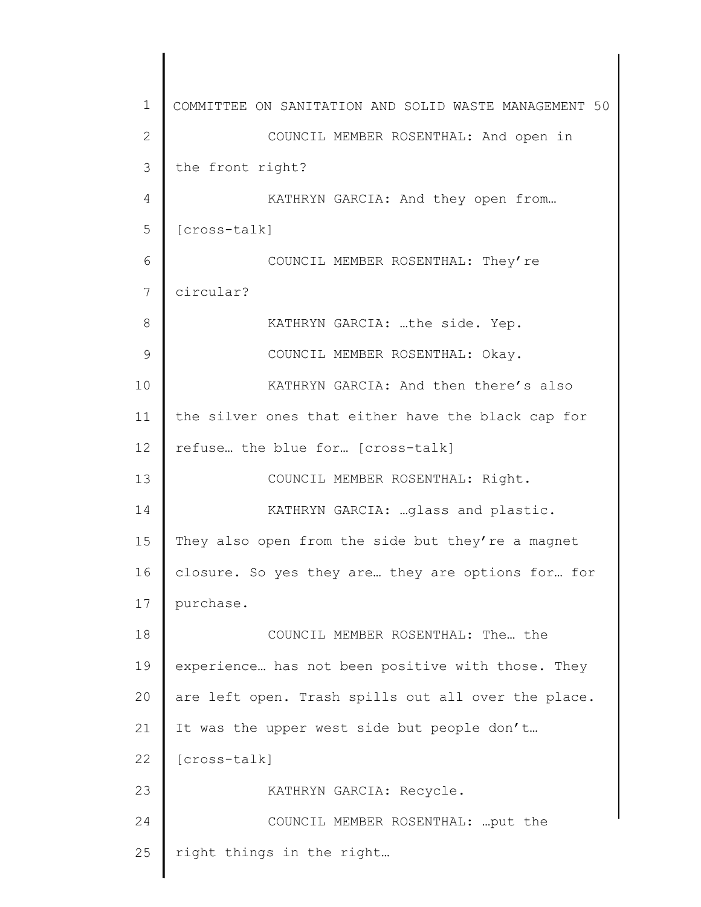1 2 3 4 5 6 7 8 9 10 11 12 13 14 15 16 17 18 19 20 21 22 23 24 25 COMMITTEE ON SANITATION AND SOLID WASTE MANAGEMENT 50 COUNCIL MEMBER ROSENTHAL: And open in the front right? KATHRYN GARCIA: And they open from… [cross-talk] COUNCIL MEMBER ROSENTHAL: They're circular? KATHRYN GARCIA: …the side. Yep. COUNCIL MEMBER ROSENTHAL: Okay. KATHRYN GARCIA: And then there's also the silver ones that either have the black cap for refuse… the blue for… [cross-talk] COUNCIL MEMBER ROSENTHAL: Right. KATHRYN GARCIA: …glass and plastic. They also open from the side but they're a magnet closure. So yes they are… they are options for… for purchase. COUNCIL MEMBER ROSENTHAL: The… the experience… has not been positive with those. They are left open. Trash spills out all over the place. It was the upper west side but people don't… [cross-talk] KATHRYN GARCIA: Recycle. COUNCIL MEMBER ROSENTHAL: …put the right things in the right…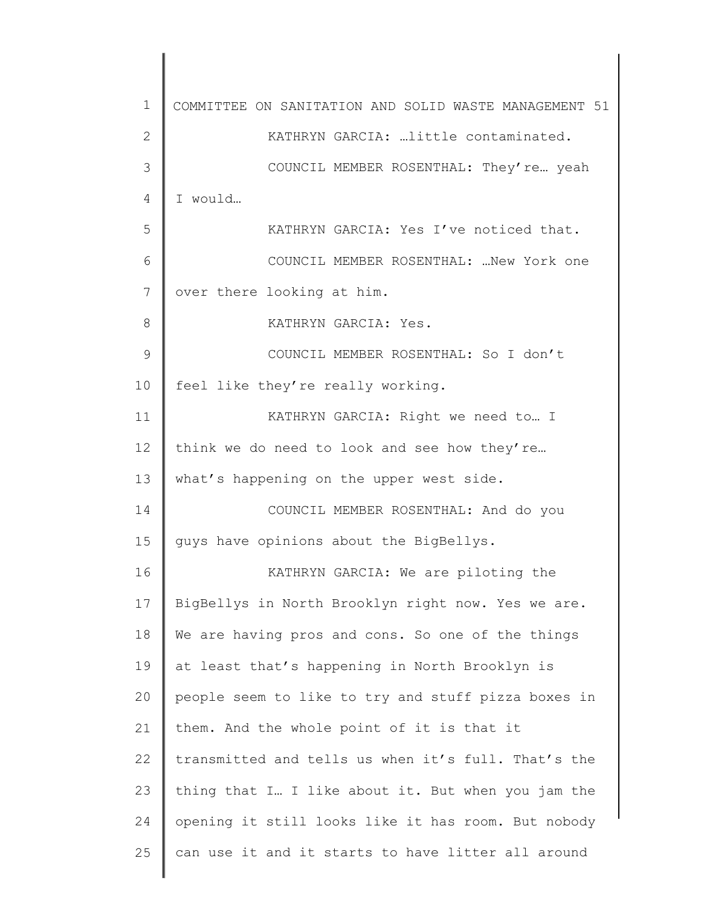1 2 3 4 5 6 7 8 9 10 11 12 13 14 15 16 17 18 19 20 21 22 23 24 25 COMMITTEE ON SANITATION AND SOLID WASTE MANAGEMENT 51 KATHRYN GARCIA: …little contaminated. COUNCIL MEMBER ROSENTHAL: They're… yeah I would… KATHRYN GARCIA: Yes I've noticed that. COUNCIL MEMBER ROSENTHAL: …New York one over there looking at him. KATHRYN GARCIA: Yes. COUNCIL MEMBER ROSENTHAL: So I don't feel like they're really working. KATHRYN GARCIA: Right we need to… I think we do need to look and see how they're... what's happening on the upper west side. COUNCIL MEMBER ROSENTHAL: And do you guys have opinions about the BigBellys. KATHRYN GARCIA: We are piloting the BigBellys in North Brooklyn right now. Yes we are. We are having pros and cons. So one of the things at least that's happening in North Brooklyn is people seem to like to try and stuff pizza boxes in them. And the whole point of it is that it transmitted and tells us when it's full. That's the thing that I… I like about it. But when you jam the opening it still looks like it has room. But nobody can use it and it starts to have litter all around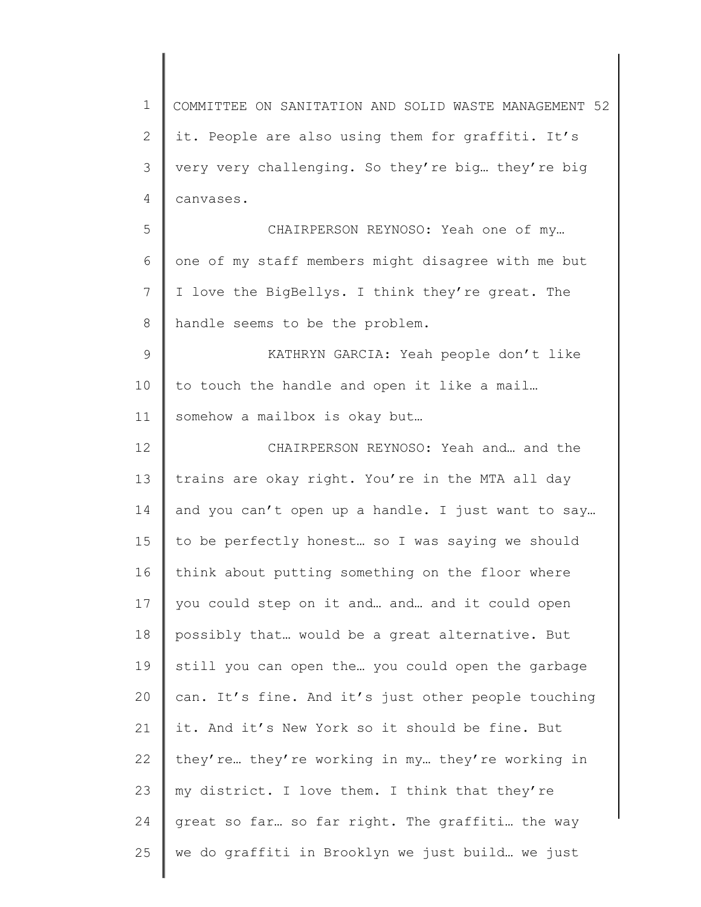1 2 3 4 5 6 7 8 9 10 11 12 13 14 15 16 17 18 19 20 21 22 23 24 25 COMMITTEE ON SANITATION AND SOLID WASTE MANAGEMENT 52 it. People are also using them for graffiti. It's very very challenging. So they're big… they're big canvases. CHAIRPERSON REYNOSO: Yeah one of my… one of my staff members might disagree with me but I love the BigBellys. I think they're great. The handle seems to be the problem. KATHRYN GARCIA: Yeah people don't like to touch the handle and open it like a mail… somehow a mailbox is okay but… CHAIRPERSON REYNOSO: Yeah and… and the trains are okay right. You're in the MTA all day and you can't open up a handle. I just want to say… to be perfectly honest… so I was saying we should think about putting something on the floor where you could step on it and… and… and it could open possibly that… would be a great alternative. But still you can open the… you could open the garbage can. It's fine. And it's just other people touching it. And it's New York so it should be fine. But they're… they're working in my… they're working in my district. I love them. I think that they're great so far… so far right. The graffiti… the way we do graffiti in Brooklyn we just build… we just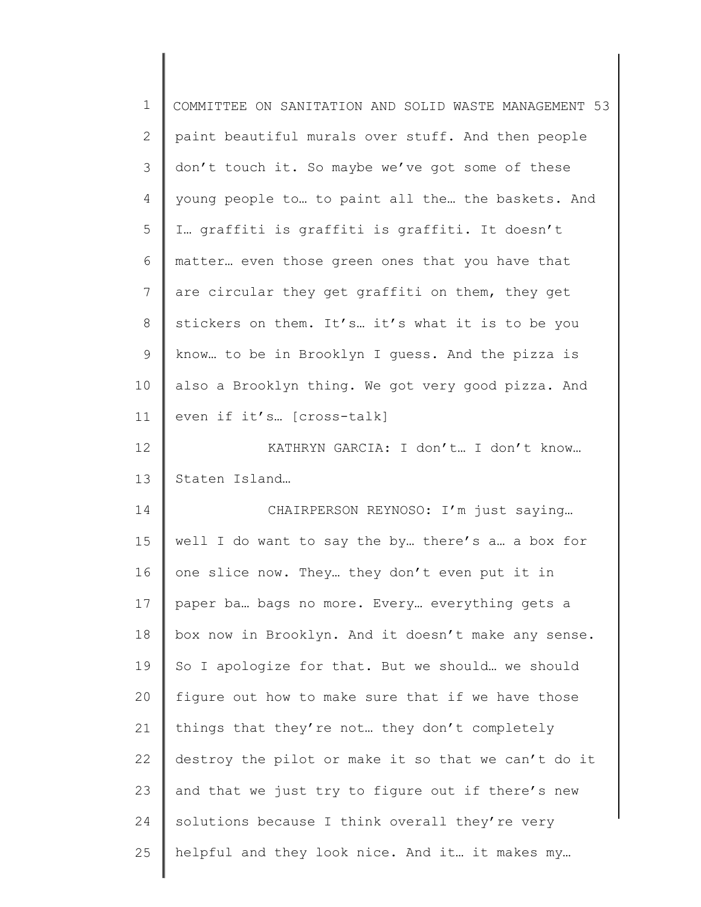| $\mathbf 1$  | COMMITTEE ON SANITATION AND SOLID WASTE MANAGEMENT 53 |
|--------------|-------------------------------------------------------|
| $\mathbf{2}$ | paint beautiful murals over stuff. And then people    |
| 3            | don't touch it. So maybe we've got some of these      |
| 4            | young people to to paint all the the baskets. And     |
| 5            | I graffiti is graffiti is graffiti. It doesn't        |
| 6            | matter even those green ones that you have that       |
| 7            | are circular they get graffiti on them, they get      |
| 8            | stickers on them. It's it's what it is to be you      |
| 9            | know to be in Brooklyn I guess. And the pizza is      |
| 10           | also a Brooklyn thing. We got very good pizza. And    |
| 11           | even if it's [cross-talk]                             |
| 12           | KATHRYN GARCIA: I don't I don't know                  |
| 13           | Staten Island                                         |
| 14           | CHAIRPERSON REYNOSO: I'm just saying                  |
| 15           | well I do want to say the by there's a a box for      |
| 16           | one slice now. They they don't even put it in         |
| 17           | paper ba bags no more. Every everything gets a        |
| 18           | box now in Brooklyn. And it doesn't make any sense.   |
| 19           | So I apologize for that. But we should we should      |
| 20           | figure out how to make sure that if we have those     |
| 21           | things that they're not they don't completely         |
| 22           | destroy the pilot or make it so that we can't do it   |
| 23           | and that we just try to figure out if there's new     |
| 24           | solutions because I think overall they're very        |
| 25           | helpful and they look nice. And it it makes my        |
|              |                                                       |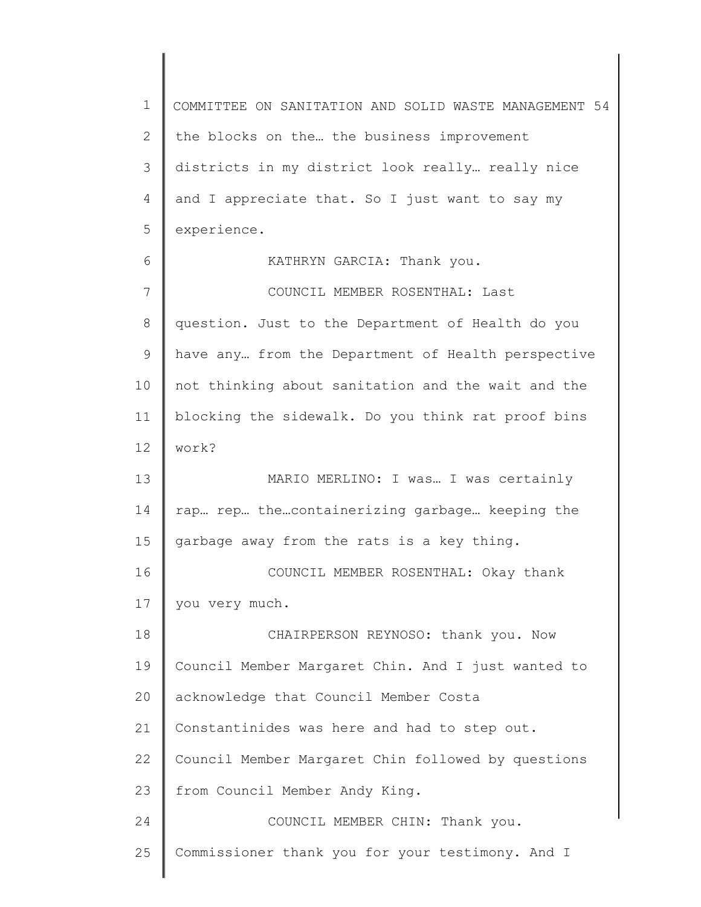1 2 3 4 5 6 7 8 9 10 11 12 13 14 15 16 17 18 19 20 21 22 23 24 25 COMMITTEE ON SANITATION AND SOLID WASTE MANAGEMENT 54 the blocks on the… the business improvement districts in my district look really… really nice and I appreciate that. So I just want to say my experience. KATHRYN GARCIA: Thank you. COUNCIL MEMBER ROSENTHAL: Last question. Just to the Department of Health do you have any… from the Department of Health perspective not thinking about sanitation and the wait and the blocking the sidewalk. Do you think rat proof bins work? MARIO MERLINO: I was… I was certainly rap… rep… the…containerizing garbage… keeping the garbage away from the rats is a key thing. COUNCIL MEMBER ROSENTHAL: Okay thank you very much. CHAIRPERSON REYNOSO: thank you. Now Council Member Margaret Chin. And I just wanted to acknowledge that Council Member Costa Constantinides was here and had to step out. Council Member Margaret Chin followed by questions from Council Member Andy King. COUNCIL MEMBER CHIN: Thank you. Commissioner thank you for your testimony. And I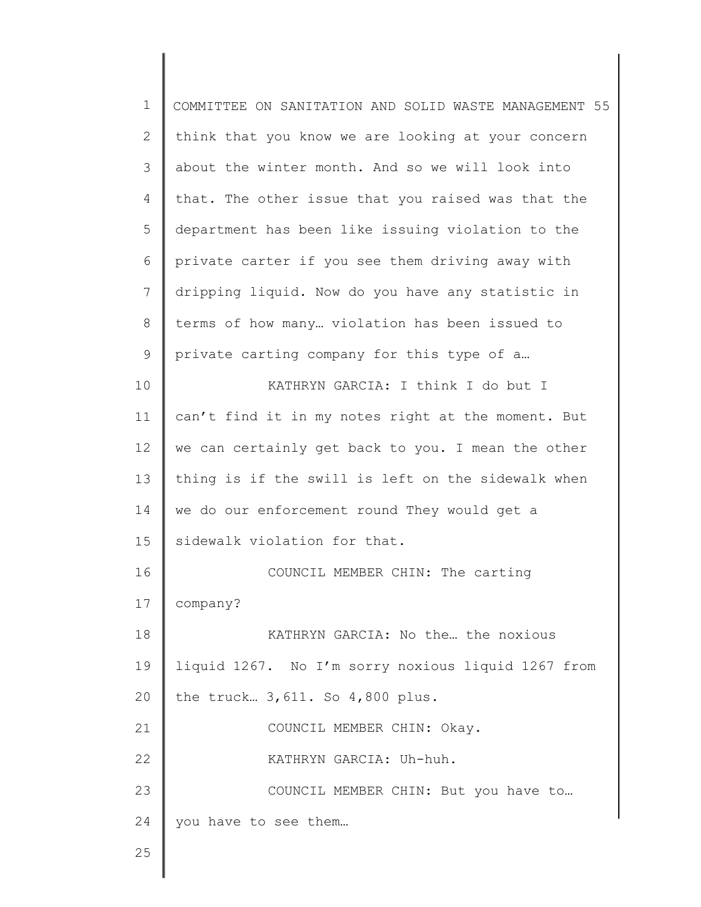| $\mathbf 1$  | COMMITTEE ON SANITATION AND SOLID WASTE MANAGEMENT 55 |
|--------------|-------------------------------------------------------|
| $\mathbf{2}$ | think that you know we are looking at your concern    |
| 3            | about the winter month. And so we will look into      |
| 4            | that. The other issue that you raised was that the    |
| 5            | department has been like issuing violation to the     |
| 6            | private carter if you see them driving away with      |
| 7            | dripping liquid. Now do you have any statistic in     |
| $8\,$        | terms of how many violation has been issued to        |
| 9            | private carting company for this type of a            |
| 10           | KATHRYN GARCIA: I think I do but I                    |
| 11           | can't find it in my notes right at the moment. But    |
| 12           | we can certainly get back to you. I mean the other    |
| 13           | thing is if the swill is left on the sidewalk when    |
| 14           | we do our enforcement round They would get a          |
| 15           | sidewalk violation for that.                          |
| 16           | COUNCIL MEMBER CHIN: The carting                      |
| 17           | company?                                              |
| 18           | KATHRYN GARCIA: No the the noxious                    |
| 19           | liquid 1267. No I'm sorry noxious liquid 1267 from    |
| 20           | the truck 3, 611. So 4,800 plus.                      |
| 21           | COUNCIL MEMBER CHIN: Okay.                            |
| 22           | KATHRYN GARCIA: Uh-huh.                               |
| 23           | COUNCIL MEMBER CHIN: But you have to                  |
| 24           | you have to see them                                  |
| 25           |                                                       |
|              |                                                       |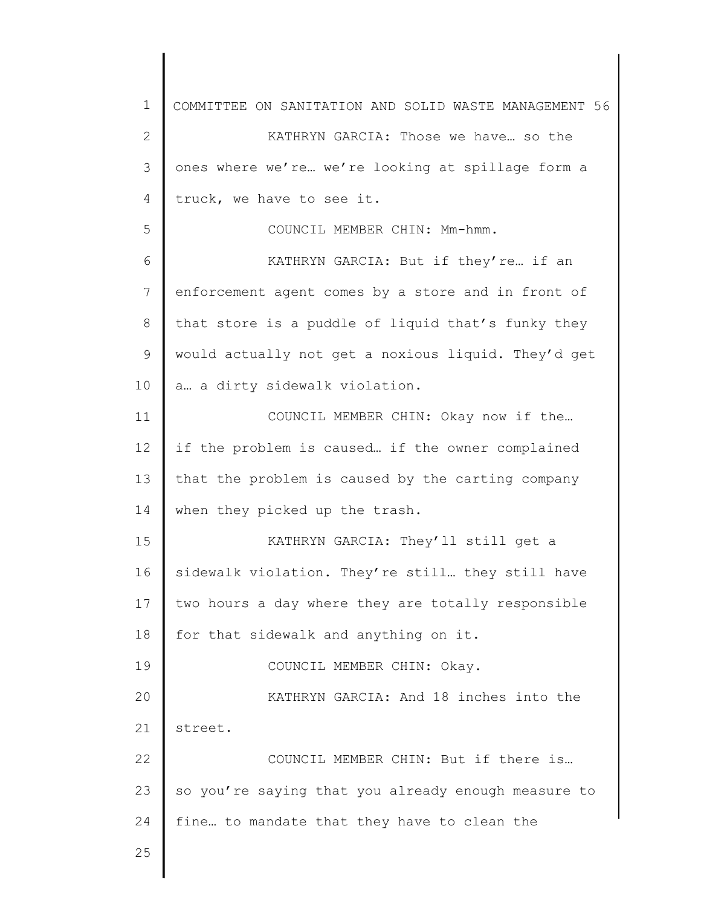1 2 3 4 5 6 7 8 9 10 11 12 13 14 15 16 17 18 19 20 21 22 23 24 25 COMMITTEE ON SANITATION AND SOLID WASTE MANAGEMENT 56 KATHRYN GARCIA: Those we have… so the ones where we're… we're looking at spillage form a truck, we have to see it. COUNCIL MEMBER CHIN: Mm-hmm. KATHRYN GARCIA: But if they're… if an enforcement agent comes by a store and in front of that store is a puddle of liquid that's funky they would actually not get a noxious liquid. They'd get a… a dirty sidewalk violation. COUNCIL MEMBER CHIN: Okay now if the… if the problem is caused… if the owner complained that the problem is caused by the carting company when they picked up the trash. KATHRYN GARCIA: They'll still get a sidewalk violation. They're still… they still have two hours a day where they are totally responsible for that sidewalk and anything on it. COUNCIL MEMBER CHIN: Okay. KATHRYN GARCIA: And 18 inches into the street. COUNCIL MEMBER CHIN: But if there is… so you're saying that you already enough measure to fine… to mandate that they have to clean the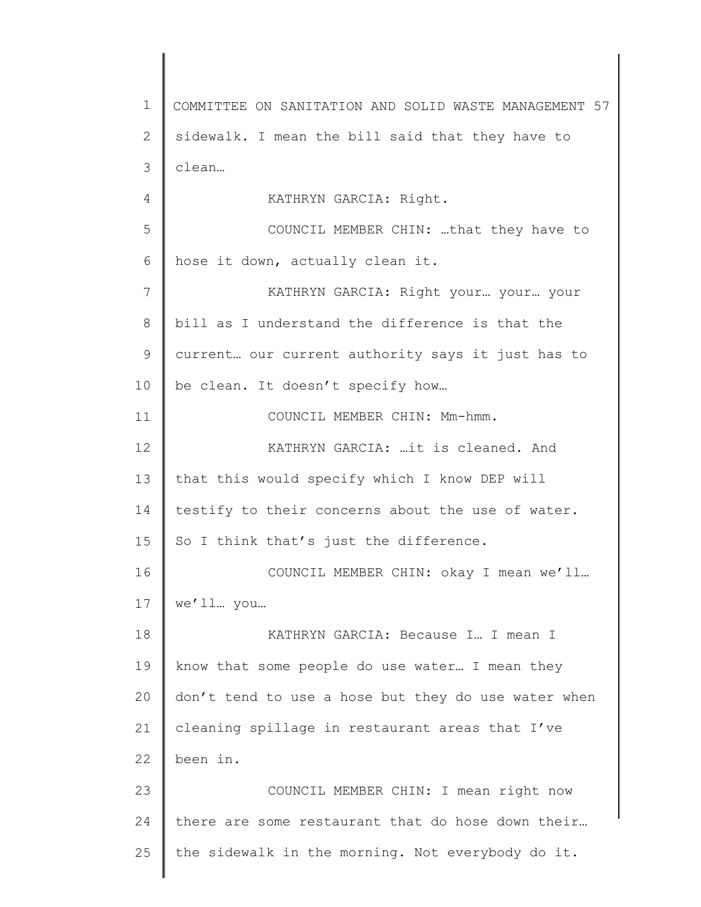1 2 3 4 5 6 7 8 9 10 11 12 13 14 15 16 17 18 19 20 21 22 23 24 25 COMMITTEE ON SANITATION AND SOLID WASTE MANAGEMENT 57 sidewalk. I mean the bill said that they have to clean… KATHRYN GARCIA: Right. COUNCIL MEMBER CHIN: …that they have to hose it down, actually clean it. KATHRYN GARCIA: Right your… your… your bill as I understand the difference is that the current… our current authority says it just has to be clean. It doesn't specify how… COUNCIL MEMBER CHIN: Mm-hmm. KATHRYN GARCIA: …it is cleaned. And that this would specify which I know DEP will testify to their concerns about the use of water. So I think that's just the difference. COUNCIL MEMBER CHIN: okay I mean we'll… we'll… you… KATHRYN GARCIA: Because I… I mean I know that some people do use water… I mean they don't tend to use a hose but they do use water when cleaning spillage in restaurant areas that I've been in. COUNCIL MEMBER CHIN: I mean right now there are some restaurant that do hose down their… the sidewalk in the morning. Not everybody do it.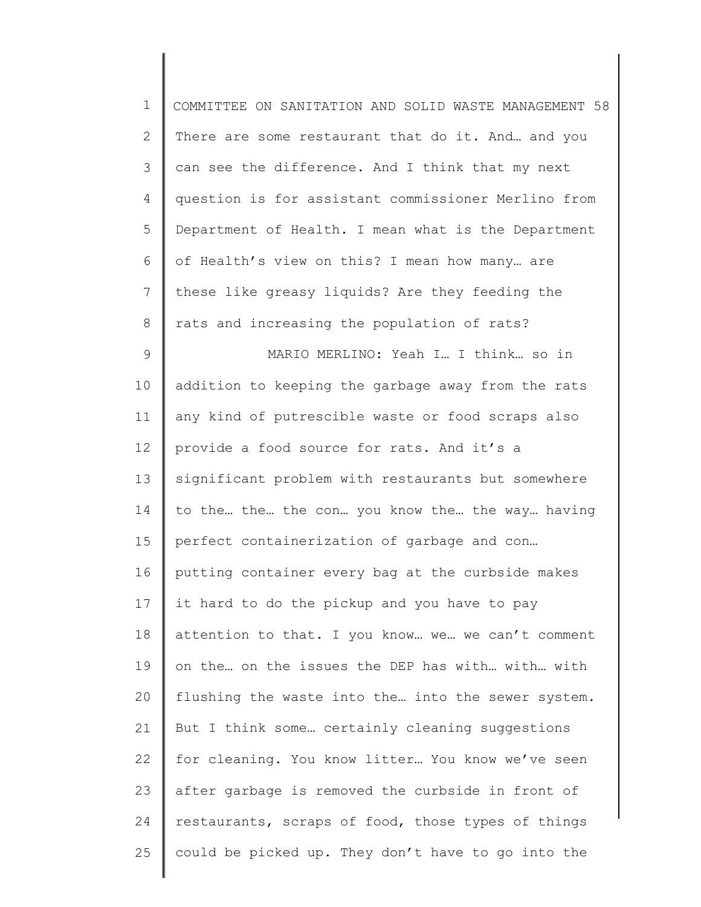| $\mathbf 1$    | COMMITTEE ON SANITATION AND SOLID WASTE MANAGEMENT 58 |
|----------------|-------------------------------------------------------|
| $\mathbf{2}$   | There are some restaurant that do it. And and you     |
| $\mathcal{S}$  | can see the difference. And I think that my next      |
| $\overline{4}$ | question is for assistant commissioner Merlino from   |
| 5              | Department of Health. I mean what is the Department   |
| 6              | of Health's view on this? I mean how many are         |
| 7              | these like greasy liquids? Are they feeding the       |
| 8              | rats and increasing the population of rats?           |
| 9              | MARIO MERLINO: Yeah I I think so in                   |
| 10             | addition to keeping the garbage away from the rats    |
| 11             | any kind of putrescible waste or food scraps also     |
| 12             | provide a food source for rats. And it's a            |
| 13             | significant problem with restaurants but somewhere    |
| 14             | to the the the con you know the the way having        |
| 15             | perfect containerization of garbage and con           |
| 16             | putting container every bag at the curbside makes     |
| 17             | it hard to do the pickup and you have to pay          |
| 18             | attention to that. I you know we we can't comment     |
| 19             | on the on the issues the DEP has with with with       |
| 20             | flushing the waste into the into the sewer system.    |
| 21             | But I think some certainly cleaning suggestions       |
| 22             | for cleaning. You know litter You know we've seen     |
| 23             | after garbage is removed the curbside in front of     |
| 24             | restaurants, scraps of food, those types of things    |
| 25             | could be picked up. They don't have to go into the    |
|                |                                                       |

 $\begin{array}{c} \hline \end{array}$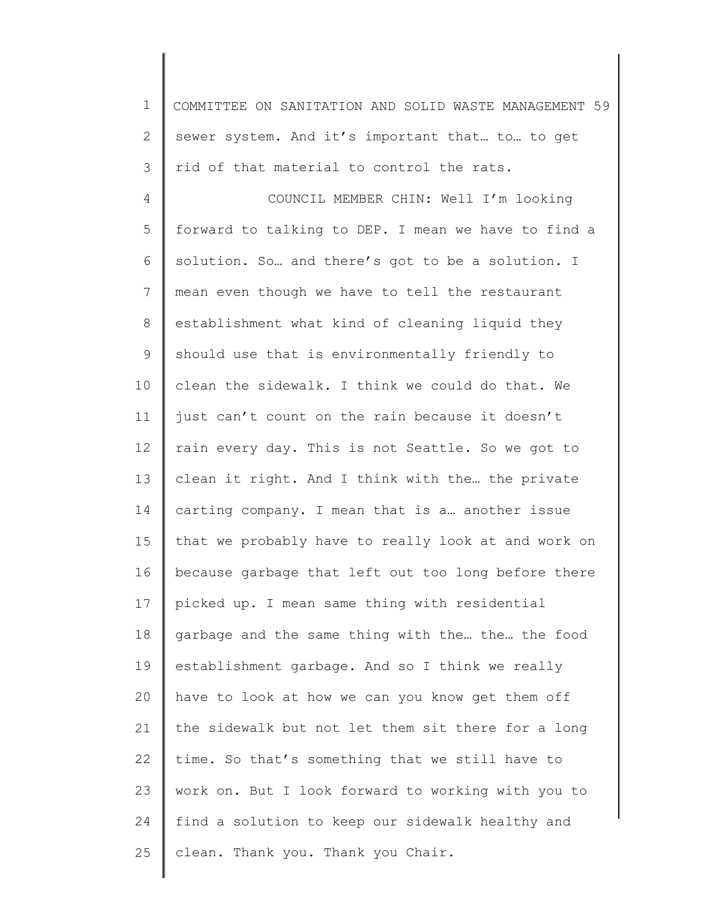1 2 3 COMMITTEE ON SANITATION AND SOLID WASTE MANAGEMENT 59 sewer system. And it's important that… to… to get rid of that material to control the rats.

4 5 6 7 8 9 10 11 12 13 14 15 16 17 18 19 20 21 22 23 24 25 COUNCIL MEMBER CHIN: Well I'm looking forward to talking to DEP. I mean we have to find a solution. So… and there's got to be a solution. I mean even though we have to tell the restaurant establishment what kind of cleaning liquid they should use that is environmentally friendly to clean the sidewalk. I think we could do that. We just can't count on the rain because it doesn't rain every day. This is not Seattle. So we got to clean it right. And I think with the… the private carting company. I mean that is a… another issue that we probably have to really look at and work on because garbage that left out too long before there picked up. I mean same thing with residential garbage and the same thing with the… the… the food establishment garbage. And so I think we really have to look at how we can you know get them off the sidewalk but not let them sit there for a long time. So that's something that we still have to work on. But I look forward to working with you to find a solution to keep our sidewalk healthy and clean. Thank you. Thank you Chair.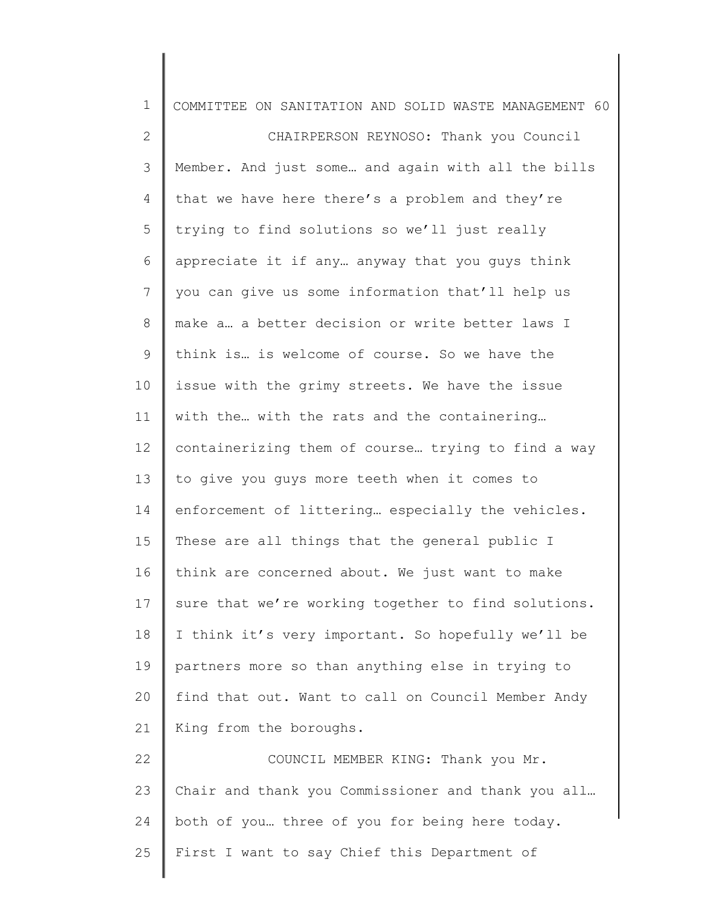| $\mathbf 1$  | COMMITTEE ON SANITATION AND SOLID WASTE MANAGEMENT 60 |
|--------------|-------------------------------------------------------|
| $\mathbf{2}$ | CHAIRPERSON REYNOSO: Thank you Council                |
| 3            | Member. And just some and again with all the bills    |
| 4            | that we have here there's a problem and they're       |
| 5            | trying to find solutions so we'll just really         |
| 6            | appreciate it if any anyway that you guys think       |
| 7            | you can give us some information that'll help us      |
| 8            | make a a better decision or write better laws I       |
| 9            | think is is welcome of course. So we have the         |
| 10           | issue with the grimy streets. We have the issue       |
| 11           | with the with the rats and the containering           |
| 12           | containerizing them of course trying to find a way    |
| 13           | to give you guys more teeth when it comes to          |
| 14           | enforcement of littering especially the vehicles.     |
| 15           | These are all things that the general public I        |
| 16           | think are concerned about. We just want to make       |
| 17           | sure that we're working together to find solutions.   |
| 18           | I think it's very important. So hopefully we'll be    |
| 19           | partners more so than anything else in trying to      |
| 20           | find that out. Want to call on Council Member Andy    |
| 21           | King from the boroughs.                               |
| 22           | COUNCIL MEMBER KING: Thank you Mr.                    |
| 23           | Chair and thank you Commissioner and thank you all    |
| 24           | both of you three of you for being here today.        |
| 25           | First I want to say Chief this Department of          |
|              |                                                       |

║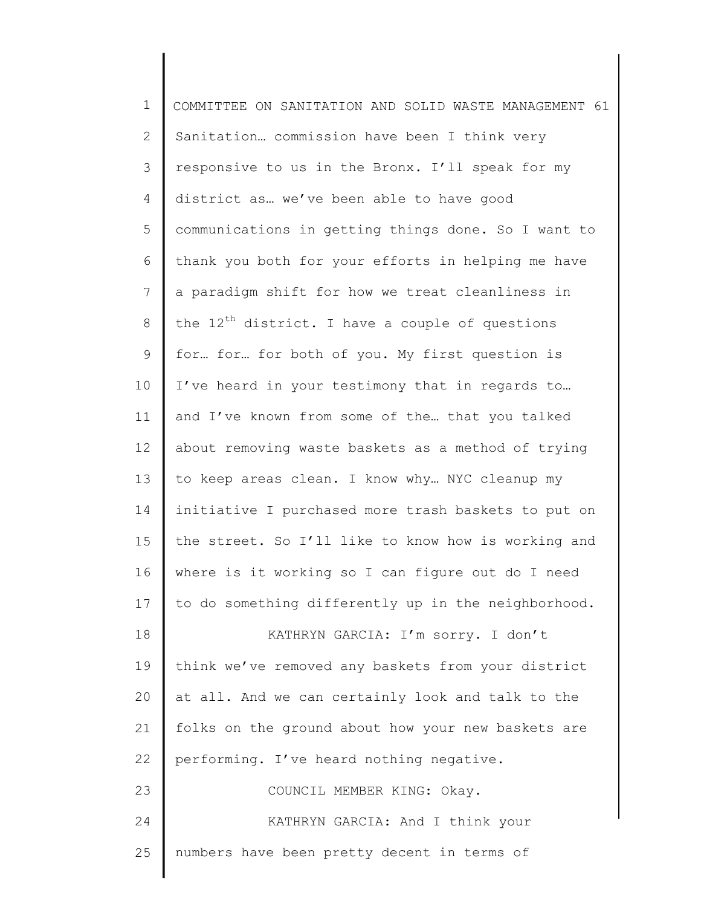| $\mathbf 1$  | COMMITTEE ON SANITATION AND SOLID WASTE MANAGEMENT 61 |
|--------------|-------------------------------------------------------|
| $\mathbf{2}$ | Sanitation commission have been I think very          |
| 3            | responsive to us in the Bronx. I'll speak for my      |
| 4            | district as we've been able to have good              |
| 5            | communications in getting things done. So I want to   |
| 6            | thank you both for your efforts in helping me have    |
| 7            | a paradigm shift for how we treat cleanliness in      |
| $\,8\,$      | the $12^{th}$ district. I have a couple of questions  |
| 9            | for for for both of you. My first question is         |
| 10           | I've heard in your testimony that in regards to       |
| 11           | and I've known from some of the that you talked       |
| 12           | about removing waste baskets as a method of trying    |
| 13           | to keep areas clean. I know why NYC cleanup my        |
| 14           | initiative I purchased more trash baskets to put on   |
| 15           | the street. So I'll like to know how is working and   |
| 16           | where is it working so I can figure out do I need     |
| 17           | to do something differently up in the neighborhood.   |
| 18           | KATHRYN GARCIA: I'm sorry. I don't                    |
| 19           | think we've removed any baskets from your district    |
| 20           | at all. And we can certainly look and talk to the     |
| 21           | folks on the ground about how your new baskets are    |
| 22           | performing. I've heard nothing negative.              |
| 23           | COUNCIL MEMBER KING: Okay.                            |
| 24           | KATHRYN GARCIA: And I think your                      |
| 25           | numbers have been pretty decent in terms of           |
|              |                                                       |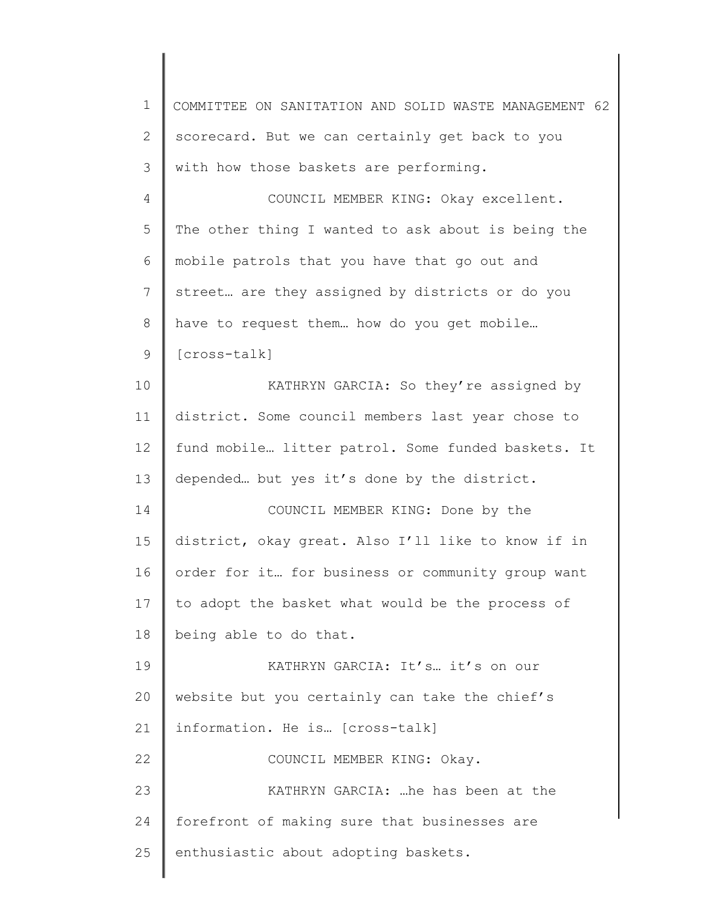| 1  | COMMITTEE ON SANITATION AND SOLID WASTE MANAGEMENT 62 |
|----|-------------------------------------------------------|
| 2  | scorecard. But we can certainly get back to you       |
| 3  | with how those baskets are performing.                |
| 4  | COUNCIL MEMBER KING: Okay excellent.                  |
| 5  | The other thing I wanted to ask about is being the    |
| 6  | mobile patrols that you have that go out and          |
| 7  | street are they assigned by districts or do you       |
| 8  | have to request them how do you get mobile            |
| 9  | [cross-talk]                                          |
| 10 | KATHRYN GARCIA: So they're assigned by                |
| 11 | district. Some council members last year chose to     |
| 12 | fund mobile litter patrol. Some funded baskets. It    |
| 13 | depended but yes it's done by the district.           |
| 14 | COUNCIL MEMBER KING: Done by the                      |
| 15 | district, okay great. Also I'll like to know if in    |
| 16 | order for it for business or community group want     |
| 17 | to adopt the basket what would be the process of      |
| 18 | being able to do that.                                |
| 19 | KATHRYN GARCIA: It's it's on our                      |
| 20 | website but you certainly can take the chief's        |
| 21 | information. He is [cross-talk]                       |
| 22 | COUNCIL MEMBER KING: Okay.                            |
| 23 | KATHRYN GARCIA:  he has been at the                   |
| 24 | forefront of making sure that businesses are          |
| 25 | enthusiastic about adopting baskets.                  |
|    |                                                       |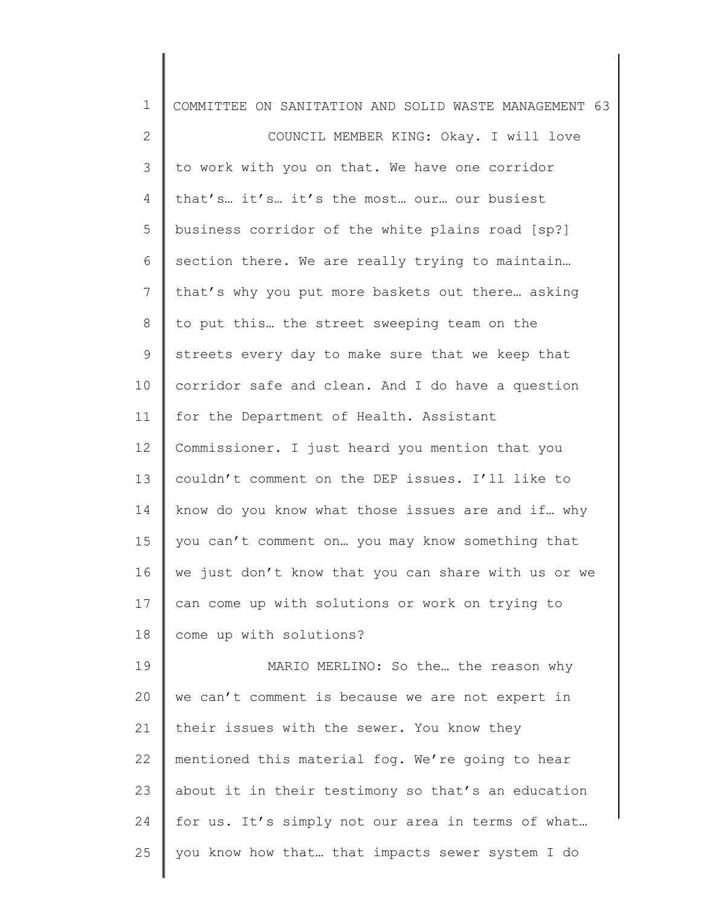| $\mathbf 1$  | COMMITTEE ON SANITATION AND SOLID WASTE MANAGEMENT 63 |
|--------------|-------------------------------------------------------|
| $\mathbf{2}$ | COUNCIL MEMBER KING: Okay. I will love                |
| 3            | to work with you on that. We have one corridor        |
| 4            | that's it's it's the most our our busiest             |
| 5            | business corridor of the white plains road [sp?]      |
| 6            | section there. We are really trying to maintain       |
| 7            | that's why you put more baskets out there asking      |
| 8            | to put this the street sweeping team on the           |
| 9            | streets every day to make sure that we keep that      |
| 10           | corridor safe and clean. And I do have a question     |
| 11           | for the Department of Health. Assistant               |
| 12           | Commissioner. I just heard you mention that you       |
| 13           | couldn't comment on the DEP issues. I'll like to      |
| 14           | know do you know what those issues are and if why     |
| 15           | you can't comment on you may know something that      |
| 16           | we just don't know that you can share with us or we   |
| 17           | can come up with solutions or work on trying to       |
| 18           | come up with solutions?                               |
| 19           | MARIO MERLINO: So the the reason why                  |
| 20           | we can't comment is because we are not expert in      |
| 21           | their issues with the sewer. You know they            |
| 22           | mentioned this material fog. We're going to hear      |
| 23           | about it in their testimony so that's an education    |
| 24           | for us. It's simply not our area in terms of what     |
| 25           | you know how that that impacts sewer system I do      |
|              |                                                       |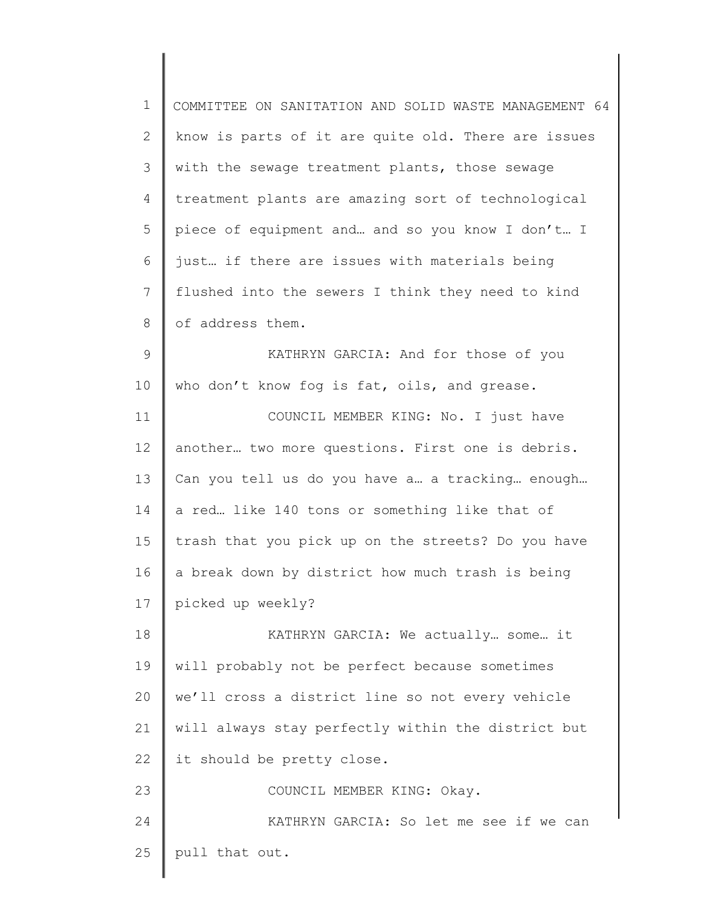| $\mathbf 1$    | COMMITTEE ON SANITATION AND SOLID WASTE MANAGEMENT 64 |
|----------------|-------------------------------------------------------|
| $\mathbf{2}$   | know is parts of it are quite old. There are issues   |
| 3              | with the sewage treatment plants, those sewage        |
| 4              | treatment plants are amazing sort of technological    |
| 5              | piece of equipment and and so you know I don't I      |
| 6              | just if there are issues with materials being         |
| $\overline{7}$ | flushed into the sewers I think they need to kind     |
| 8              | of address them.                                      |
| $\mathsf 9$    | KATHRYN GARCIA: And for those of you                  |
| 10             | who don't know fog is fat, oils, and grease.          |
| 11             | COUNCIL MEMBER KING: No. I just have                  |
| 12             | another two more questions. First one is debris.      |
| 13             | Can you tell us do you have a a tracking enough       |
| 14             | a red like 140 tons or something like that of         |
| 15             | trash that you pick up on the streets? Do you have    |
| 16             | a break down by district how much trash is being      |
| 17             | picked up weekly?                                     |
| 18             | KATHRYN GARCIA: We actually  some  it                 |
| 19             | will probably not be perfect because sometimes        |
| 20             | we'll cross a district line so not every vehicle      |
| 21             | will always stay perfectly within the district but    |
| 22             | it should be pretty close.                            |
| 23             | COUNCIL MEMBER KING: Okay.                            |
| 24             | KATHRYN GARCIA: So let me see if we can               |
| 25             | pull that out.                                        |
|                |                                                       |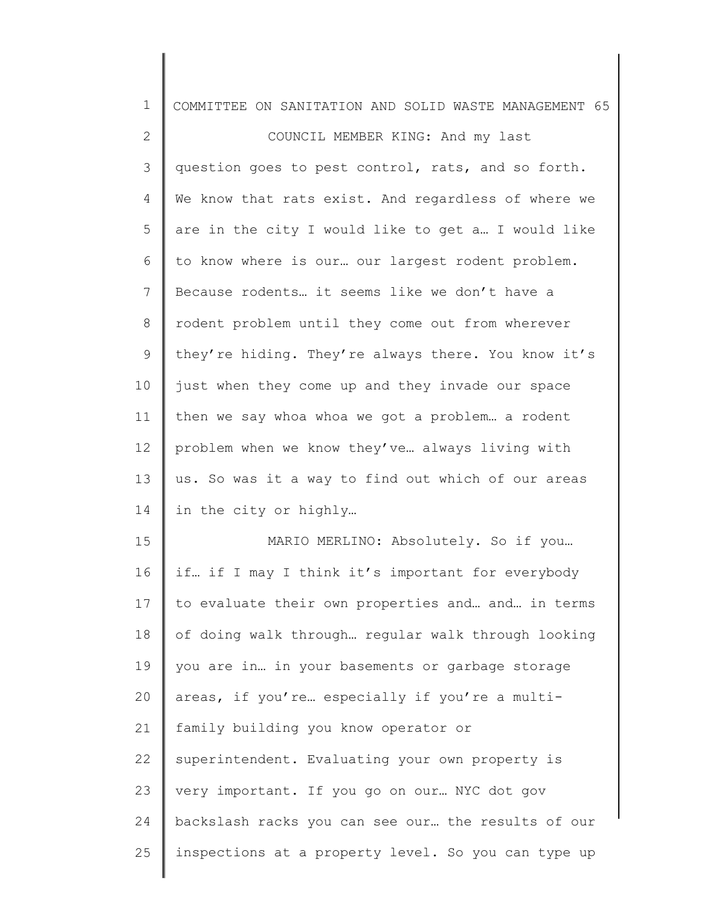| 1              | COMMITTEE ON SANITATION AND SOLID WASTE MANAGEMENT 65 |
|----------------|-------------------------------------------------------|
| $\mathbf{2}$   | COUNCIL MEMBER KING: And my last                      |
| 3              | question goes to pest control, rats, and so forth.    |
| $\overline{4}$ | We know that rats exist. And regardless of where we   |
| 5              | are in the city I would like to get a I would like    |
| 6              | to know where is our our largest rodent problem.      |
| 7              | Because rodents it seems like we don't have a         |
| $\,8\,$        | rodent problem until they come out from wherever      |
| $\mathsf 9$    | they're hiding. They're always there. You know it's   |
| 10             | just when they come up and they invade our space      |
| 11             | then we say whoa whoa we got a problem a rodent       |
| 12             | problem when we know they've always living with       |
| 13             | us. So was it a way to find out which of our areas    |
| 14             | in the city or highly                                 |
| 15             | MARIO MERLINO: Absolutely. So if you                  |
| 16             | if if I may I think it's important for everybody      |
| 17             | to evaluate their own properties and and in terms     |
| 18             | of doing walk through regular walk through looking    |
| 19             | you are in in your basements or garbage storage       |
| 20             | areas, if you're especially if you're a multi-        |
| 21             | family building you know operator or                  |
| 22             | superintendent. Evaluating your own property is       |
| 23             | very important. If you go on our NYC dot gov          |
| 24             | backslash racks you can see our the results of our    |
| 25             | inspections at a property level. So you can type up   |
|                |                                                       |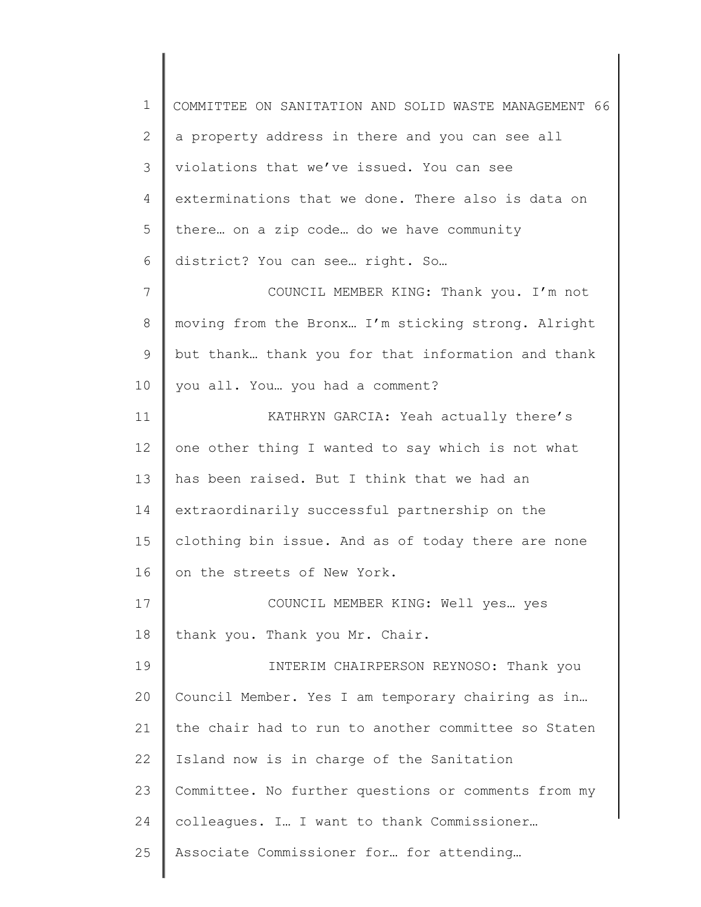1 2 3 4 5 6 7 8 9 10 11 12 13 14 15 16 17 18 19 20 21 22 23 24 25 COMMITTEE ON SANITATION AND SOLID WASTE MANAGEMENT 66 a property address in there and you can see all violations that we've issued. You can see exterminations that we done. There also is data on there… on a zip code… do we have community district? You can see… right. So… COUNCIL MEMBER KING: Thank you. I'm not moving from the Bronx… I'm sticking strong. Alright but thank… thank you for that information and thank you all. You… you had a comment? KATHRYN GARCIA: Yeah actually there's one other thing I wanted to say which is not what has been raised. But I think that we had an extraordinarily successful partnership on the clothing bin issue. And as of today there are none on the streets of New York. COUNCIL MEMBER KING: Well yes… yes thank you. Thank you Mr. Chair. INTERIM CHAIRPERSON REYNOSO: Thank you Council Member. Yes I am temporary chairing as in… the chair had to run to another committee so Staten Island now is in charge of the Sanitation Committee. No further questions or comments from my colleagues. I… I want to thank Commissioner… Associate Commissioner for… for attending…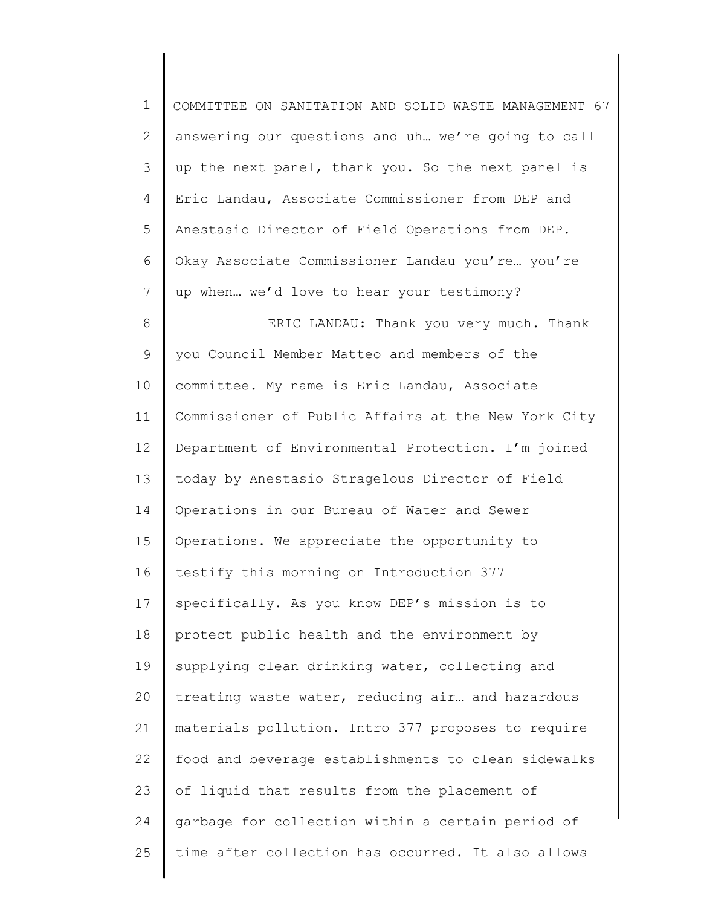| $\mathbf 1$ | COMMITTEE ON SANITATION AND SOLID WASTE MANAGEMENT 67 |
|-------------|-------------------------------------------------------|
| 2           | answering our questions and uh we're going to call    |
| 3           | up the next panel, thank you. So the next panel is    |
| 4           | Eric Landau, Associate Commissioner from DEP and      |
| 5           | Anestasio Director of Field Operations from DEP.      |
| 6           | Okay Associate Commissioner Landau you're you're      |
| 7           | up when we'd love to hear your testimony?             |
| $8\,$       | ERIC LANDAU: Thank you very much. Thank               |
| 9           | you Council Member Matteo and members of the          |
| 10          | committee. My name is Eric Landau, Associate          |
| 11          | Commissioner of Public Affairs at the New York City   |
| 12          | Department of Environmental Protection. I'm joined    |
| 13          | today by Anestasio Stragelous Director of Field       |
| 14          | Operations in our Bureau of Water and Sewer           |
| 15          | Operations. We appreciate the opportunity to          |
| 16          | testify this morning on Introduction 377              |
| 17          | specifically. As you know DEP's mission is to         |
| 18          | protect public health and the environment by          |
| 19          | supplying clean drinking water, collecting and        |
| 20          | treating waste water, reducing air and hazardous      |
| 21          | materials pollution. Intro 377 proposes to require    |
| 22          | food and beverage establishments to clean sidewalks   |
| 23          | of liquid that results from the placement of          |
| 24          | garbage for collection within a certain period of     |
| 25          | time after collection has occurred. It also allows    |
|             |                                                       |

║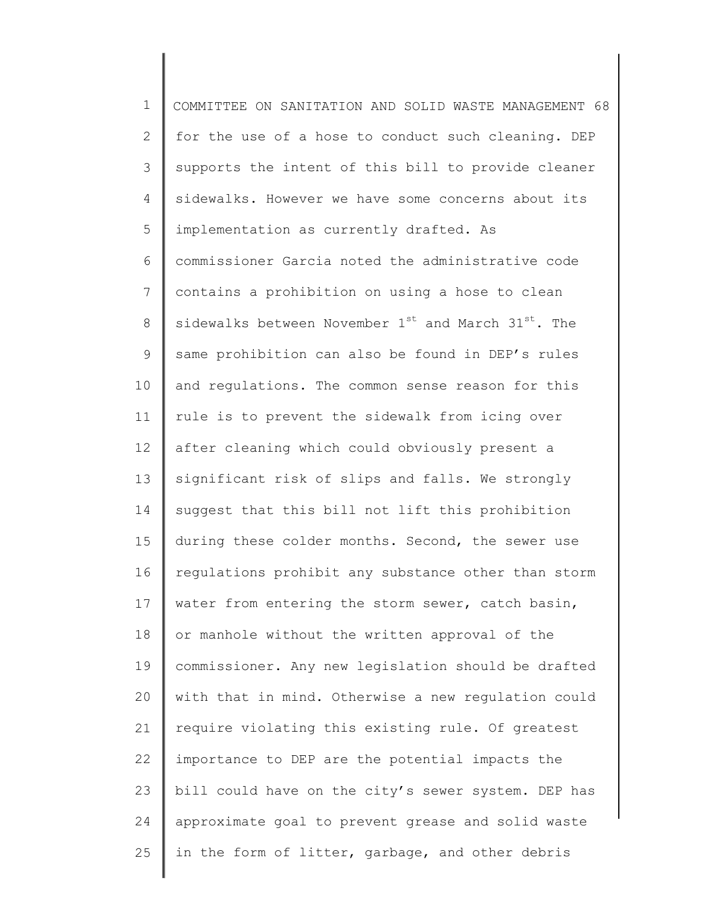1 2 3 4 5 6 7 8 9 10 11 12 13 14 15 16 17 18 19 20 21 22 23 24 25 COMMITTEE ON SANITATION AND SOLID WASTE MANAGEMENT 68 for the use of a hose to conduct such cleaning. DEP supports the intent of this bill to provide cleaner sidewalks. However we have some concerns about its implementation as currently drafted. As commissioner Garcia noted the administrative code contains a prohibition on using a hose to clean sidewalks between November  $1^{st}$  and March  $31^{st}$ . The same prohibition can also be found in DEP's rules and regulations. The common sense reason for this rule is to prevent the sidewalk from icing over after cleaning which could obviously present a significant risk of slips and falls. We strongly suggest that this bill not lift this prohibition during these colder months. Second, the sewer use regulations prohibit any substance other than storm water from entering the storm sewer, catch basin, or manhole without the written approval of the commissioner. Any new legislation should be drafted with that in mind. Otherwise a new regulation could require violating this existing rule. Of greatest importance to DEP are the potential impacts the bill could have on the city's sewer system. DEP has approximate goal to prevent grease and solid waste in the form of litter, garbage, and other debris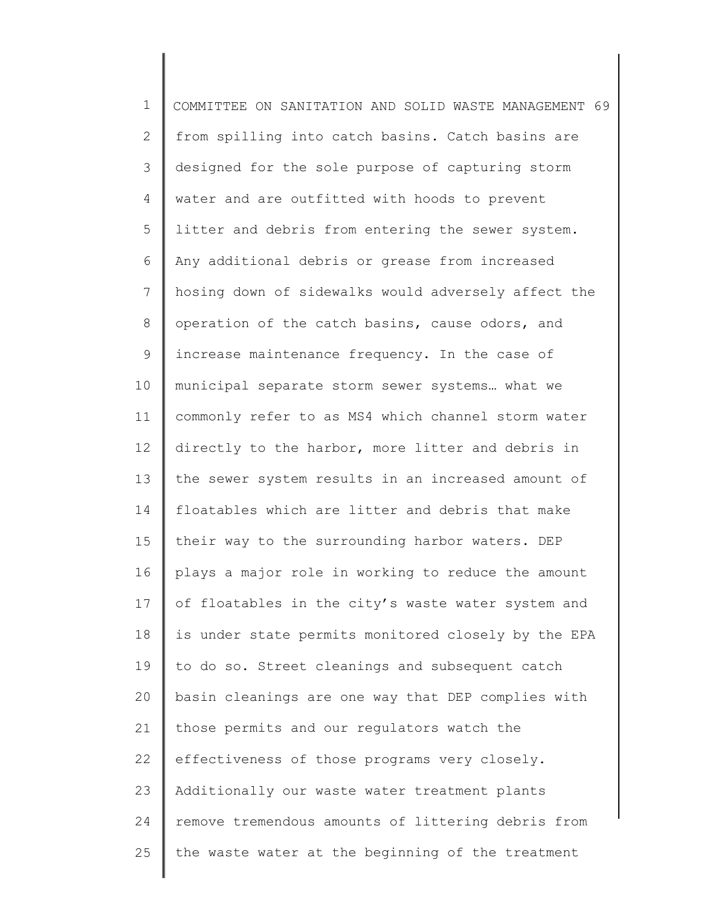1 2 3 4 5 6 7 8 9 10 11 12 13 14 15 16 17 18 19 20 21 22 23 24 25 COMMITTEE ON SANITATION AND SOLID WASTE MANAGEMENT 69 from spilling into catch basins. Catch basins are designed for the sole purpose of capturing storm water and are outfitted with hoods to prevent litter and debris from entering the sewer system. Any additional debris or grease from increased hosing down of sidewalks would adversely affect the operation of the catch basins, cause odors, and increase maintenance frequency. In the case of municipal separate storm sewer systems… what we commonly refer to as MS4 which channel storm water directly to the harbor, more litter and debris in the sewer system results in an increased amount of floatables which are litter and debris that make their way to the surrounding harbor waters. DEP plays a major role in working to reduce the amount of floatables in the city's waste water system and is under state permits monitored closely by the EPA to do so. Street cleanings and subsequent catch basin cleanings are one way that DEP complies with those permits and our regulators watch the effectiveness of those programs very closely. Additionally our waste water treatment plants remove tremendous amounts of littering debris from the waste water at the beginning of the treatment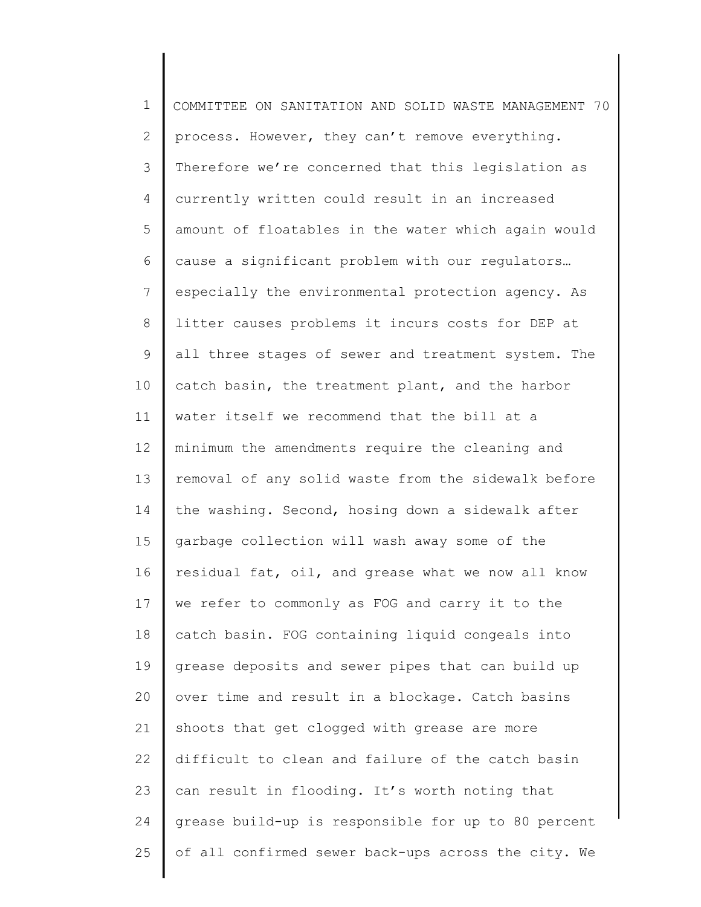| $\mathbf 1$  | COMMITTEE ON SANITATION AND SOLID WASTE MANAGEMENT 70 |
|--------------|-------------------------------------------------------|
| $\mathbf{2}$ | process. However, they can't remove everything.       |
| 3            | Therefore we're concerned that this legislation as    |
| 4            | currently written could result in an increased        |
| 5            | amount of floatables in the water which again would   |
| 6            | cause a significant problem with our regulators       |
| 7            | especially the environmental protection agency. As    |
| $\,8\,$      | litter causes problems it incurs costs for DEP at     |
| 9            | all three stages of sewer and treatment system. The   |
| 10           | catch basin, the treatment plant, and the harbor      |
| 11           | water itself we recommend that the bill at a          |
| 12           | minimum the amendments require the cleaning and       |
| 13           | removal of any solid waste from the sidewalk before   |
| 14           | the washing. Second, hosing down a sidewalk after     |
| 15           | garbage collection will wash away some of the         |
| 16           | residual fat, oil, and grease what we now all know    |
| 17           | we refer to commonly as FOG and carry it to the       |
| 18           | catch basin. FOG containing liquid congeals into      |
| 19           | grease deposits and sewer pipes that can build up     |
| 20           | over time and result in a blockage. Catch basins      |
| 21           | shoots that get clogged with grease are more          |
| 22           | difficult to clean and failure of the catch basin     |
| 23           | can result in flooding. It's worth noting that        |
| 24           | grease build-up is responsible for up to 80 percent   |
| 25           | of all confirmed sewer back-ups across the city. We   |
|              |                                                       |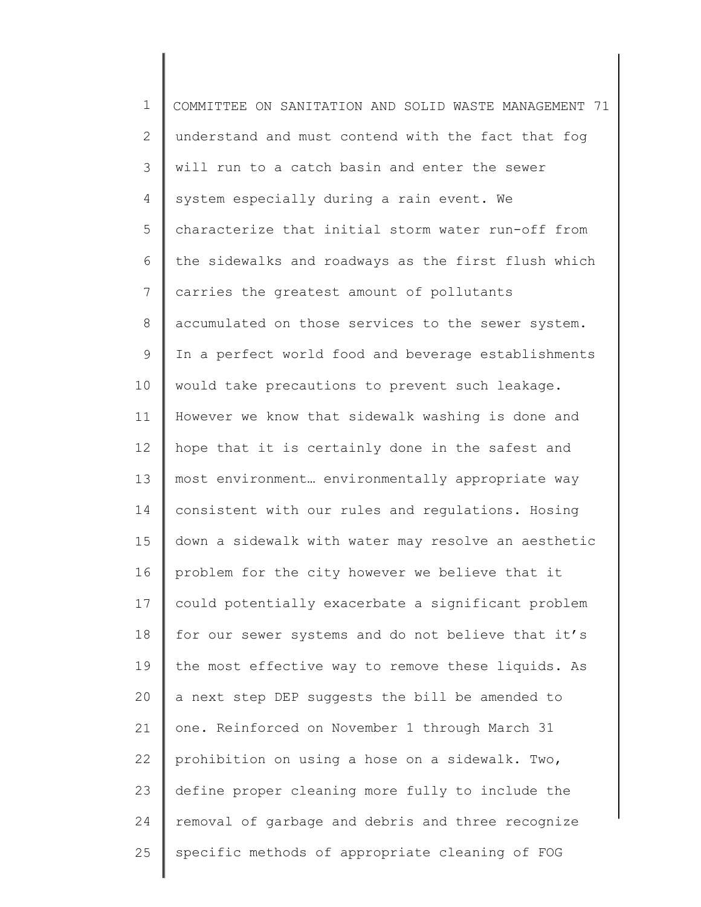1 2 3 4 5 6 7 8 9 10 11 12 13 14 15 16 17 18 19 20 21 22 23 24 25 COMMITTEE ON SANITATION AND SOLID WASTE MANAGEMENT 71 understand and must contend with the fact that fog will run to a catch basin and enter the sewer system especially during a rain event. We characterize that initial storm water run-off from the sidewalks and roadways as the first flush which carries the greatest amount of pollutants accumulated on those services to the sewer system. In a perfect world food and beverage establishments would take precautions to prevent such leakage. However we know that sidewalk washing is done and hope that it is certainly done in the safest and most environment… environmentally appropriate way consistent with our rules and regulations. Hosing down a sidewalk with water may resolve an aesthetic problem for the city however we believe that it could potentially exacerbate a significant problem for our sewer systems and do not believe that it's the most effective way to remove these liquids. As a next step DEP suggests the bill be amended to one. Reinforced on November 1 through March 31 prohibition on using a hose on a sidewalk. Two, define proper cleaning more fully to include the removal of garbage and debris and three recognize specific methods of appropriate cleaning of FOG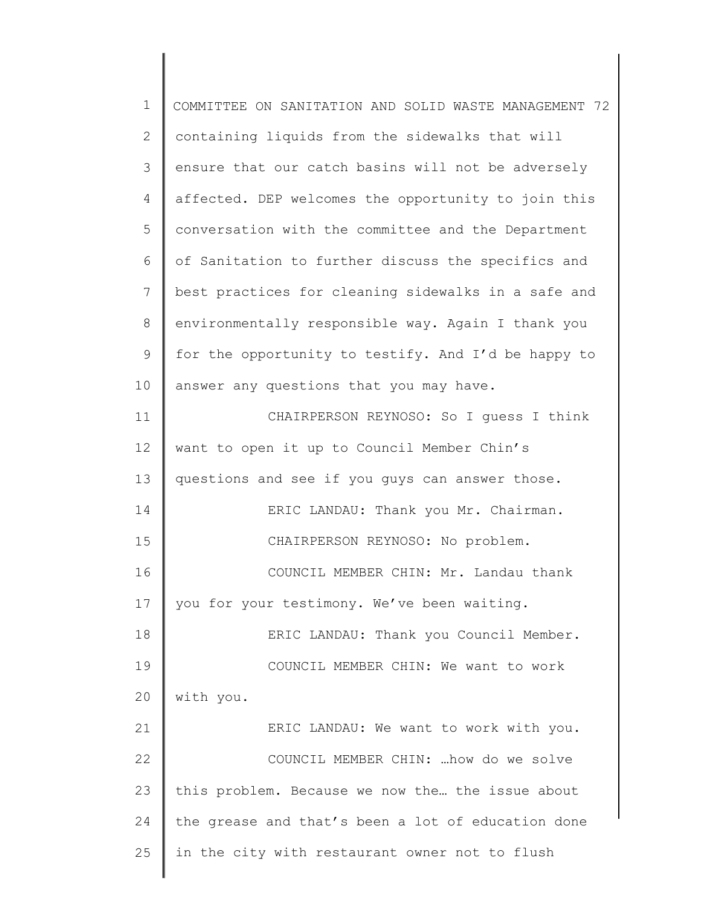| $\mathbf 1$    | COMMITTEE ON SANITATION AND SOLID WASTE MANAGEMENT 72 |
|----------------|-------------------------------------------------------|
| $\overline{2}$ | containing liquids from the sidewalks that will       |
| 3              | ensure that our catch basins will not be adversely    |
| $\overline{4}$ | affected. DEP welcomes the opportunity to join this   |
| 5              | conversation with the committee and the Department    |
| 6              | of Sanitation to further discuss the specifics and    |
| 7              | best practices for cleaning sidewalks in a safe and   |
| $\,8\,$        | environmentally responsible way. Again I thank you    |
| $\mathsf 9$    | for the opportunity to testify. And I'd be happy to   |
| 10             | answer any questions that you may have.               |
| 11             | CHAIRPERSON REYNOSO: So I quess I think               |
| 12             | want to open it up to Council Member Chin's           |
| 13             | questions and see if you guys can answer those.       |
| 14             | ERIC LANDAU: Thank you Mr. Chairman.                  |
| 15             | CHAIRPERSON REYNOSO: No problem.                      |
| 16             | COUNCIL MEMBER CHIN: Mr. Landau thank                 |
| 17             | you for your testimony. We've been waiting.           |
| 18             | ERIC LANDAU: Thank you Council Member.                |
| 19             | COUNCIL MEMBER CHIN: We want to work                  |
| 20             | with you.                                             |
| 21             | ERIC LANDAU: We want to work with you.                |
| 22             | COUNCIL MEMBER CHIN:  how do we solve                 |
| 23             | this problem. Because we now the the issue about      |
| 24             | the grease and that's been a lot of education done    |
| 25             | in the city with restaurant owner not to flush        |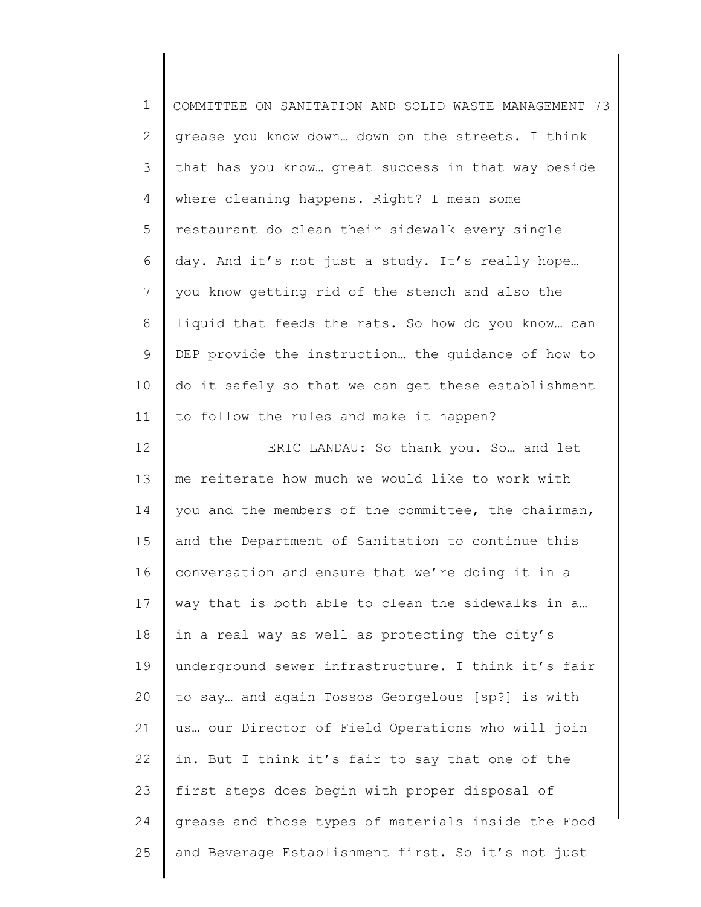| $\mathbf 1$    | COMMITTEE ON SANITATION AND SOLID WASTE MANAGEMENT 73 |
|----------------|-------------------------------------------------------|
| $\mathbf{2}$   | grease you know down down on the streets. I think     |
| $\mathcal{S}$  | that has you know great success in that way beside    |
| 4              | where cleaning happens. Right? I mean some            |
| 5              | restaurant do clean their sidewalk every single       |
| 6              | day. And it's not just a study. It's really hope      |
| $\overline{7}$ | you know getting rid of the stench and also the       |
| $8\,$          | liquid that feeds the rats. So how do you know can    |
| $\mathsf 9$    | DEP provide the instruction the guidance of how to    |
| 10             | do it safely so that we can get these establishment   |
| 11             | to follow the rules and make it happen?               |
| 12             | ERIC LANDAU: So thank you. So and let                 |
| 13             | me reiterate how much we would like to work with      |
| 14             | you and the members of the committee, the chairman,   |
| 15             | and the Department of Sanitation to continue this     |
| 16             | conversation and ensure that we're doing it in a      |
| 17             | way that is both able to clean the sidewalks in a     |
| 18             | in a real way as well as protecting the city's        |
| 19             | underground sewer infrastructure. I think it's fair   |
| 20             | to say and again Tossos Georgelous [sp?] is with      |
| 21             | us our Director of Field Operations who will join     |
| 22             | in. But I think it's fair to say that one of the      |
| 23             | first steps does begin with proper disposal of        |
| 24             | grease and those types of materials inside the Food   |
| 25             | and Beverage Establishment first. So it's not just    |
|                |                                                       |

║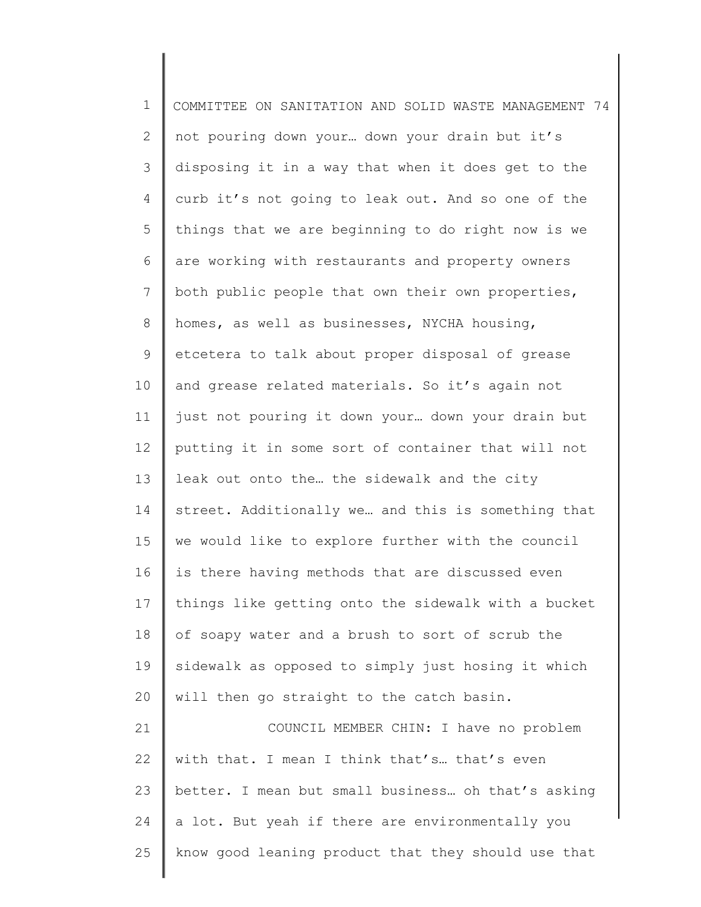| $\mathbf 1$  | COMMITTEE ON SANITATION AND SOLID WASTE MANAGEMENT 74 |
|--------------|-------------------------------------------------------|
| $\mathbf{2}$ | not pouring down your down your drain but it's        |
| 3            | disposing it in a way that when it does get to the    |
| 4            | curb it's not going to leak out. And so one of the    |
| 5            | things that we are beginning to do right now is we    |
| 6            | are working with restaurants and property owners      |
| 7            | both public people that own their own properties,     |
| 8            | homes, as well as businesses, NYCHA housing,          |
| 9            | etcetera to talk about proper disposal of grease      |
| 10           | and grease related materials. So it's again not       |
| 11           | just not pouring it down your down your drain but     |
| 12           | putting it in some sort of container that will not    |
| 13           | leak out onto the the sidewalk and the city           |
| 14           | street. Additionally we and this is something that    |
| 15           | we would like to explore further with the council     |
| 16           | is there having methods that are discussed even       |
| 17           | things like getting onto the sidewalk with a bucket   |
| 18           | of soapy water and a brush to sort of scrub the       |
| 19           | sidewalk as opposed to simply just hosing it which    |
| 20           | will then go straight to the catch basin.             |
| 21           | COUNCIL MEMBER CHIN: I have no problem                |
| 22           | with that. I mean I think that's that's even          |
| 23           | better. I mean but small business oh that's asking    |
| 24           | a lot. But yeah if there are environmentally you      |
| 25           | know good leaning product that they should use that   |
|              |                                                       |

∥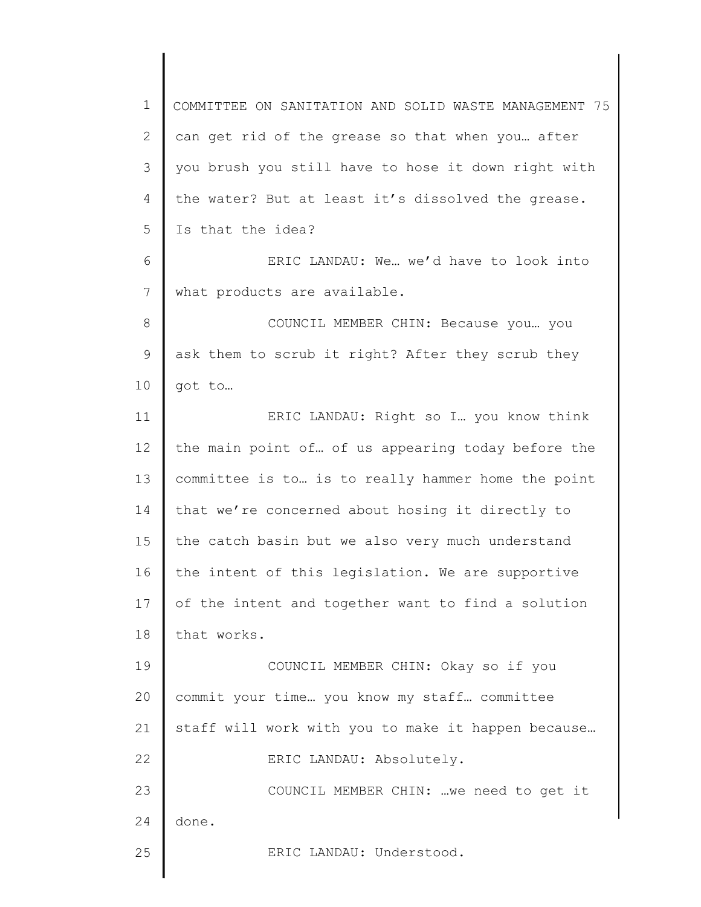1 2 3 4 5 6 7 8 9 10 11 12 13 14 15 16 17 18 19 20 21 22 23 24 25 COMMITTEE ON SANITATION AND SOLID WASTE MANAGEMENT 75 can get rid of the grease so that when you… after you brush you still have to hose it down right with the water? But at least it's dissolved the grease. Is that the idea? ERIC LANDAU: We… we'd have to look into what products are available. COUNCIL MEMBER CHIN: Because you… you ask them to scrub it right? After they scrub they got to… ERIC LANDAU: Right so I… you know think the main point of… of us appearing today before the committee is to… is to really hammer home the point that we're concerned about hosing it directly to the catch basin but we also very much understand the intent of this legislation. We are supportive of the intent and together want to find a solution that works. COUNCIL MEMBER CHIN: Okay so if you commit your time… you know my staff… committee staff will work with you to make it happen because… ERIC LANDAU: Absolutely. COUNCIL MEMBER CHIN: …we need to get it done. ERIC LANDAU: Understood.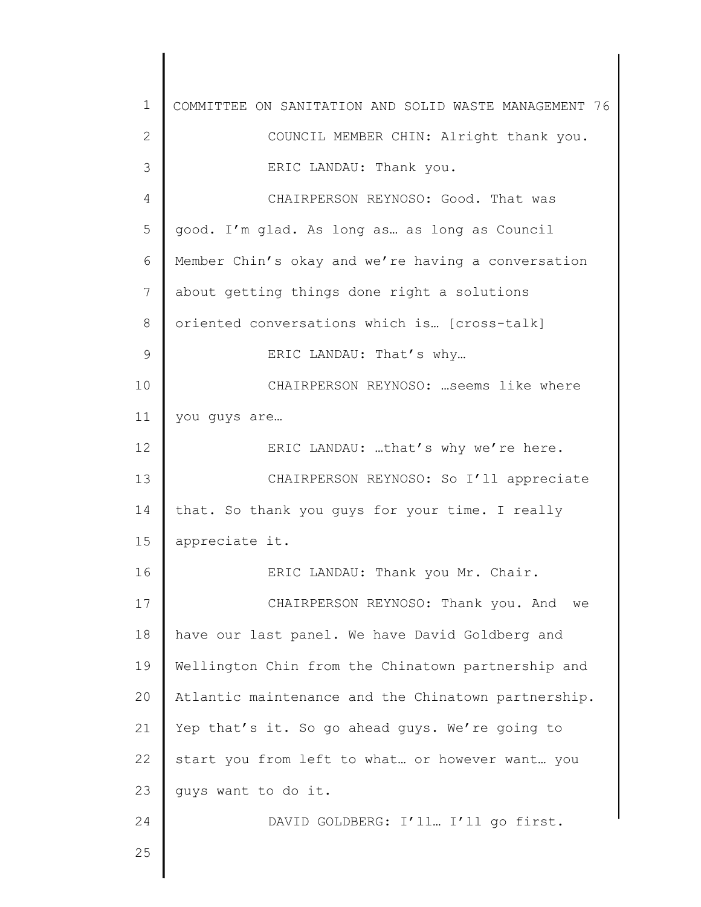| $\mathbf 1$  | COMMITTEE ON SANITATION AND SOLID WASTE MANAGEMENT 76 |
|--------------|-------------------------------------------------------|
| $\mathbf{2}$ | COUNCIL MEMBER CHIN: Alright thank you.               |
| 3            | ERIC LANDAU: Thank you.                               |
| 4            | CHAIRPERSON REYNOSO: Good. That was                   |
| 5            | good. I'm glad. As long as as long as Council         |
| 6            | Member Chin's okay and we're having a conversation    |
| 7            | about getting things done right a solutions           |
| 8            | oriented conversations which is [cross-talk]          |
| 9            | ERIC LANDAU: That's why                               |
| 10           | CHAIRPERSON REYNOSO:  seems like where                |
| 11           | you quys are                                          |
| 12           | ERIC LANDAU: that's why we're here.                   |
| 13           | CHAIRPERSON REYNOSO: So I'll appreciate               |
| 14           | that. So thank you guys for your time. I really       |
| 15           | appreciate it.                                        |
| 16           | ERIC LANDAU: Thank you Mr. Chair.                     |
| 17           | CHAIRPERSON REYNOSO: Thank you. And<br>we             |
| 18           | have our last panel. We have David Goldberg and       |
| 19           | Wellington Chin from the Chinatown partnership and    |
| 20           | Atlantic maintenance and the Chinatown partnership.   |
| 21           | Yep that's it. So go ahead guys. We're going to       |
| 22           | start you from left to what or however want you       |
| 23           | quys want to do it.                                   |
| 24           | DAVID GOLDBERG: I'll I'll go first.                   |
| 25           |                                                       |
|              |                                                       |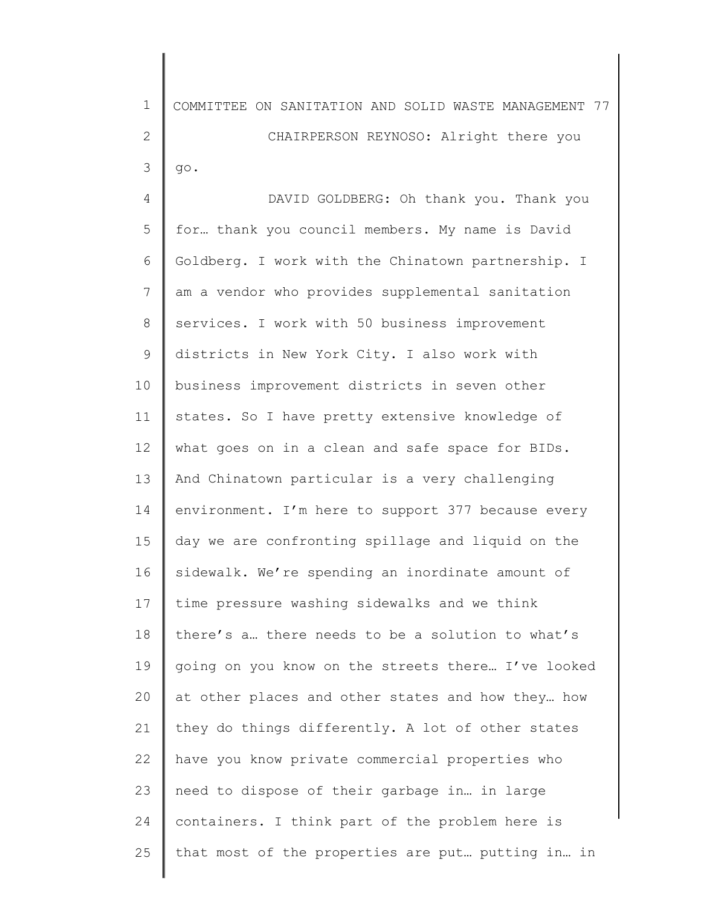1 2 3 COMMITTEE ON SANITATION AND SOLID WASTE MANAGEMENT 77 CHAIRPERSON REYNOSO: Alright there you go.

4 5 6 7 8 9 10 11 12 13 14 15 16 17 18 19 20 21 22 23 24 25 DAVID GOLDBERG: Oh thank you. Thank you for… thank you council members. My name is David Goldberg. I work with the Chinatown partnership. I am a vendor who provides supplemental sanitation services. I work with 50 business improvement districts in New York City. I also work with business improvement districts in seven other states. So I have pretty extensive knowledge of what goes on in a clean and safe space for BIDs. And Chinatown particular is a very challenging environment. I'm here to support 377 because every day we are confronting spillage and liquid on the sidewalk. We're spending an inordinate amount of time pressure washing sidewalks and we think there's a… there needs to be a solution to what's going on you know on the streets there… I've looked at other places and other states and how they… how they do things differently. A lot of other states have you know private commercial properties who need to dispose of their garbage in… in large containers. I think part of the problem here is that most of the properties are put… putting in… in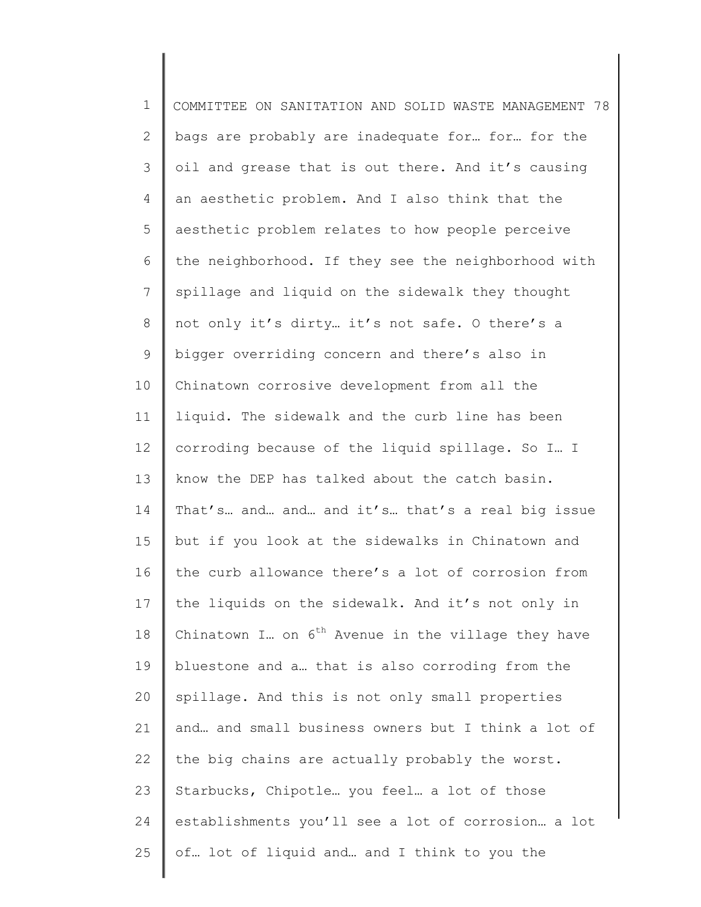| $\mathbf 1$    | COMMITTEE ON SANITATION AND SOLID WASTE MANAGEMENT 78   |
|----------------|---------------------------------------------------------|
| $\mathbf{2}$   | bags are probably are inadequate for for for the        |
| $\mathcal{S}$  | oil and grease that is out there. And it's causing      |
| 4              | an aesthetic problem. And I also think that the         |
| 5              | aesthetic problem relates to how people perceive        |
| 6              | the neighborhood. If they see the neighborhood with     |
| $\overline{7}$ | spillage and liquid on the sidewalk they thought        |
| 8              | not only it's dirty it's not safe. O there's a          |
| $\mathsf 9$    | bigger overriding concern and there's also in           |
| 10             | Chinatown corrosive development from all the            |
| 11             | liquid. The sidewalk and the curb line has been         |
| 12             | corroding because of the liquid spillage. So I I        |
| 13             | know the DEP has talked about the catch basin.          |
| 14             | That's and and and it's that's a real big issue         |
| 15             | but if you look at the sidewalks in Chinatown and       |
| 16             | the curb allowance there's a lot of corrosion from      |
| 17             | the liquids on the sidewalk. And it's not only in       |
| 18             | Chinatown I on $6^{th}$ Avenue in the village they have |
| 19             | bluestone and a that is also corroding from the         |
| 20             | spillage. And this is not only small properties         |
| 21             | and and small business owners but I think a lot of      |
| 22             | the big chains are actually probably the worst.         |
| 23             | Starbucks, Chipotle you feel a lot of those             |
| 24             | establishments you'll see a lot of corrosion a lot      |
| 25             | of lot of liquid and and I think to you the             |
|                |                                                         |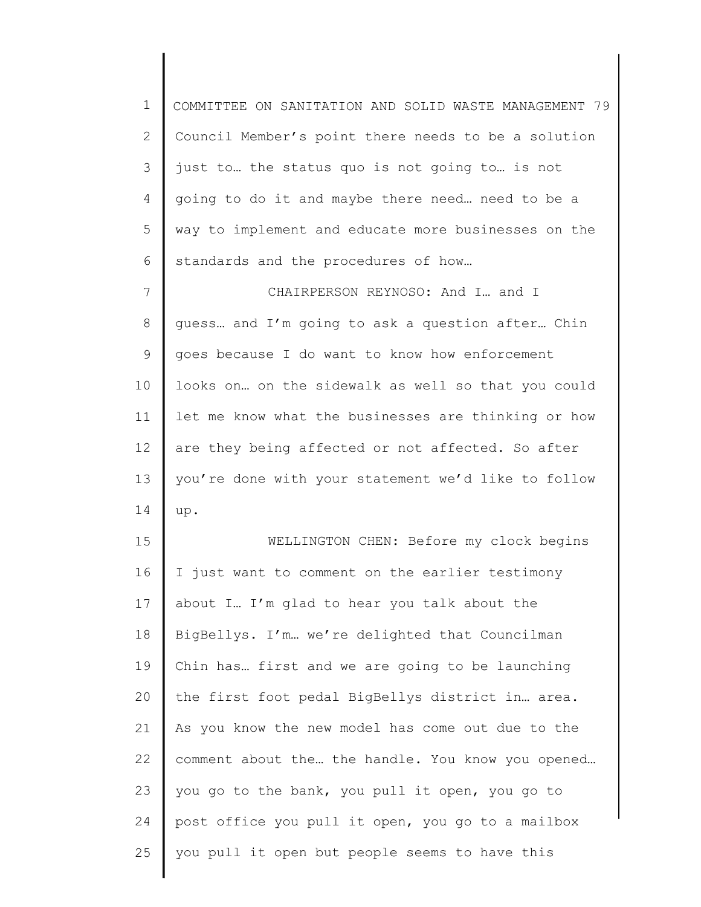1 2 3 4 5 6 7 COMMITTEE ON SANITATION AND SOLID WASTE MANAGEMENT 79 Council Member's point there needs to be a solution just to… the status quo is not going to… is not going to do it and maybe there need… need to be a way to implement and educate more businesses on the standards and the procedures of how… CHAIRPERSON REYNOSO: And I… and I

8 9 10 11 12 13 14 guess… and I'm going to ask a question after… Chin goes because I do want to know how enforcement looks on… on the sidewalk as well so that you could let me know what the businesses are thinking or how are they being affected or not affected. So after you're done with your statement we'd like to follow up.

15 16 17 18 19 20 21 22 23 24 25 WELLINGTON CHEN: Before my clock begins I just want to comment on the earlier testimony about I… I'm glad to hear you talk about the BigBellys. I'm… we're delighted that Councilman Chin has… first and we are going to be launching the first foot pedal BigBellys district in… area. As you know the new model has come out due to the comment about the… the handle. You know you opened… you go to the bank, you pull it open, you go to post office you pull it open, you go to a mailbox you pull it open but people seems to have this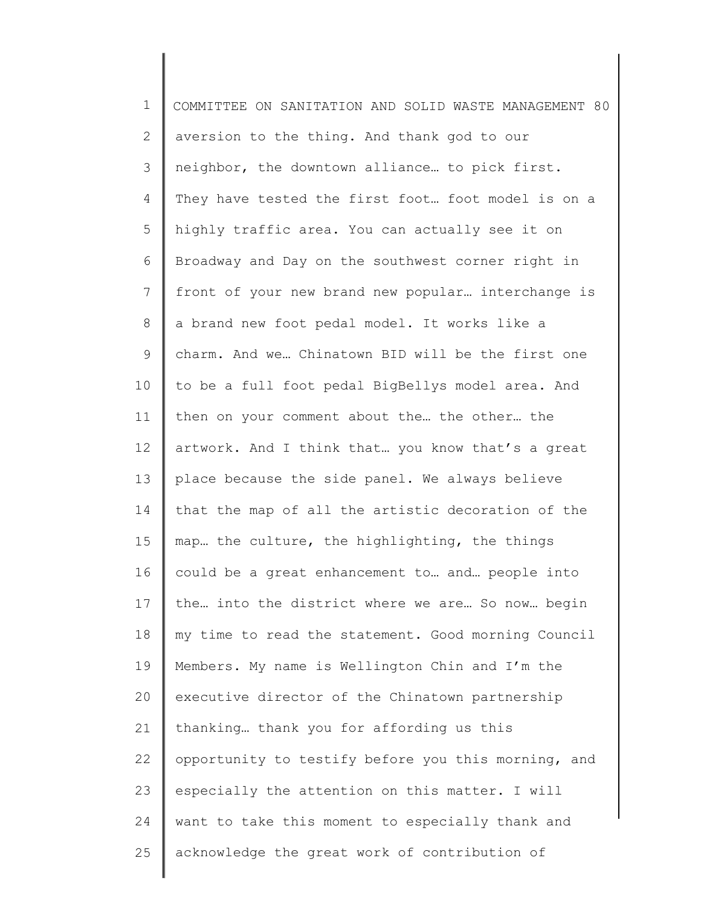1 2 3 4 5 6 7 8 9 10 11 12 13 14 15 16 17 18 19 20 21 22 23 24 25 COMMITTEE ON SANITATION AND SOLID WASTE MANAGEMENT 80 aversion to the thing. And thank god to our neighbor, the downtown alliance… to pick first. They have tested the first foot… foot model is on a highly traffic area. You can actually see it on Broadway and Day on the southwest corner right in front of your new brand new popular… interchange is a brand new foot pedal model. It works like a charm. And we… Chinatown BID will be the first one to be a full foot pedal BigBellys model area. And then on your comment about the… the other… the artwork. And I think that… you know that's a great place because the side panel. We always believe that the map of all the artistic decoration of the map… the culture, the highlighting, the things could be a great enhancement to… and… people into the… into the district where we are… So now… begin my time to read the statement. Good morning Council Members. My name is Wellington Chin and I'm the executive director of the Chinatown partnership thanking… thank you for affording us this opportunity to testify before you this morning, and especially the attention on this matter. I will want to take this moment to especially thank and acknowledge the great work of contribution of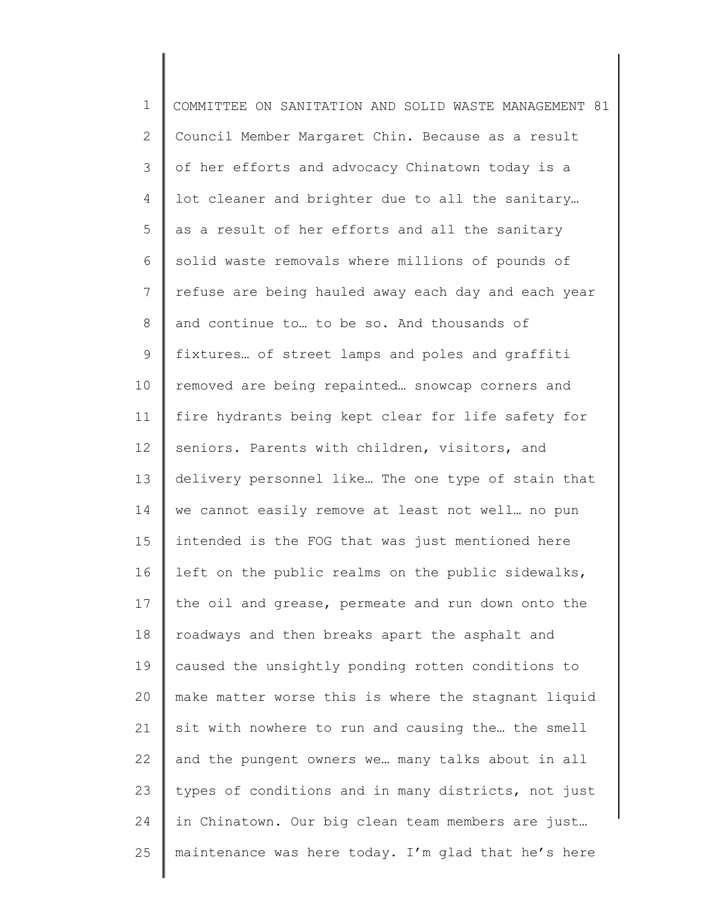1 2 3 4 5 6 7 8 9 10 11 12 13 14 15 16 17 18 19 20 21 22 23 24 25 COMMITTEE ON SANITATION AND SOLID WASTE MANAGEMENT 81 Council Member Margaret Chin. Because as a result of her efforts and advocacy Chinatown today is a lot cleaner and brighter due to all the sanitary… as a result of her efforts and all the sanitary solid waste removals where millions of pounds of refuse are being hauled away each day and each year and continue to… to be so. And thousands of fixtures… of street lamps and poles and graffiti removed are being repainted… snowcap corners and fire hydrants being kept clear for life safety for seniors. Parents with children, visitors, and delivery personnel like… The one type of stain that we cannot easily remove at least not well… no pun intended is the FOG that was just mentioned here left on the public realms on the public sidewalks, the oil and grease, permeate and run down onto the roadways and then breaks apart the asphalt and caused the unsightly ponding rotten conditions to make matter worse this is where the stagnant liquid sit with nowhere to run and causing the… the smell and the pungent owners we… many talks about in all types of conditions and in many districts, not just in Chinatown. Our big clean team members are just… maintenance was here today. I'm glad that he's here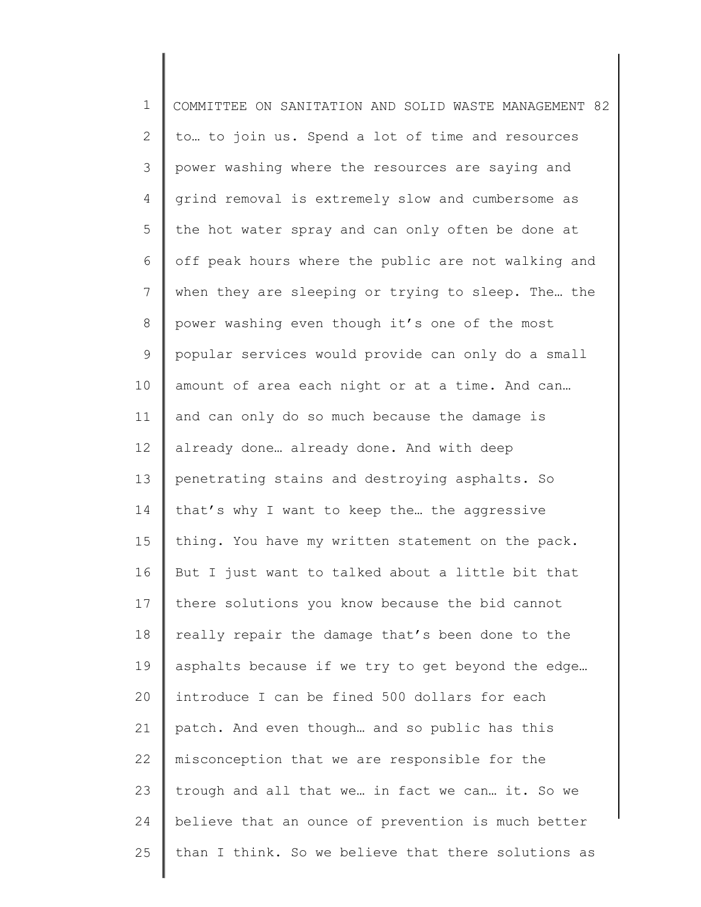| $\mathbf 1$ | COMMITTEE ON SANITATION AND SOLID WASTE MANAGEMENT 82 |
|-------------|-------------------------------------------------------|
| 2           | to to join us. Spend a lot of time and resources      |
| 3           | power washing where the resources are saying and      |
| 4           | grind removal is extremely slow and cumbersome as     |
| 5           | the hot water spray and can only often be done at     |
| 6           | off peak hours where the public are not walking and   |
| 7           | when they are sleeping or trying to sleep. The the    |
| 8           | power washing even though it's one of the most        |
| $\mathsf 9$ | popular services would provide can only do a small    |
| 10          | amount of area each night or at a time. And can       |
| 11          | and can only do so much because the damage is         |
| 12          | already done already done. And with deep              |
| 13          | penetrating stains and destroying asphalts. So        |
| 14          | that's why I want to keep the the aggressive          |
| 15          | thing. You have my written statement on the pack.     |
| 16          | But I just want to talked about a little bit that     |
| 17          | there solutions you know because the bid cannot       |
| 18          | really repair the damage that's been done to the      |
| 19          | asphalts because if we try to get beyond the edge     |
| 20          | introduce I can be fined 500 dollars for each         |
| 21          | patch. And even though and so public has this         |
| 22          | misconception that we are responsible for the         |
| 23          | trough and all that we in fact we can it. So we       |
| 24          | believe that an ounce of prevention is much better    |
| 25          | than I think. So we believe that there solutions as   |
|             |                                                       |

∥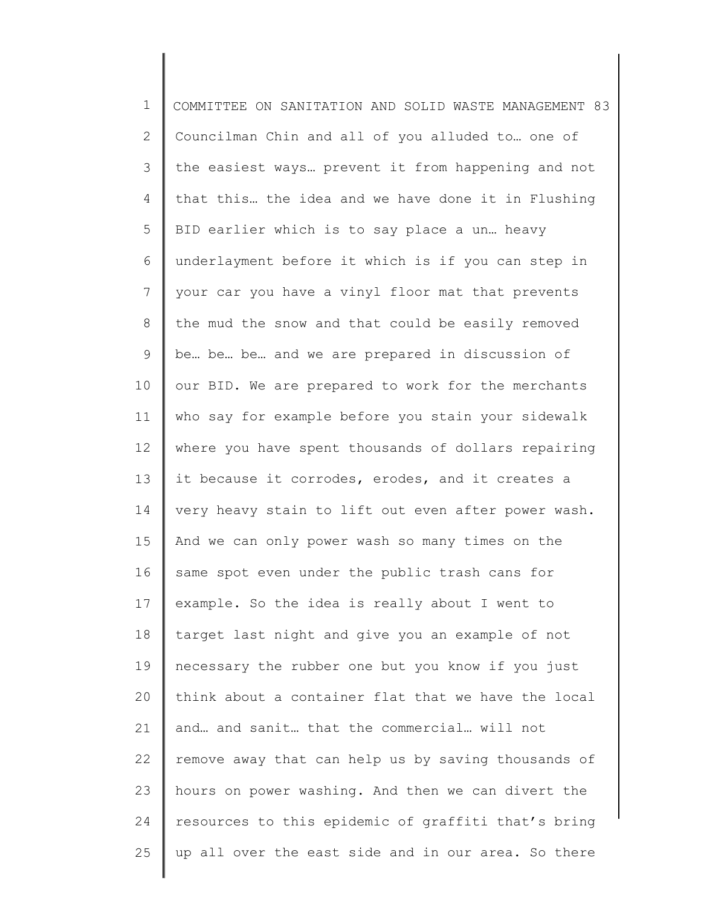1 2 3 4 5 6 7 8 9 10 11 12 13 14 15 16 17 18 19 20 21 22 23 24 25 COMMITTEE ON SANITATION AND SOLID WASTE MANAGEMENT 83 Councilman Chin and all of you alluded to… one of the easiest ways… prevent it from happening and not that this… the idea and we have done it in Flushing BID earlier which is to say place a un… heavy underlayment before it which is if you can step in your car you have a vinyl floor mat that prevents the mud the snow and that could be easily removed be… be… be… and we are prepared in discussion of our BID. We are prepared to work for the merchants who say for example before you stain your sidewalk where you have spent thousands of dollars repairing it because it corrodes, erodes, and it creates a very heavy stain to lift out even after power wash. And we can only power wash so many times on the same spot even under the public trash cans for example. So the idea is really about I went to target last night and give you an example of not necessary the rubber one but you know if you just think about a container flat that we have the local and… and sanit… that the commercial… will not remove away that can help us by saving thousands of hours on power washing. And then we can divert the resources to this epidemic of graffiti that's bring up all over the east side and in our area. So there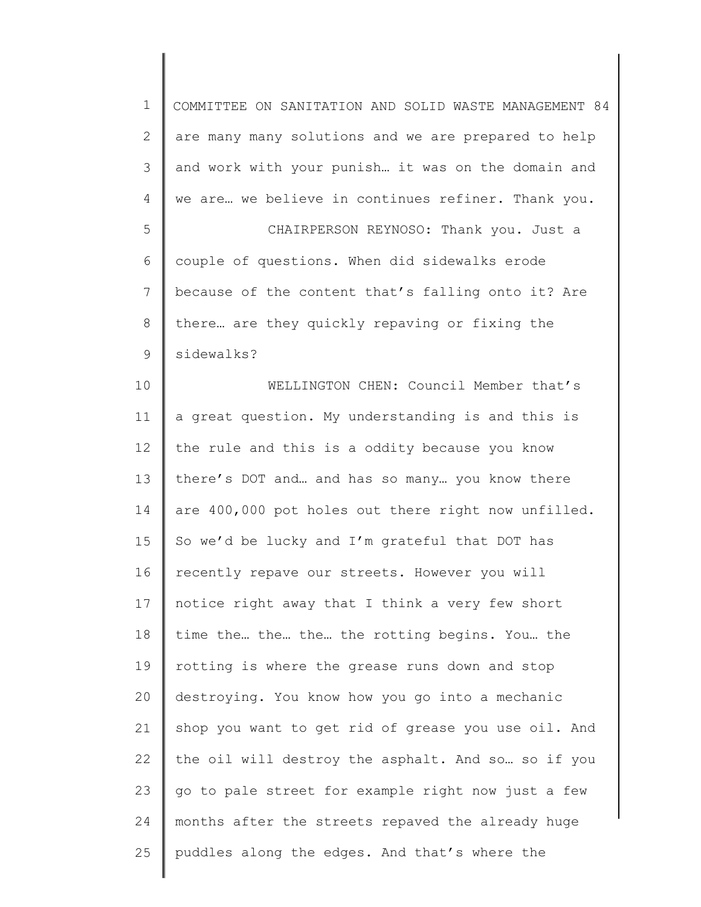| $\mathbf 1$    | COMMITTEE ON SANITATION AND SOLID WASTE MANAGEMENT 84 |
|----------------|-------------------------------------------------------|
| $\overline{2}$ | are many many solutions and we are prepared to help   |
| 3              | and work with your punish it was on the domain and    |
| 4              | we are we believe in continues refiner. Thank you.    |
| 5              | CHAIRPERSON REYNOSO: Thank you. Just a                |
| $\epsilon$     | couple of questions. When did sidewalks erode         |
| 7              | because of the content that's falling onto it? Are    |
| 8              | there are they quickly repaving or fixing the         |
| $\mathsf 9$    | sidewalks?                                            |
| 10             | WELLINGTON CHEN: Council Member that's                |
| 11             | a great question. My understanding is and this is     |
| 12             | the rule and this is a oddity because you know        |
| 13             | there's DOT and and has so many you know there        |
| 14             | are 400,000 pot holes out there right now unfilled.   |
| 15             | So we'd be lucky and I'm grateful that DOT has        |
| 16             | recently repave our streets. However you will         |
| 17             | notice right away that I think a very few short       |
| 18             | time the the the the rotting begins. You the          |
| 19             | rotting is where the grease runs down and stop        |
| 20             | destroying. You know how you go into a mechanic       |
| 21             | shop you want to get rid of grease you use oil. And   |
| 22             | the oil will destroy the asphalt. And so so if you    |
| 23             | go to pale street for example right now just a few    |
| 24             | months after the streets repaved the already huge     |
| 25             | puddles along the edges. And that's where the         |
|                |                                                       |

║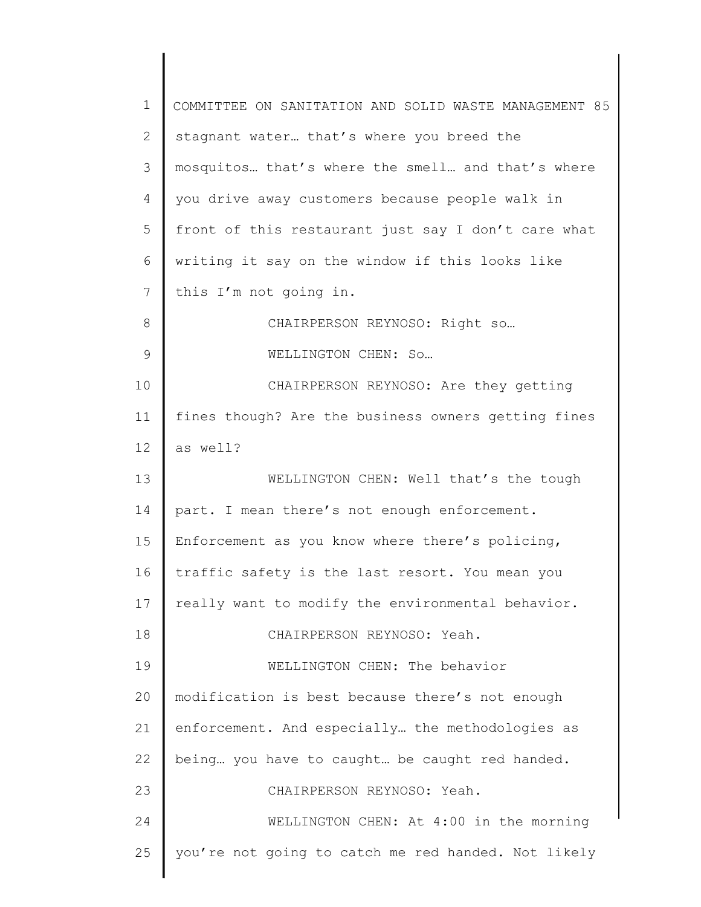| 1            | COMMITTEE ON SANITATION AND SOLID WASTE MANAGEMENT 85 |
|--------------|-------------------------------------------------------|
| $\mathbf{2}$ | stagnant water that's where you breed the             |
| 3            | mosquitos that's where the smell and that's where     |
| 4            | you drive away customers because people walk in       |
| 5            | front of this restaurant just say I don't care what   |
| 6            | writing it say on the window if this looks like       |
| 7            | this I'm not going in.                                |
| 8            | CHAIRPERSON REYNOSO: Right so                         |
| 9            | WELLINGTON CHEN: So                                   |
| 10           | CHAIRPERSON REYNOSO: Are they getting                 |
| 11           | fines though? Are the business owners getting fines   |
| 12           | as well?                                              |
| 13           | WELLINGTON CHEN: Well that's the tough                |
| 14           | part. I mean there's not enough enforcement.          |
| 15           | Enforcement as you know where there's policing,       |
| 16           | traffic safety is the last resort. You mean you       |
| 17           | really want to modify the environmental behavior.     |
| 18           | CHAIRPERSON REYNOSO: Yeah.                            |
| 19           | WELLINGTON CHEN: The behavior                         |
| 20           | modification is best because there's not enough       |
| 21           | enforcement. And especially the methodologies as      |
| 22           | being you have to caught be caught red handed.        |
| 23           | CHAIRPERSON REYNOSO: Yeah.                            |
| 24           | WELLINGTON CHEN: At 4:00 in the morning               |
| 25           | you're not going to catch me red handed. Not likely   |
|              |                                                       |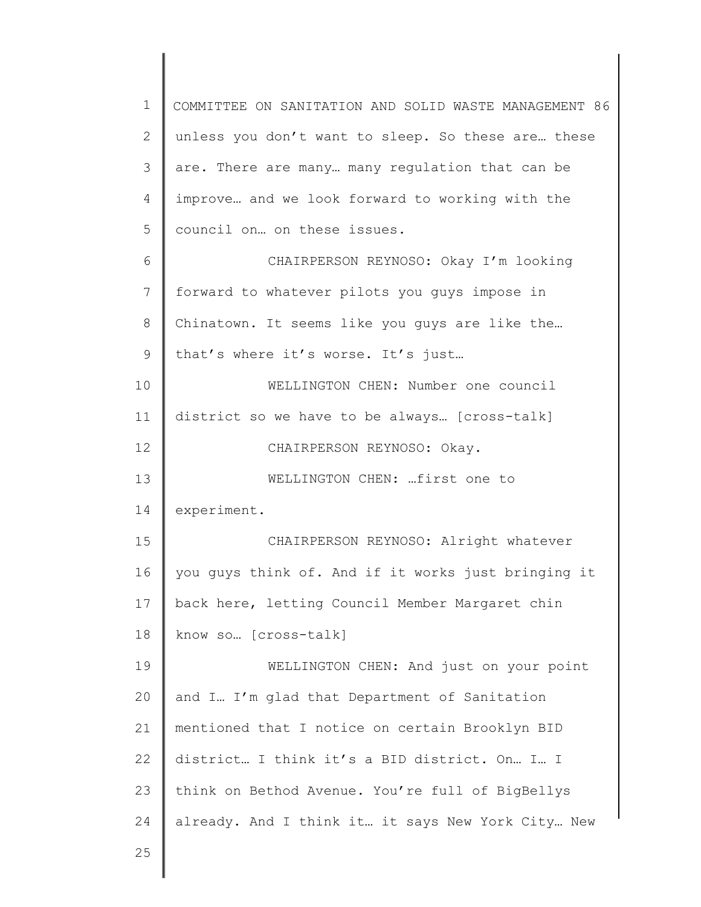1 2 3 4 5 6 7 8 9 10 11 12 13 14 15 16 17 18 19 20 21 22 23 24 25 COMMITTEE ON SANITATION AND SOLID WASTE MANAGEMENT 86 unless you don't want to sleep. So these are… these are. There are many… many regulation that can be improve… and we look forward to working with the council on… on these issues. CHAIRPERSON REYNOSO: Okay I'm looking forward to whatever pilots you guys impose in Chinatown. It seems like you guys are like the… that's where it's worse. It's just… WELLINGTON CHEN: Number one council district so we have to be always… [cross-talk] CHAIRPERSON REYNOSO: Okay. WELLINGTON CHEN: …first one to experiment. CHAIRPERSON REYNOSO: Alright whatever you guys think of. And if it works just bringing it back here, letting Council Member Margaret chin know so… [cross-talk] WELLINGTON CHEN: And just on your point and I… I'm glad that Department of Sanitation mentioned that I notice on certain Brooklyn BID district… I think it's a BID district. On… I… I think on Bethod Avenue. You're full of BigBellys already. And I think it… it says New York City… New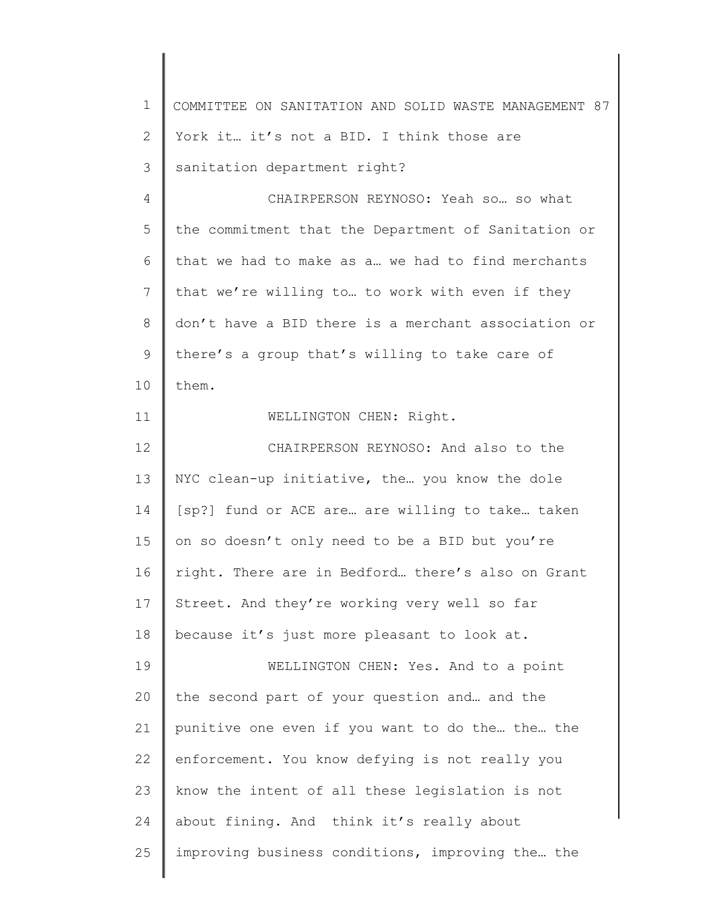| $\mathbf 1$  | COMMITTEE ON SANITATION AND SOLID WASTE MANAGEMENT 87 |
|--------------|-------------------------------------------------------|
| $\mathbf{2}$ | York it it's not a BID. I think those are             |
| 3            | sanitation department right?                          |
| 4            | CHAIRPERSON REYNOSO: Yeah so so what                  |
| 5            | the commitment that the Department of Sanitation or   |
| 6            | that we had to make as a we had to find merchants     |
| 7            | that we're willing to to work with even if they       |
| $\,8\,$      | don't have a BID there is a merchant association or   |
| 9            | there's a group that's willing to take care of        |
| 10           | them.                                                 |
| 11           | WELLINGTON CHEN: Right.                               |
| 12           | CHAIRPERSON REYNOSO: And also to the                  |
| 13           | NYC clean-up initiative, the you know the dole        |
| 14           | [sp?] fund or ACE are are willing to take taken       |
| 15           | on so doesn't only need to be a BID but you're        |
| 16           | right. There are in Bedford there's also on Grant     |
| 17           | Street. And they're working very well so far          |
| 18           | because it's just more pleasant to look at.           |
| 19           | WELLINGTON CHEN: Yes. And to a point                  |
| 20           | the second part of your question and and the          |
| 21           | punitive one even if you want to do the the the       |
| 22           | enforcement. You know defying is not really you       |
| 23           | know the intent of all these legislation is not       |
| 24           | about fining. And think it's really about             |
| 25           | improving business conditions, improving the the      |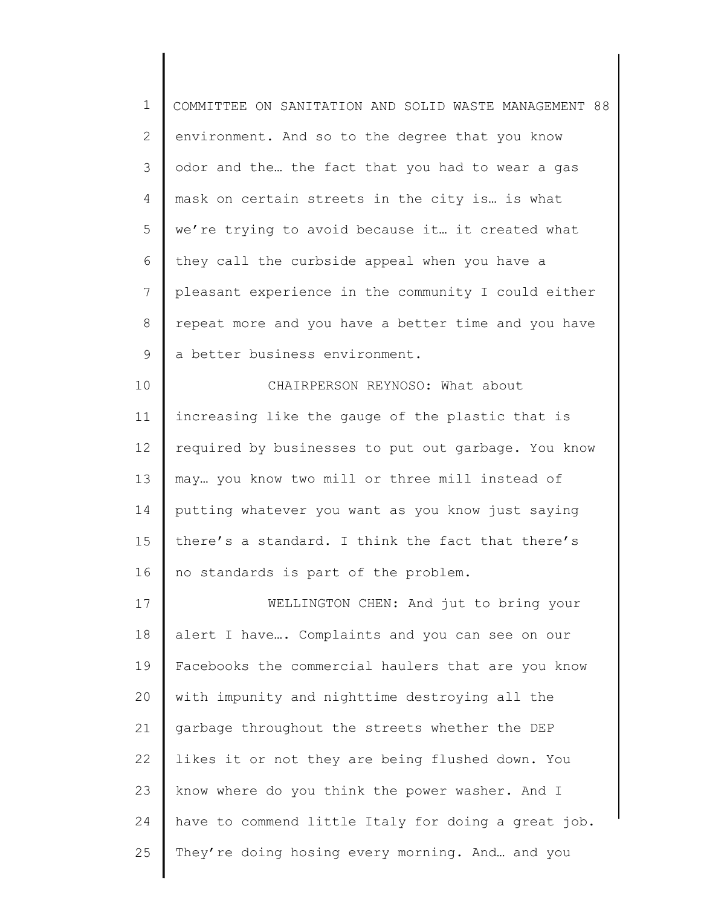| $\mathbf 1$ | COMMITTEE ON SANITATION AND SOLID WASTE MANAGEMENT 88 |
|-------------|-------------------------------------------------------|
| 2           | environment. And so to the degree that you know       |
| 3           | odor and the the fact that you had to wear a gas      |
| 4           | mask on certain streets in the city is is what        |
| 5           | we're trying to avoid because it it created what      |
| 6           | they call the curbside appeal when you have a         |
| 7           | pleasant experience in the community I could either   |
| 8           | repeat more and you have a better time and you have   |
| $\mathsf 9$ | a better business environment.                        |
| 10          | CHAIRPERSON REYNOSO: What about                       |
| 11          | increasing like the gauge of the plastic that is      |
| 12          | required by businesses to put out garbage. You know   |
| 13          | may you know two mill or three mill instead of        |
| 14          | putting whatever you want as you know just saying     |
| 15          | there's a standard. I think the fact that there's     |
| 16          | no standards is part of the problem.                  |
| 17          | WELLINGTON CHEN: And jut to bring your                |
| 18          | alert I have Complaints and you can see on our        |
| 19          | Facebooks the commercial haulers that are you know    |
| 20          | with impunity and nighttime destroying all the        |
| 21          | garbage throughout the streets whether the DEP        |
| 22          | likes it or not they are being flushed down. You      |
| 23          | know where do you think the power washer. And I       |
| 24          | have to commend little Italy for doing a great job.   |
| 25          | They're doing hosing every morning. And and you       |
|             |                                                       |

 $\mathsf I$ ∥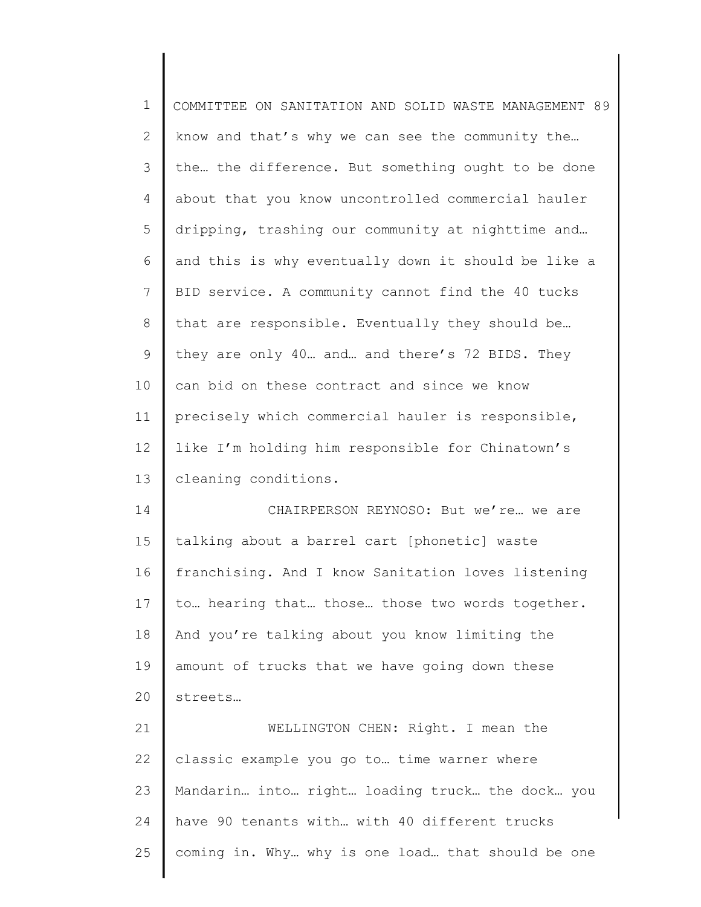| $\mathbf 1$    | COMMITTEE ON SANITATION AND SOLID WASTE MANAGEMENT 89 |
|----------------|-------------------------------------------------------|
| $\overline{2}$ | know and that's why we can see the community the      |
| 3              | the the difference. But something ought to be done    |
| 4              | about that you know uncontrolled commercial hauler    |
| 5              | dripping, trashing our community at nighttime and     |
| 6              | and this is why eventually down it should be like a   |
| 7              | BID service. A community cannot find the 40 tucks     |
| $8\,$          | that are responsible. Eventually they should be       |
| 9              | they are only 40 and and there's 72 BIDS. They        |
| 10             | can bid on these contract and since we know           |
| 11             | precisely which commercial hauler is responsible,     |
| 12             | like I'm holding him responsible for Chinatown's      |
| 13             | cleaning conditions.                                  |
| 14             | CHAIRPERSON REYNOSO: But we're we are                 |
| 15             | talking about a barrel cart [phonetic] waste          |
| 16             | franchising. And I know Sanitation loves listening    |
| 17             | to hearing that those those two words together.       |
| 18             | And you're talking about you know limiting the        |
| 19             | amount of trucks that we have going down these        |
| 20             | streets                                               |
| 21             | WELLINGTON CHEN: Right. I mean the                    |
| 22             | classic example you go to time warner where           |
| 23             | Mandarin into right loading truck the dock you        |
| 24             | have 90 tenants with with 40 different trucks         |

coming in. Why… why is one load… that should be one

25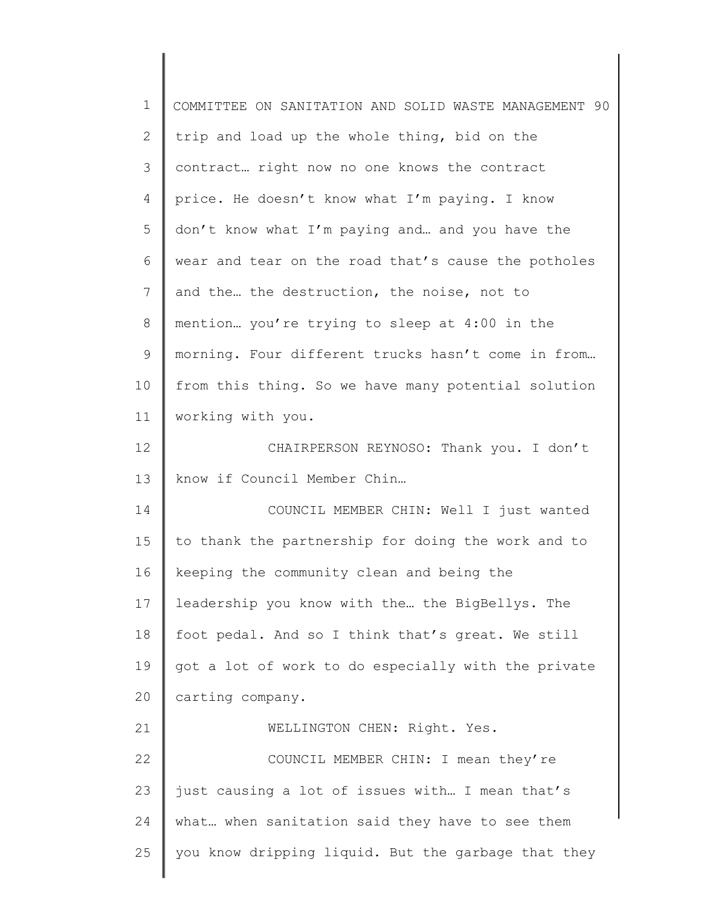| $\mathbf 1$ | COMMITTEE ON SANITATION AND SOLID WASTE MANAGEMENT 90 |
|-------------|-------------------------------------------------------|
| 2           | trip and load up the whole thing, bid on the          |
| 3           | contract right now no one knows the contract          |
| 4           | price. He doesn't know what I'm paying. I know        |
| 5           | don't know what I'm paying and and you have the       |
| 6           | wear and tear on the road that's cause the potholes   |
| 7           | and the the destruction, the noise, not to            |
| 8           | mention you're trying to sleep at 4:00 in the         |
| 9           | morning. Four different trucks hasn't come in from    |
| 10          | from this thing. So we have many potential solution   |
| 11          | working with you.                                     |
| 12          | CHAIRPERSON REYNOSO: Thank you. I don't               |
| 13          | know if Council Member Chin                           |
| 14          | COUNCIL MEMBER CHIN: Well I just wanted               |
| 15          | to thank the partnership for doing the work and to    |
| 16          | keeping the community clean and being the             |
| 17          | leadership you know with the the BigBellys. The       |
| 18          | foot pedal. And so I think that's great. We still     |
| 19          | got a lot of work to do especially with the private   |
| 20          | carting company.                                      |
| 21          | WELLINGTON CHEN: Right. Yes.                          |
| 22          | COUNCIL MEMBER CHIN: I mean they're                   |
| 23          | just causing a lot of issues with I mean that's       |
| 24          | what when sanitation said they have to see them       |
| 25          | you know dripping liquid. But the garbage that they   |
|             |                                                       |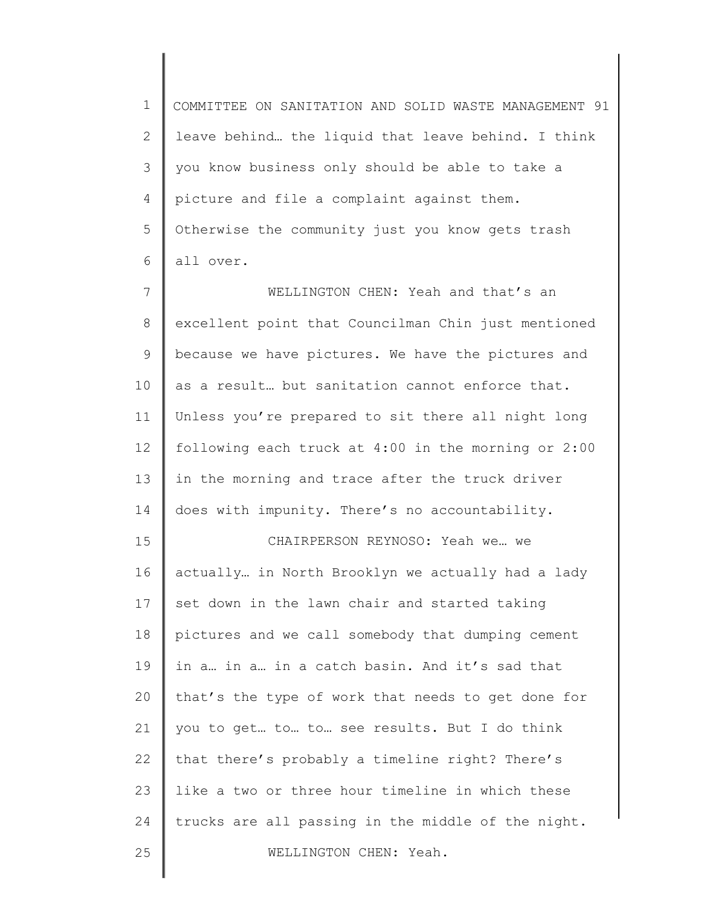1 2 3 4 5 6 COMMITTEE ON SANITATION AND SOLID WASTE MANAGEMENT 91 leave behind… the liquid that leave behind. I think you know business only should be able to take a picture and file a complaint against them. Otherwise the community just you know gets trash all over.

7 8 9 10 11 12 13 14 WELLINGTON CHEN: Yeah and that's an excellent point that Councilman Chin just mentioned because we have pictures. We have the pictures and as a result… but sanitation cannot enforce that. Unless you're prepared to sit there all night long following each truck at 4:00 in the morning or 2:00 in the morning and trace after the truck driver does with impunity. There's no accountability.

15 16 17 18 19 20 21 22 23 24 25 CHAIRPERSON REYNOSO: Yeah we… we actually… in North Brooklyn we actually had a lady set down in the lawn chair and started taking pictures and we call somebody that dumping cement in a… in a… in a catch basin. And it's sad that that's the type of work that needs to get done for you to get… to… to… see results. But I do think that there's probably a timeline right? There's like a two or three hour timeline in which these trucks are all passing in the middle of the night. WELLINGTON CHEN: Yeah.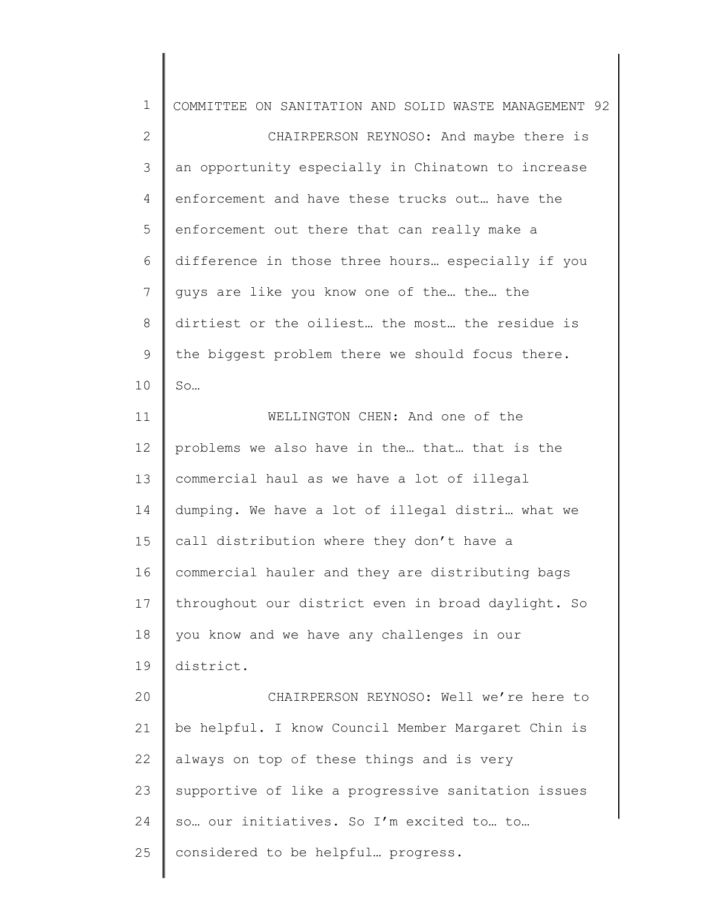| $\mathbf 1$  | COMMITTEE ON SANITATION AND SOLID WASTE MANAGEMENT 92 |
|--------------|-------------------------------------------------------|
| $\mathbf{2}$ | CHAIRPERSON REYNOSO: And maybe there is               |
| 3            | an opportunity especially in Chinatown to increase    |
| 4            | enforcement and have these trucks out have the        |
| 5            | enforcement out there that can really make a          |
| 6            | difference in those three hours especially if you     |
| 7            | guys are like you know one of the the the             |
| 8            | dirtiest or the oiliest the most the residue is       |
| $\mathsf 9$  | the biggest problem there we should focus there.      |
| 10           | So                                                    |
| 11           | WELLINGTON CHEN: And one of the                       |
| 12           | problems we also have in the that that is the         |
| 13           | commercial haul as we have a lot of illegal           |
| 14           | dumping. We have a lot of illegal distri what we      |
| 15           | call distribution where they don't have a             |
| 16           | commercial hauler and they are distributing bags      |
| 17           | throughout our district even in broad daylight. So    |
| 18           | you know and we have any challenges in our            |
| 19           | district.                                             |
| 20           | CHAIRPERSON REYNOSO: Well we're here to               |
| 21           | be helpful. I know Council Member Margaret Chin is    |
| 22           | always on top of these things and is very             |
| 23           | supportive of like a progressive sanitation issues    |
| 24           | so our initiatives. So I'm excited to to              |
| 25           | considered to be helpful progress.                    |
|              |                                                       |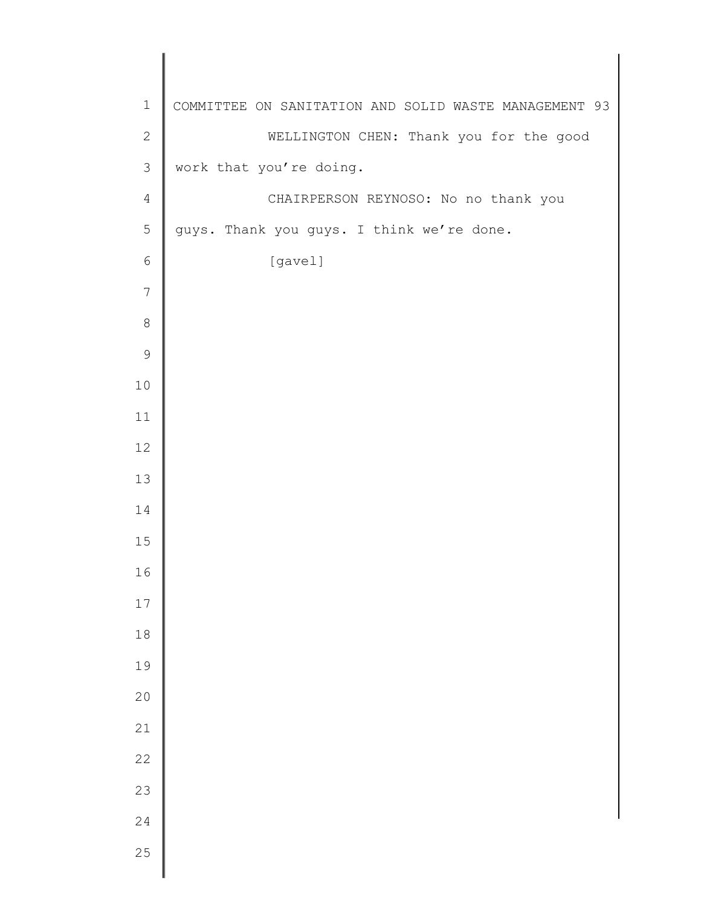| $\mathbf 1$    | COMMITTEE ON SANITATION AND SOLID WASTE MANAGEMENT 93 |
|----------------|-------------------------------------------------------|
| $\sqrt{2}$     | WELLINGTON CHEN: Thank you for the good               |
| $\mathfrak{Z}$ | work that you're doing.                               |
| $\overline{4}$ | CHAIRPERSON REYNOSO: No no thank you                  |
| $\mathbf 5$    | guys. Thank you guys. I think we're done.             |
| $\epsilon$     | [gavel]                                               |
| 7              |                                                       |
| $\,8\,$        |                                                       |
| $\mathsf 9$    |                                                       |
| $10$           |                                                       |
| 11             |                                                       |
| 12             |                                                       |
| 13             |                                                       |
| 14             |                                                       |
| 15             |                                                       |
| 16             |                                                       |
| 17             |                                                       |
| $18\,$         |                                                       |
| 19             |                                                       |
| 20             |                                                       |
| 21             |                                                       |
| 22             |                                                       |
| 23             |                                                       |
| 24             |                                                       |
| 25             |                                                       |
|                |                                                       |